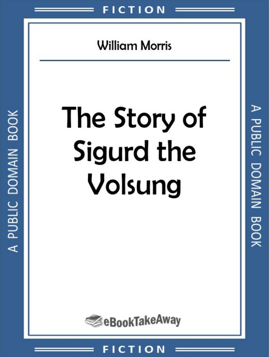# **William Morris**

# The Story of Sigurd the Volsung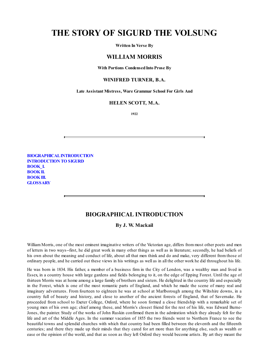### **THE STORY OF SIGURD THE VOLSUNG**

**Written In Verse By**

#### **WILLIAM MORRIS**

**With Portions CondensedInto Prose By**

#### **WINIFRED TURNER, B.A.**

**Late Assistant Mistress, Ware Grammar School For Girls And**

#### **HELEN SCOTT, M.A.**

**1922**

**[BIOGRAPHICALINTRODUCTION](#page-1-0) [INTRODUCTION](#page-3-0) TO SIGURD [BOOK\\_I.](#page-5-0) [BOOKII.](#page-20-0) [BOOKIII.](#page-43-0) [GLOSSARY](#page-68-0)**

#### **BIOGRAPHICAL INTRODUCTION**

**By J. W. Mackail**

<span id="page-1-0"></span>William Morris, one of the most eminent imaginative writers of the Victorian age, differs from most other poets and men of letters in two ways--first, he did great work in many other things as well as in literature; secondly, he had beliefs of his own about the meaning and conduct of life, about all that men think and do and make, very different from those of ordinary people, and he carried out these views in his writings as well as in all the other work he did throughout his life.

He was born in 1834. His father, a member of a business firm in the City of London, was a wealthy man and lived in Essex, in a country house with large gardens and fields belonging to it, on the edge of Epping Forest. Until the age of thirteen Morris was at home among a large family of brothers and sisters. He delighted in the country life and especially in the Forest, which is one of the most romantic parts of England, and which he made the scene of many real and imaginary adventures. From fourteen to eighteen he was at school at Marlborough among the Wiltshire downs, in a country full of beauty and history, and close to another of the ancient forests of England, that of Savernake. He proceeded from school to Exeter College, Oxford, where he soon formed a close friendship with a remarkable set of young men of his own age; chief among these, and Morris's closest friend for the rest of his life, was Edward Burne-Jones, the painter. Study of the works of John Ruskin confirmed them in the admiration which they already felt for the life and art of the Middle Ages. In the summer vacation of 1855 the two friends went to Northern France to see the beautiful towns and splendid churches with which that country had been filled between the eleventh and the fifteenth centuries; and there they made up their minds that they cared for art more than for anything else, such as wealth or ease or the opinion of the world, and that as soon as they left Oxford they would become artists. By art they meant the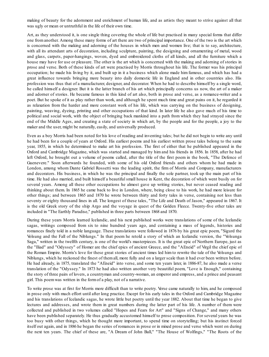making of beauty for the adornment and enrichment of human life, and as artists they meant to strive against all that was ugly or mean or untruthful in the life of their own time.

Art, as they understood it, is one single thing covering the whole of life but practised in many special forms that differ one from another. Among these many forms of art there are two of principal importance. One of the two is the art which is concerned with the making and adorning of the houses in which men and women live; that is to say, architecture, with all its attendant arts of decoration, including sculpture, painting, the designing and ornamenting of metal, wood and glass, carpets, paper-hangings, woven, dyed and embroidered cloths of all kinds, and all the furniture which a house may have for use or pleasure. The other is the art which is concerned with the making and adorning of stories in prose and verse. Both of these kinds of art were practised by Morris throughout his life. The former was his principal occupation; he made his living by it, and built up in it a business which alone made him famous, and which has had a great influence towards bringing more beauty into daily domestic life in England and in other countries also. His profession was thus that of a manufacturer, designer, and decorator. When he had to describe himself by a single word, he called himself a designer. But it is the latter branch of his art which principally concerns us now, the art of a maker and adorner of stories. He became famous in this kind of art also, both in prose and verse, as a romance-writer and a poet. But he spoke of it as play rather than work, and although he spent much time and great pains on it, he regarded it as relaxation from the harder and more constant work of his life, which was carrying on the business of designing, painting, weaving, dyeing, printing and other occupations of that kind. In later life he also gave much of his time to political and social work, with the object of bringing back mankind into a path from which they had strayed since the end of the Middle Ages, and creating a state of society in which art, by the people and for the people, a joy to the maker and the user, might be naturally, easily, and universally produced.

Even as a boy Morris had been noted for his love of reading and inventing tales; but he did not begin to write any until he had been for a couple of years at Oxford. His earliest poems and his earliest written prose tales belong to the same year, 1855, in which he determined to make art his profession. The first of either that he published appeared in the Oxford and Cambridge Magazine, which was started and managed by him and his friends in 1856. In 1858, after he had left Oxford, he brought out a volume of poems called, after the title of the first poem in the book, "The Defence of Guenevere." Soon afterwards he founded, with some of his old Oxford friends and others whom he had made in London, among whom Dante Gabriel Rossetti was the leading spirit, the firm of Morris and Company, manufacturers and decorators. His business, in which he was the principal and finally the sole partner, took up the main part of his time. He had also married, and built himself a beautiful small house in Kent, the decoration of which went busily on for several years. Among all these other occupations he almost gave up writing stories, but never ceased reading and thinking about them. In 1865 he came back to live in London, where, being close to his work, he had more leisure for other things; and between 1865 and 1870 he wrote between thirty and forty tales in verse, containing not less than seventy or eighty thousand lines in all. The longest of these tales, "The Life and Death of Jason," appeared in 1867. It is the old Greek story of the ship Argo and the voyage in quest of the Golden Fleece. Twenty-five other tales are included in "The Earthly Paradise," published in three parts between 1868 and 1870.

During these years Morris learned Icelandic, and his next published works were translations of some of the Icelandic sagas, writings composed from six to nine hundred years ago, and containing a mass of legends, histories and romances finely told in a noble language. These translations were followed in 1876 by his great epic poem, "Sigurd the Volsung and the Fall of the Niblungs." In that poem he retold a story of which an Icelandic version, the "Volsunga Saga," written in the twelfth century, is one of the world's masterpieces. It is the great epic of Northern Europe, just as the "Iliad" and "Odyssey" of Homer are the chief epics of ancient Greece, and the "AEneid" of Virgil the chief epic of the Roman Empire. Morris's love for these great stories of ancient times led him to rewrite the tale of the Volsungs and Niblungs, which he reckoned the finest of themall, more fully and on a larger scale than it had ever been written before. He had already, in 1875, translated the "AEneid" into verse, and some ten years later, in 1886-87, he also made a verse translation of the "Odyssey." In 1873 he had also written another very beautiful poem, "Love is Enough," containing the story of three pairs of lovers, a countryman and country-woman, an emperor and empress, and a prince and peasant girl. This poemwas written in the formof a play, not of a narrative.

To write prose was at first for Morris more difficult than to write poetry. Verse came naturally to him, and he composed in prose only with much effort until after long practice. Except for his early tales in the Oxford and Cambridge Magazine and his translations of Icelandic sagas, he wrote little but poetry until the year 1882. About that time he began to give lectures and addresses, and wrote them in great numbers during the latter part of his life. A number of them were collected and published in two volumes called "Hopes and Fears for Art" and "Signs of Change," and many others have been published separately. He thus gradually accustomed himself to prose composition. For several years he was too busy with other things, which he thought more important, to spend time on storytelling; but his instinct forced itself out again, and in 1886 he began the series of romances in prose or in mixed prose and verse which went on during the next ten years. The chief of these are, "A Dream of John Ball," "The House of Wolfings," "The Roots of the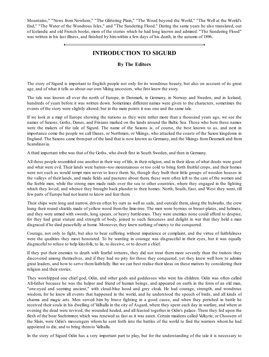<span id="page-3-0"></span>Mountains," "News from Nowhere," "The Glittering Plain," "The Wood beyond the World," "The Well at the World's End," "The Water of the Wondrous Isles," and "The Sundering Flood." During the same years he also translated, out of Icelandic and old French books, more of the stories which he had long known and admired. "The Sundering Flood" was written in his last illness, and finished by himwithin a few days of his death, in the autumn of 1896.

#### **INTRODUCTION TO SIGURD**

#### **By The Editors**

The story of Sigurd is important to English people not only for its wondrous beauty, but also on account of its great age, and of what it tells us about our own Viking ancestors, who first knew the story.

The tale was known all over the north of Europe, in Denmark, in Germany, in Norway and Sweden, and in Iceland, hundreds of years before it was written down. Sometimes different names were given to the characters, sometimes the events of the story were slightly altered, but in the main points it was one and the same tale.

If we look at a map of Europe showing the nations as they were rather more than a thousand years ago, we see the names of Saxons, Goths, Danes, and Frisians marked on the lands around the Baltic Sea. Those who bore these names were the makers of the tale of Sigurd. The name of the Saxons is, of course, the best known to us, and next in importance come the people we call Danes, or Northmen, or Vikings, who attacked the coasts of the Saxon kingdoms in England. The Saxons came frompart of the land that is now known as Germany, and the Vikings fromDenmark and from Scandinavia.

A third important tribe was that of the Goths, who dwelt first in South Sweden, and then in Germany.

All these people resembled one another in their way of life, in their religion, and in their ideas of what deeds were good and what were evil. Their lands were barren--too mountainous or too cold to bring forth fruitful crops, and their homes were not such as would tempt men never to leave them. So, though they built their little groups of wooden houses in the valleys of their lands, and made fields and pastures about them, these were often left to the care of the women and the feeble men, while the strong men made raids over the sea to other countries, where they engaged in the fighting which they loved, and whence they brought back plunder to their homes. North, South, East, and West they went, till few parts of Europe had not learnt to know and fear them.

Their ships were long and narrow, driven often by oars as well as sails, and outside them, along the bulwarks, the crew hung their round shields made of yellow wood from the lime-tree. The men wore byrnies or breast-plates, and helmets, and they were armed with swords, long spears, or heavy battle-axes. They were enemies none could afford to despise, for they had great stature and strength of body, joined to such fierceness and delight in war that they held a man disgraced if he died peacefully at home. Moreover, they knew nothing of mercy to the conquered.

Courage, not only to fight, but also to bear suffering without impatience or complaint, and the virtue of faithfulness were the qualities they most honoured. To be wanting in courage was disgraceful in their eyes, but it was equally disgraceful to refuse to help kinsfolk, to lie, to deceive, or to desert a chief.

If they put their enemies to death with fearful tortures, they did not treat them more severely than the traitors they discovered among themselves, and if they had no pity for those they conquered, yet they knew well how to admire great leaders, and how to serve themfaithfully. But we can best realise their ideas on these matters by considering their religion and their stories.

They worshipped one chief god, Odin, and other gods and goddesses who were his children. Odin was often called All-father because he was the helper and friend of human beings, and appeared on earth in the form of an old man, "one-eyed and seeming ancient," with cloud-blue hood and grey cloak. He had courage, strength, and wondrous wisdom, for he knew all events that happened in the world, and he understood the speech of birds, and all kinds of charms and magic arts. Men served him by brave fighting in a good cause, and when they perished in battle he received their souls in his dwelling of Valhalla in the city of Asgard, where they spent each day in warfare, and where at evening the dead were revived, the wounded healed, and all feasted together in Odin's palace. There they fed upon the flesh of the boar Saehrimner, which was renewed as fast as it was eaten. Certain maidens called Valkyrie, or Choosers of the Slain, were Odin's messengers whom he sent forth into the battles of the world to find the warriors whom he had appointed to die, and to bring themto Valhalla.

In the story of Sigurd Odin has a very important part to play, but for the understanding of the tale it is necessary to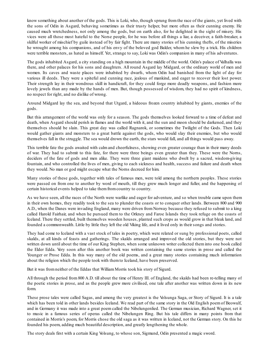know something about another of the gods. This is Loki, who, though sprung fromthe race of the giants, yet lived with the sons of Odin in Asgard, behaving sometimes as their trusty helper, but more often as their cunning enemy. He caused much wretchedness, not only among the gods, but on earth also, for he delighted in the sight of misery. His vices were all those most hateful to the Norse people, for he was before all things a liar, a deceiver, a faith-breaker, a skilful worker of mischief by guile instead of by fair fight. There are many stories of his cunning thefts, of the miseries he wrought among his companions, and of his envy of the beloved god Balder, whom he slew by a trick. His children were terrible monsters, as hated as himself. Yet, strange to say, Loki was Odin's companion in many of his adventures.

The gods inhabited Asgard, a city standing on a high mountain in the middle of the world. Odin's palace of Valhalla was there, and other palaces for his sons and daughters. All round Asgard lay Midgard, or the ordinary world of men and women. Its caves and waste places were inhabited by dwarfs, whom Odin had banished from the light of day for various ill deeds. They were a spiteful and cunning race, jealous of mankind, and eager to recover their lost power. Their strength lay in their wondrous skill in handicraft, for they could forge more deadly weapons, and fashion more lovely jewels than any made by the hands of men. But, though possessed of wisdom, they had no spirit of kindness, no respect for right, and no dislike of wrong.

Around Midgard lay the sea, and beyond that Utgard, a hideous frozen country inhabited by giants, enemies of the gods.

But this arrangement of the world was only for a season. The gods themselves looked forward to a time of defeat and death, when Asgard should perish in flames and the world with it, and the sun and moon should be darkened, and they themselves should be slain. This great day was called Ragnarok, or sometimes the Twilight of the Gods. Then Loki would gather giants and monsters to a great battle against the gods, who would slay their enemies, but who would themselves fall in the struggle. The sea would drown the earth, the stars would fall, and all things would pass away.

This terrible fate the gods awaited with calm and cheerfulness, showing even greater courage than in their many deeds of war. They had to submit to this fate, for there were three beings even greater than they. These were the Norns, deciders of the fate of gods and men alike. They were three giant maidens who dwelt by a sacred, wisdom-giving fountain, and who controlled the lives of men, giving to each sickness and health, success and failure and death when they would. No man or god might escape what the Norns decreed for him.

Many stories of these gods, together with tales of famous men, were told among the northern peoples. These stories were passed on from one to another by word of mouth, till they grew much longer and fuller, and the happening of certain historical events helped to take themfromcountry to country.

As we have seen, all the races of the North were warlike and eager for adventure, and so when trouble came upon them in their own homes, they readily took to the sea to plunder the coasts or to conquer other lands. Between 800 and 900 A.D., when the Danes were invading England, many were driven fromNorway because they refused to submit to a king called Harold Fairhair, and when he pursued them to the Orkney and Faroe Islands they took refuge on the coasts of Iceland. There they settled, built themselves wooden houses, planted such crops as would grow in that bleak land, and founded a commonwealth. Little by little they left the old Viking life, and it lived only in their songs and stories.

They had come to Iceland with a vast stock of tales in poetry, which were related or sung by professional poets, called skalds, at all kinds of feasts and gatherings. The skalds arranged and improved the old stories, but they were not written down until about the time of our King Stephen, when some unknown writer collected them into one book called the Elder Edda. Very soon after this another book was written containing the same stories in prose and called the Younger or Prose Edda. In this way many of the old poems, and a great many stories containing much information about the religion which the people took with themto Iceland, have been preserved.

But it was from neither of the Eddas that William Morris took his story of Sigurd.

All through the period from 800 A.D. till about the time of Henry III. of England, the skalds had been re-telling many of the poetic stories in prose, and as the people grew more civilised, one tale after another was written down in its new form.

These prose tales were called Sagas, and among the very greatest is the Volsunga Saga, or Story of Sigurd. It is a tale which has been told in other lands besides Iceland. We read part of the same story in the Old English poem of Beowulf, and in Germany it was made into a great poem called the Nibelungenlied. The German musician, Richard Wagner, set it to music in a famous series of operas called the Nibelungen Ring. But his tale differs in many points from that contained in Morris's poem, for Morris chose the old saga as it was written in Iceland, not the German story. On this he founded his poem, adding much beautiful description, and greatly lengthening the whole.

The story deals first with a certain King Volsung, to whose son, Sigmund, Odin presented a magic sword.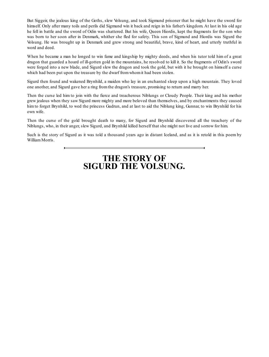But Siggeir, the jealous king of the Goths, slew Volsung, and took Sigmund prisoner that he might have the sword for himself. Only after many toils and perils did Sigmund win it back and reign in his father's kingdom. At last in his old age he fell in battle and the sword of Odin was shattered. But his wife, Queen Hiordis, kept the fragments for the son who was born to her soon after in Denmark, whither she fled for safety. This son of Sigmund and Hiordis was Sigurd the Volsung. He was brought up in Denmark and grew strong and beautiful, brave, kind of heart, and utterly truthful in word and deed.

When he became a man he longed to win fame and kingship by mighty deeds, and when his tutor told him of a great dragon that guarded a hoard of ill-gotten gold in the mountains, he resolved to kill it. So the fragments of Odin's sword were forged into a new blade, and Sigurd slew the dragon and took the gold, but with it he brought on himself a curse which had been put upon the treasure by the dwarf fromwhomit had been stolen.

Sigurd then found and wakened Brynhild, a maiden who lay in an enchanted sleep upon a high mountain. They loved one another, and Sigurd gave her a ring fromthe dragon's treasure, promising to return and marry her.

Then the curse led him to join with the fierce and treacherous Niblungs or Cloudy People. Their king and his mother grew jealous when they saw Sigurd more mighty and more beloved than themselves, and by enchantments they caused him to forget Brynhild, to wed the princess Gudrun, and at last to aid the Niblung king, Gunnar, to win Brynhild for his own wife.

Then the curse of the gold brought death to many, for Sigurd and Brynhild discovered all the treachery of the Niblungs, who, in their anger, slew Sigurd, and Brynhild killed herself that she might not live and sorrow for him.

<span id="page-5-0"></span>Such is the story of Sigurd as it was told a thousand years ago in distant Iceland, and as it is retold in this poem by WilliamMorris.

## **THE STORY OF SIGURD THE VOLSUNG.**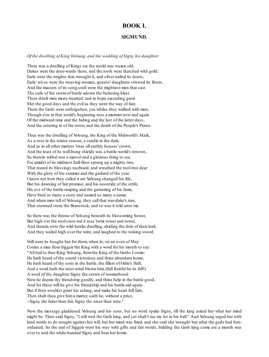#### **BOOK I.**

#### **SIGMUND.**

#### *Of the dwelling of King Volsung, and the wedding of Signy his daughter.*

There was a dwelling of Kings ere the world was waxen old; Dukes were the door-wards there, and the roofs were thatched with gold: Earls were the wrights that wrought it, and silver nailed its doors; Earls' wives were the weaving-women, queens' daughters strewed its floors, And the masters of its song-craft were the mightiest men that cast The sails of the stormof battle adown the bickering blast. There dwelt men merry-hearted, and in hope exceeding great Met the good days and the evil as they went the way of fate: There the Gods were unforgotten, yea whiles they walked with men, Though e'en in that world's beginning rose a murmur now and again Of the midward time and the fading and the last of the latter days, And the entering in of the terror, and the death of the People's Praise.

Thus was the dwelling of Volsung, the King of the Midworld's Mark, As a rose in the winter season, a candle in the dark; And as in all other matters 'twas all earthly houses' crown, And the least of its wall-hung shields was a battle-world's renown, So therein withal was a marvel and a glorious thing to see, For amidst of its midmost hall-floor sprang up a mighty tree, That reared its blessings roofward, and wreathed the roof-tree dear With the glory of the summer and the garland of the year. I know not how they called it ere Volsung changed his life, But his dawning of fair promise, and his noontide of the strife, His eve of the battle-reaping and the garnering of his fame, Have bred us many a story and named us many a name; And when men tell of Volsung, they call that war-duke's tree, That crowned stem, the Branstock; and so was it told unto me.

So there was the throne of Volsung beneath its blossoming bower, But high o'er the roof-crest red it rose 'twixt tower and tower, And therein were the wild hawks dwelling, abiding the dole of their lord; And they wailed high over the wine, and laughed to the waking sword.

Still were its boughs but for them, when lo, on an even of May Comes a man fromSiggeir the King with a word for his mouth to say: "All hail to thee King Volsung, fromthe King of the Goths I come: He hath heard of thy sword victorious and thine abundant home; He hath heard of thy sons in the battle, the fillers of Odin's Hall; And a word hath the west-wind blown him, (full fruitful be its fall!) A word of thy daughter Signy the crown of womanhood: Now he deems thy friendship goodly, and thine help in the battle good, And for these will he give his friendship and his battle-aid again: But if thou wouldst grant his asking, and make his heart full fain, Then shalt thou give hima matter, saith he, without a price, --Signy the fairer than fair, Signy the wiser than wise."

Now the message gladdened Volsung and his sons, but no word spake Signy, till the king asked her what her mind might be. Then said Signy, "I will wed the Goth king, and yet shall I rue my lot in his hall." And Volsung urged her with kind words to do nought against her will, but her mind was fixed, and she said she wrought but what the gods had foreordained. So the earl of Siggeir went his way with gifts and fair words, bidding the Goth king come ere a month was over to wed the white-handed Signy and bear her home.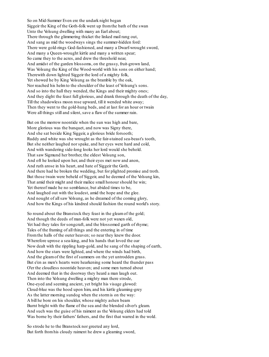So on Mid-Summer Even ere the undark night began Siggeir the King of the Goth-folk went up fromthe bath of the swan Unto the Volsung dwelling with many an Earl about; There through the glimmering thicket the linked mail rang out, And sang as mid the woodways sings the summer-hidden ford: There were gold-rings God-fashioned, and many a Dwarf-wrought sword, And many a Queen-wrought kirtle and many a written spear; So came they to the acres, and drew the threshold near, And amidst of the garden blossoms, on the grassy, fruit-grown land, Was Volsung the King of the Wood-world with his sons on either hand; Therewith down lighted Siggeir the lord of a mighty folk, Yet showed he by King Volsung as the bramble by the oak, Nor reached his helmto the shoulder of the least of Volsung's sons. And so into the hall they wended, the Kings and their mighty ones; And they dight the feast full glorious, and drank through the death of the day, Till the shadowless moon rose upward, till it wended white away; Then they went to the gold-hung beds, and at last for an hour or twain Were all things still and silent, save a flaw of the summer rain.

But on the morrow noontide when the sun was high and bare, More glorious was the banquet, and now was Signy there, And she sat beside King Siggeir, a glorious bride forsooth; Ruddy and white was she wrought as the fair-stained sea-beast's tooth, But she neither laughed nor spake, and her eyes were hard and cold, And with wandering side-long looks her lord would she behold. That saw Sigmund her brother, the eldest Volsung son, And oft he looked upon her, and their eyes met now and anon, And ruth arose in his heart, and hate of Siggeir the Goth, And there had he broken the wedding, but for plighted promise and troth. But those twain were beheld of Siggeir, and he deemed of the Volsung kin, That amid their might and their malice small honour should he win; Yet thereof made he no semblance, but abided times to be, And laughed out with the loudest, amid the hope and the glee. And nought of all saw Volsung, as he dreamed of the coming glory, And how the Kings of his kindred should fashion the round world's story.

So round about the Branstock they feast in the gleamof the gold; And though the deeds of man-folk were not yet waxen old, Yet had they tales for songcraft, and the blossomed garth of rhyme; Tales of the framing of all things and the entering in of time Fromthe halls of the outer heaven; so near they knew the door. Wherefore uprose a sea-king, and his hands that loved the oar Now dealt with the rippling harp-gold, and he sang of the shaping of earth, And how the stars were lighted, and where the winds had birth, And the gleamof the first of summers on the yet untrodden grass. But e'en as men's hearts were hearkening some heard the thunder pass O'er the cloudless noontide heaven; and some men turned about And deemed that in the doorway they heard a man laugh out. Then into the Volsung dwelling a mighty man there strode, One-eyed and seeming ancient, yet bright his visage glowed: Cloud-blue was the hood upon him, and his kirtle gleaming-grey As the latter morning sundog when the stormis on the way: A bill he bore on his shoulder, whose mighty ashen beam Burnt bright with the flame of the sea and the blended silver's gleam. And such was the guise of his raiment as the Volsung elders had told Was borne by their fathers' fathers, and the first that warred in the wold.

So strode he to the Branstock nor greeted any lord, But forth fromhis cloudy raiment he drew a gleaming sword,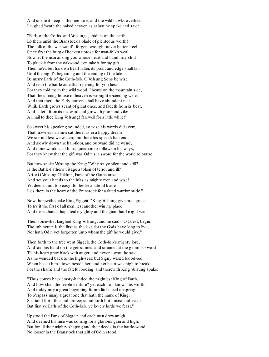And smote it deep in the tree-hole, and the wild hawks overhead Laughed 'neath the naked heaven as at last he spake and said:

"Earls of the Goths, and Volsungs, abiders on the earth, Lo there amid the Branstock a blade of plenteous worth! The folk of the war-wand's forgers wrought never better steel Since first the burg of heaven uprose for man-folk's weal. Now let the man among you whose heart and hand may shift To pluck it fromthe oakwood e'en take it for my gift. Then ne'er, but his own heart falter, its point and edge shall fail Until the night's beginning and the ending of the tale. Be merry Earls of the Goth-folk, O Volsung Sons be wise And reap the battle-acre that ripening for you lies: For they told me in the wild wood, I heard on the mountain side, That the shining house of heaven is wrought exceeding wide, And that there the Early-comers shall have abundant rest While Earth grows scant of great ones, and fadeth fromits best, And fadeth fromits midward and groweth poor and vile:-- All hail to thee King Volsung! farewell for a little while!"

So sweet his speaking sounded, so wise his words did seem, That moveless all men sat there, as in a happy dream We stir not lest we waken; but there his speech had end, And slowly down the hall-floor, and outward did he wend; And none would cast hima question or follow on his ways, For they knew that the gift was Odin's, a sword for the world to praise.

But now spake Volsung the King: "Why sit ye silent and still? Is the Battle-Father's visage a token of terror and ill? Arise O Volsung Children, Earls of the Goths arise, And set your hands to the hilts as mighty men and wise! Yet deemit not too easy; for belike a fateful blade Lies there in the heart of the Branstock for a fated warrior made."

Now therewith spake King Siggeir: "King Volsung give me a grace To try it the first of all men, lest another win my place And mere chance-hap steal my glory and the gain that I might win."

Then somewhat laughed King Volsung, and he said: "O Guest, begin; Though herein is the first as the last, for the Gods have long to live, Nor hath Odin yet forgotten unto whomthe gift he would give."

Then forth to the tree went Siggeir, the Goth-folk's mighty lord, And laid his hand on the gemstones, and strained at the glorious sword Till his heart grew black with anger; and never a word he said As he wended back to the high-seat: but Signy waxed blood-red When he sat himadown beside her; and her heart was nigh to break For the shame and the fateful boding: and therewith King Volsung spake:

"Thus comes back empty-handed the mightiest King of Earth, And how shall the feeble venture? yet each man knows his worth; And today may a great beginning froma little seed upspring To o'erpass many a great one that hath the name of King: So stand forth free and unfree; stand forth both most and least: But first ye Earls of the Goth-folk, ye lovely lords we feast."

Upstood the Earls of Siggeir, and each man drew anigh And deemed his time was coming for a glorious gain and high; But for all their mighty shaping and their deeds in the battle-wood, No looser in the Branstock that gift of Odin stood.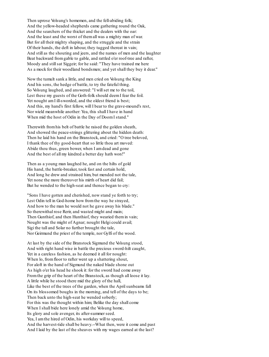Then uprose Volsung's homemen, and the fell-abiding folk; And the yellow-headed shepherds came gathering round the Oak, And the searchers of the thicket and the dealers with the oar: And the least and the worst of themall was a mighty man of war. But for all their mighty shaping, and the struggle and the strain Of their hands, the deft in labour, they tugged thereat in vain; And still as the shouting and jeers, and the names of men and the laughter Beat backward fromgable to gable, and rattled o'er roof-tree and rafter, Moody and stillsat Siggeir; for he said: "They have trained me here As a mock for their woodland bondsmen; and yet shall they buy it dear."

Now the tumult sank a little, and men cried on Volsung the King And his sons, the hedge of battle, to try the fateful thing. So Volsung laughed, and answered: "I willset me to the toil, Lest these my guests of the Goth-folk should deemI fear the foil. Yet nought am I ill-sworded, and the oldest friend is best; And this, my hand's first fellow, will I bear to the grave-mound's rest, Nor wield meanwhile another: Yea, this shall I have in hand When mid the host of Odin in the Day of DoomI stand."

Therewith fromhis belt of battle he raised the golden sheath, And showed the peace-strings glittering about the hidden death: Then he laid his hand on the Branstock, and cried: "O tree beloved, I thank thee of thy good-heart that so little thou art moved: Abide thou thus, green bower, when I amdead and gone And the best of all my kindred a better day hath won!"

Then as a young man laughed he, and on the hilts of gold His hand, the battle-breaker, took fast and certain hold, And long he drew and strained him, but mended not the tale, Yet none the more thereover his mirth of heart did fail; But he wended to the high-seat and thence began to cry:

"Sons I have gotten and cherished, now stand ye forth to try; Lest Odin tell in God-home how fromthe way he strayed, And how to the man he would not he gave away his blade." So therewithal rose Rerir, and wasted might and main; Then Gunthiof, and then Hunthiof, they wearied themin vain; Nought was the might of Agnar; nought Helgi could avail; Sigi the tall and Solar no further brought the tale, Nor Geirmund the priest of the temple, nor Gylfi of the wood.

At last by the side of the Branstock Sigmund the Volsung stood, And with right hand wise in battle the precious sword-hilt caught, Yet in a careless fashion, as he deemed it all for nought: When lo, from floor to rafter went up a shattering shout, For aloft in the hand of Sigmund the naked blade shone out As high o'er his head he shook it: for the sword had come away Fromthe grip of the heart of the Branstock, as though all loose it lay. A little while he stood there mid the glory of the hall, Like the best of the trees of the garden, when the April sunbeams fall On its blossomed boughs in the morning, and tell of the days to be; Then back unto the high-seat he wended soberly; For this was the thought within him; Belike the day shall come When I shall bide here lonely amid the Volsung home, Its glory and sole avenger, its after-summer seed. Yea, I amthe hired of Odin, his workday will to speed, And the harvest-tide shall be heavy.--What then, were it come and past And I laid by the last of the sheaves with my wages earned at the last?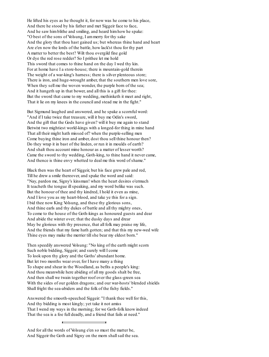He lifted his eyes as he thought it, for now was he come to his place, And there he stood by his father and met Siggeir face to face, And he saw himblithe and smiling, and heard himhow he spake: "O best of the sons of Volsung, I ammerry for thy sake And the glory that thou hast gained us; but whereas thine hand and heart Are e'en now the lords of the battle, how lack'st thou for thy part A matter to better the best? Wilt thou overgild fine gold Or dye the red rose redder? So I prithee let me hold This sword that comes to thine hand on the day I wed thy kin. For at home have I a store-house; there is mountain-gold therein The weight of a war-king's harness; there is silver plenteous store; There is iron, and huge-wrought amber, that the southern men love sore, When they sell me the woven wonder, the purple born of the sea; And it hangeth up in that bower, and all this is a gift for thee: But the sword that came to my wedding, methinketh it meet and right, That it lie on my knees in the council and stead me in the fight."

But Sigmund laughed and answered, and he spake a scornful word: "And if I take twice that treasure, will it buy me Odin's sword, And the gift that the Gods have given? will it buy me again to stand Betwixt two mightiest world-kings with a longed-for thing in mine hand That all their might hath missed of? when the purple-selling men Come buying thine iron and amber, dost thou sell thine honour then? Do they wrap it in bast of the linden, or run it in moulds of earth? And shalt thou account mine honour as a matter of lesser worth? Came the sword to thy wedding, Goth-king, to thine hand it never came, And thence is thine envy whetted to deal me this word of shame."

Black then was the heart of Siggeir, but his face grew pale and red, Till he drew a smile thereover, and spake the word and said: "Nay, pardon me, Signy's kinsman! when the heart desires o'ermuch It teacheth the tongue ill speaking, and my word belike was such. But the honour of thee and thy kindred, I hold it even as mine, And I love you as my heart-blood, and take ye this for a sign. I bid thee now King Volsung, and these thy glorious sons, And thine earls and thy dukes of battle and all thy mighty ones, To come to the house of the Goth-kings as honoured guests and dear And abide the winter over; that the dusky days and drear May be glorious with thy presence, that all folk may praise my life, And the friends that my fame hath gotten; and that this my new-wed wife Thine eyes may make the merrier till she bear my eldest born."

Then speedily answered Volsung: "No king of the earth might scorn Such noble bidding, Siggeir; and surely will I come To look upon thy glory and the Goths' abundant home. But let two months wear over, for I have many a thing To shape and shear in the Woodland, as befits a people's king: And thou meanwhile here abiding of all my goods shalt be free, And then shall we twain together roof over the glass-green sea With the sides of our golden dragons; and our war-hosts' blended shields Shall fright the sea-abiders and the folk of the fishy fields."

Answered the smooth-speeched Siggeir: "I thank thee well for this, And thy bidding is most kingly; yet take it not amiss That I wend my ways in the morning; for we Goth-folk know indeed That the sea is a foe full deadly, and a friend that fails at need."

 $\overline{a}$ 

And for all the words of Volsung e'en so must the matter be, And Siggeir the Goth and Signy on the morn shallsail the sea.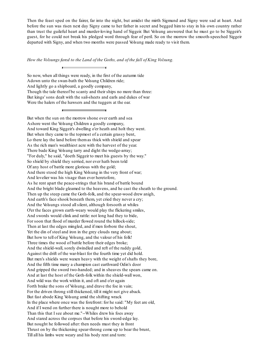Then the feast sped on the fairer, far into the night, but amidst the mirth Sigmund and Signy were sad at heart. And before the sun was risen next day Signy came to her father in secret and begged him to stay in his own country rather than trust the guileful heart and murder-loving hand of Siggeir. But Volsung answered that he must go to be Siggeir's guest, for he could not break his pledged word through fear of peril. So on the morrow the smooth-speeched Siggeir departed with Signy, and when two months were passed Volsung made ready to visit them.

*How the Volsungs fared to the Land of the Goths, and of the fall of King Volsung.*

So now, when all things were ready, in the first of the autumn tide Adown unto the swan-bath the Volsung Children ride; And lightly go a shipboard, a goodly company, Though the tale thereof be scanty and their ships no more than three: But kings' sons dealt with the sail-sheets and earls and dukes of war Were the halers of the hawsers and the tuggers at the oar.

<u> The Common School and Common School and Common School and Common School and Common School and Common School and</u>

 $\overline{ }$ 

But when the sun on the morrow shone over earth and sea Ashore went the Volsung Children a goodly company, And toward King Siggeir's dwelling o'er heath and holt they went. But when they came to the topmost of a certain grassy bent, Lo there lay the land before themas thick with shield and spear As the rich man's wealthiest acre with the harvest of the year. There bade King Volsung tarry and dight the wedge-array; "For duly," he said, "doeth Siggeir to meet his guests by the way." So shield by shield they serried, nor ever hath been told Of any host of battle more glorious with the gold; And there stood the high King Volsung in the very front of war; And lovelier was his visage than ever heretofore, As he rent apart the peace-strings that his brand of battle bound And the bright blade gleamed to the heavens, and he cast the sheath to the ground. Then up the steep came the Goth-folk, and the spear-wood drew anigh, And earth's face shook beneath them, yet cried they never a cry; And the Volsungs stood allsilent, although forsooth at whiles O'er the faces grown earth-weary would play the flickering smiles, And swords would clink and rattle: not long had they to bide, For soon that flood of murder flowed round the hillock-side; Then at last the edges mingled, and if men forbore the shout, Yet the din of steel and iron in the grey clouds rang about; But how to tell of King Volsung, and the valour of his folk! Three times the wood of battle before their edges broke; And the shield-wall, sorely dwindled and reft of the ruddy gold, Against the drift of the war-blast for the fourth time yet did hold. But men's shields were waxen heavy with the weight of shafts they bore, And the fifth time many a champion cast earthward Odin's door And gripped the sword two-handed; and in sheaves the spears came on. And at last the host of the Goth-folk within the shield-wall won, And wild was the work within it, and oft and o'er again Forth brake the sons of Volsung, and drave the foe in vain; For the driven throng still thickened, till it might not give aback. But fast abode King Volsung amid the shifting wrack In the place where once was the forefront: for he said: "My feet are old, And if I wend on further there is nought more to behold Than this that I see about me."--Whiles drew his foes away And stared across the corpses that before his sword-edge lay. But nought he followed after: then needs must they in front Thrust on by the thickening spear-throng come up to bear the brunt, Till all his limbs were weary and his body rent and torn: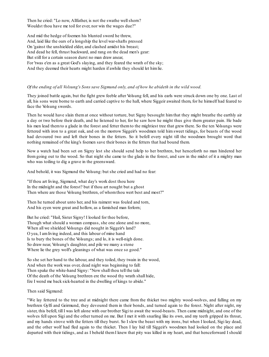Then he cried: "Lo now, Allfather, is not the swathe wellshorn? Wouldst thou have me toil for ever, nor win the wages due?"

And mid the hedge of foemen his blunted sword he threw, And, laid like the oars of a longship the level war-shafts pressed On 'gainst the unshielded elder, and clashed amidst his breast; And dead he fell, thrust backward, and rang on the dead men's gear: But still for a certain season durst no man draw anear, For 'twas e'en as a great God's slaying, and they feared the wrath of the sky; And they deemed their hearts might harden if awhile they should let himlie.

#### Of the ending of all Volsung's Sons save Sigmund only, and of how he abideth in the wild wood.

They joined battle again, but the fight grew feeble after Volsung fell, and his earls were struck down one by one. Last of all, his sons were borne to earth and carried captive to the hall, where Siggeir awaited them, for he himself had feared to face the Volsung swords.

Then he would have slain them at once without torture, but Signy besought him that they might breathe the earthly air a day or two before their death, and he listened to her, for he saw how he might thus give them greater pain. He bade his men lead themto a glade in the forest and fetter themto the mightiest tree that grew there. So the ten Volsungs were fettered with iron to a great oak, and on the morrow Siggeir's woodmen told him sweet tidings, for beasts of the wood had devoured two and left their bones in the fetters. So it befell every night till the woodmen brought word that nothing remained of the king's foemen save their bones in the fetters that had bound them.

Now a watch had been set on Signy lest she should send help to her brethren, but henceforth no man hindered her from going out to the wood. So that night she came to the glade in the forest, and saw in the midst of it a mighty man who was toiling to dig a grave in the greensward.

And behold, it was Sigmund the Volsung: but she cried and had no fear:

"If thou art living, Sigmund, what day's work dost thou here In the midnight and the forest? but if thou art nought but a ghost Then where are those Volsung brethren, of whomthou wert best and most?"

Then he turned about unto her, and his raiment was fouled and torn, And his eyen were great and hollow, as a famished man forlorn;

But he cried: "Hail, Sister Signy! I looked for thee before, Though what should a woman compass, she one alone and no more, When all we shielded Volsungs did nought in Siggeir's land? O yea, I amliving indeed, and this labour of mine hand Is to bury the bones of the Volsungs; and lo, it is well-nigh done. So draw near, Volsung's daughter, and pile we many a stone Where lie the grey wolf's gleanings of what was once so good."

So she set her hand to the labour, and they toiled, they twain in the wood, And when the work was over, dead night was beginning to fall: Then spake the white-hand Signy: "Now shall thou tell the tale Of the death of the Volsung brethren ere the wood thy wrath shall hide, Ere I wend me back sick-hearted in the dwelling of kings to abide."

Then said Sigmund:

"We lay fettered to the tree and at midnight there came from the thicket two mighty wood-wolves, and falling on my brethren Gylfi and Geirmund, they devoured them in their bonds, and turned again to the forest. Night after night, my sister, this befell, till I was left alone with our brother Sigi to await the wood-beasts. Then came midnight, and one of the wolves fell upon Sigi and the other turned on me. But I met it with snarling like its own, and my teeth gripped its throat, and my hands strove with the fetters till they burst. So I slew the beast with my irons, but when I looked, Sigi lay dead, and the other wolf had fled again to the thicket. Then I lay hid till Siggeir's woodmen had looked on the place and departed with their tidings, and as I beheld themI knew that pity was killed in my heart, and that henceforward I should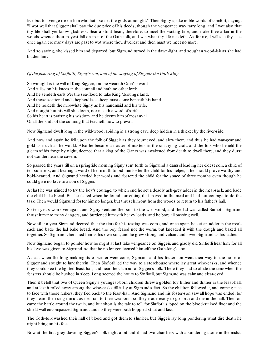live but to avenge me on him who hath so set the gods at nought." Then Signy spake noble words of comfort, saying: "I wot well that Siggeir shall pay the due price of his deeds, though the vengeance may tarry long, and I wot also that thy life shall yet know gladness. Bear a stout heart, therefore, to meet the waiting time, and make thee a lair in the woods whence thou mayest fall on men of the Goth-folk, and win what thy life needeth. As for me, I will see thy face once again ere many days are past to wot where thou dwellest and then must we meet no more."

And so saying, she kissed him and departed, but Sigmund turned in the dawn-light, and sought a wood-lair as she had bidden him.

#### *Of the fostering of Sinfiotli, Signy's son, and of the slaying of Siggeir the Goth-king.*

So wrought is the will of King Siggeir, and he weareth Odin's sword And it lies on his knees in the council and hath no other lord: And he sendeth earls o'er the sea-flood to take King Volsung's land, And those scattered and shepherdless sheep must come beneath his hand. And he holdeth the milk-white Signy as his handmaid and his wife, And nought but his will she doeth, nor raiseth a word of strife; So his heart is praising his wisdom, and he deems himof most avail Of all the lords of the cunning that teacheth how to prevail.

Now Sigmund dwelt long in the wild-wood, abiding in a strong cave deep hidden in a thicket by the river-side.

And now and again he fell upon the folk of Siggeir as they journeyed, and slew them, and thus he had war-gear and gold as much as he would. Also he became a master of masters in the smithying craft, and the folk who beheld the gleam of his forge by night, deemed that a king of the Giants was awakened from death to dwell there, and they durst not wander near the cavern.

So passed the years till on a springtide morning Signy sent forth to Sigmund a damsel leading her eldest son, a child of ten summers, and bearing a word of her mouth to bid him foster the child for his helper, if he should prove worthy and bold-hearted. And Sigmund heeded her words and fostered the child for the space of three months even though he could give no love to a son of Siggeir.

At last he was minded to try the boy's courage, to which end he set a deadly ash-grey adder in the meal-sack, and bade the child bake bread. But he feared when he found something that moved in the meal and had not courage to do the task. Then would Sigmund foster himno longer, but thrust himout fromthe woods to return to his father's hall.

So ten years won over again, and Signy sent another son to the wild-wood, and the lad was called Sinfiotli. Sigmund thrust himinto many dangers, and burdened himwith heavy loads, and he bore all passing well.

Now after a year Sigmund deemed that the time for his testing was come, and once again he set an adder in the mealsack and bade the lad bake bread. And the boy feared not the worm, but kneaded it with the dough and baked all together. So Sigmund cherished himas his own son, and he grew strong and valiant and loved Sigmund as his father.

Now Sigmund began to ponder how he might at last take vengeance on Siggeir, and gladly did Sinfiotli hear him, for all his love was given to Sigmund, so that he no longer deemed himself the Goth-king's son.

At last when the long mirk nights of winter were come, Sigmund and his foster-son went their way to the home of Siggeir and sought to lurk therein. Then Sinfiotli led the way to a storehouse where lay great wine-casks, and whence they could see the lighted feast-hall, and hear the clamour of Siggeir's folk. There they had to abide the time when the feasters should be hushed in sleep. Long seemed the hours to Sinfiotli, but Sigmund was calmand clear-eyed.

Then it befell that two of Queen Signy's youngest-born children threw a golden toy hither and thither in the feast-hall, and at last it rolled away among the wine-casks till it lay at Sigmund's feet. So the children followed it, and coming face to face with those lurkers, they fled back to the feast-hall. And Sigmund and his foster-son saw all hope was ended, for they heard the rising tumult as men ran to their weapons; so they made ready to go forth and die in the hall. Then on came the battle around the twain, and but short is the tale to tell, for Sinfiotli slipped on the blood-stained floor and the shield wall encompassed Sigmund, and so they were both hoppled strait and fast.

The Goth-folk washed their hall of blood and got them to slumber, but Siggeir lay long pondering what dire death he might bring on his foes.

Now at the first grey dawning Siggeir's folk dight a pit and it had two chambers with a sundering stone in the midst.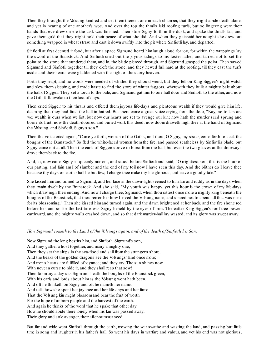Then they brought the Volsung kindred and set them therein, one in each chamber, that they might abide death alone, and yet in hearing of one another's woe. And over the top the thralls laid roofing turfs, but so lingering were their hands that eve drew on ere the task was finished. Then stole Signy forth in the dusk, and spake the thralls fair, and gave them gold that they might hold their peace of what she did. And when they gainsaid her nought she drew out something wrapped in wheat straw, and cast it down swiftly into the pit where Sinfiotli lay, and departed.

Sinfiotli at first deemed it food, but after a space Sigmund heard him laugh aloud for joy, for within the wrappings lay the sword of the Branstock. And Sinfiotli cried out the joyous tidings to his foster-father, and tarried not to set the point to the stone that sundered them, and lo, the blade pierced through, and Sigmund grasped the point. Then sawed Sigmund and Sinfiotli together till they cleft the stone, and they hewed full hard at the roofing, till they cast the turfs aside, and their hearts were gladdened with the sight of the starry heaven.

Forth they leapt, and no words were needed of whither they should wend, but they fell on King Siggeir's night-watch and slew them sleeping, and made haste to find the store of winter faggots, wherewith they built a mighty bale about the hall of Siggeir. They set a torch to the bale, and Sigmund gat himto one hall door and Sinfiotli to the other, and now the Goth-folk awoke to their last of days.

Then cried Siggeir to his thralls and offered them joyous life-days and plenteous wealth if they would give him life, deeming that they had fired the hall in hatred. But there came a great voice crying from the door, "Nay, no toilers are we; wealth is ours when we list, but now our hearts are set to avenge our kin; now hath the murder seed sprung and borne its fruit; now the death-doomed and buried work this deed; now doomdraweth nigh thee at the hand of Sigmund the Volsung, and Sinfiotli, Signy's son."

Then the voice cried again, "Come ye forth, women of the Goths, and thou, O Signy, my sister, come forth to seek the boughs of the Branstock." So fled the white-faced women from the fire, and passed scatheless by Sinfiotli's blade, but Signy came not at all. Then the earls of Siggeir strove to burst from the hall, but ever the two glaives at the doorways drove themback to the fire.

And, lo, now came Signy in queenly raiment, and stood before Sinfiotli and said, "O mightiest son, this is the hour of our parting, and fain am I of slumber and the end of my toil now I have seen this day. And the blither do I leave thee because thy days on earth shall be but few; I charge thee make thy life glorious, and leave a goodly tale."

She kissed himand turned to Sigmund, and her face in the dawn-light seemed to himfair and ruddy as in the days when they twain dwelt by the Branstock. And she said, "My youth was happy, yet this hour is the crown of my life-days which draw nigh their ending. And now I charge thee, Sigmund, when thou sittest once more a mighty king beneath the boughs of the Branstock, that thou remember how I loved the Volsung name, and spared not to spend all that was mine for its blossoming." Then she kissed himand turned again, and the dawn brightened at her back, and the fire shone red before her, and so for the last time was Signy beheld by the eyes of men. Thereafter King Siggeir's roof-tree bowed earthward, and the mighty walls crashed down, and so that dark murder-hall lay wasted, and its glory was swept away.

#### *How Sigmund cometh to the Land of the Volsungs again, and of the death of Sinfiotli his Son.*

Now Sigmund the king bestirs him, and Sinfiotli, Sigmund's son, And they gather a host together, and many a mighty one; Then they set the ships in the sea-flood and sail fromthe stranger's shore, And the beaks of the golden dragons see the Volsungs' land once more; And men's hearts are fulfilled of joyance; and they cry, The sun shines now With never a curse to hide it, and they shall reap that sow! Then for many a day sits Sigmund 'neath the boughs of the Branstock green, With his earls and lords about him as the Volsung wont hath been. And oft he thinketh on Signy and oft he nameth her name, And tells how she spent her joyance and her life-days and her fame That the Volsung kin might blossomand bear the fruit of worth For the hope of unborn people and the harvest of the earth. And again he thinks of the word that he spake that other day, How he should abide there lonely when his kin was passed away, Their glory and sole avenger, their after-summer seed.

But far and wide went Sinfiotli through the earth, mowing the war swathe and wasting the land, and passing but little time in song and laughter in his father's hall. So went his days in warfare and valour, and yet his end was not glorious,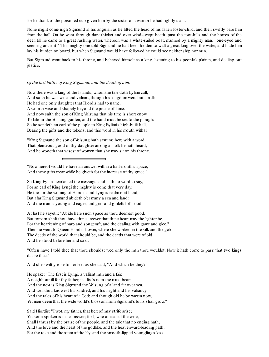for he drank of the poisoned cup given himby the sister of a warrior he had rightly slain.

None might come nigh Sigmund in his anguish as he lifted the head of his fallen foster-child, and then swiftly bare him from the hall. On he went through dark thicket and over wind-swept heath, past the foot-hills and the homes of the deer, till he came to a great rushing water, whereon was a white-sailed boat, manned by a mighty man, "one-eyed and seeming ancient." This mighty one told Sigmund he had been bidden to waft a great king over the water, and bade him lay his burden on board, but when Sigmund would have followed he could see neither ship nor man.

But Sigmund went back to his throne, and behaved himself as a king, listening to his people's plaints, and dealing out justice.

#### *Of the last battle of King Sigmund, and the death of him.*

Now there was a king of the Islands, whomthe tale doth Eylimi call, And saith he was wise and valiant, though his kingdomwere but small: He had one only daughter that Hiordis had to name, A woman wise and shapely beyond the praise of fame. And now saith the son of King Volsung that his time is short enow To labour the Volsung garden, and the hand must be set to the plough: So he sendeth an earl of the people to King Eylimi's high-built hall, Bearing the gifts and the tokens, and this word in his mouth withal:

"King Sigmund the son of Volsung hath sent me here with a word That plenteous good of thy daughter among all folk he hath heard, And he wooeth that wisest of women that she may sit on his throne.

"Now hereof would he have an answer within a half-month's space, And these gifts meanwhile he giveth for the increase of thy grace."

So King Eylimi hearkened the message, and hath no word to say, For an earl of King Lyngi the mighty is come that very day, He too for the wooing of Hiordis: and Lyngi's realmis at hand, But afar King Sigmund abideth o'er many a sea and land: And the man is young and eager, and grimand guileful of mood.

At last he sayeth: "Abide here such space as thou deemest good, But tomorn shalt thou have thine answer that thine heart may the lighter be, For the hearkening of harp and songcraft, and the dealing with game and glee." Then he went to Queen Hiordis' bower, where she worked in the silk and the gold The deeds of the world that should be, and the deeds that were of old. And he stood before her and said:

"Often have I told thee that thou shouldst wed only the man thou wouldst. Now it hath come to pass that two kings desire thee."

And she swiftly rose to her feet as she said, "And which be they?"

He spake: "The first is Lyngi, a valiant man and a fair, A neighbour ill for thy father, if a foe's name he must bear: And the next is King Sigmund the Volsung of a land far over sea, And well thou knowest his kindred, and his might and his valiancy, And the tales of his heart of a God; and though old he be waxen now, Yet men deem that the wide world's blossom from Sigmund's loins shall grow."

Said Hiordis: "I wot, my father, that hereof may strife arise; Yet soon spoken is mine answer; for I, who amcalled the wise, Shall I thrust by the praise of the people, and the tale that no ending hath, And the love and the heart of the godlike, and the heavenward-leading path, For the rose and the stemof the lily, and the smooth-lipped youngling's kiss,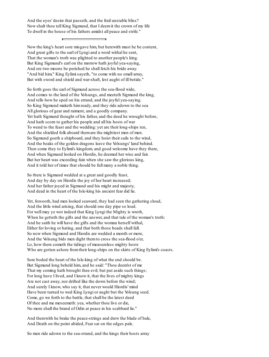And the eyes' desire that passeth, and the frail unstable bliss? Now shalt thou tell King Sigmund, that I deemit the crown of my life To dwell in the house of his fathers amidst all peace and strife."

Now the king's heart sore misgave him, but herewith must he be content, And great gifts to the earl of Lyngi and a word withal he sent, That the woman's troth was plighted to another people's king. But King Sigmund's earl on the morrow hath joyful yea-saying, And ere two moons be perished he shall fetch his bride away. "And bid him," King Eylimi sayeth, "to come with no small array, But with sword and shield and war-shaft, lest aught of ill betide."

So forth goes the earl of Sigmund across the sea-flood wide, And comes to the land of the Volsungs, and meeteth Sigmund the king, And tells how he sped on his errand, and the joyful yea-saying. So King Sigmund maketh himready, and they ride adown to the sea All glorious of gear and raiment, and a goodly company. Yet hath Sigmund thought of his father, and the deed he wrought before, And hath scorn to gather his people and all his hosts of war To wend to the feast and the wedding: yet are their long-ships ten, And the shielded folk aboard themare the mightiest men of men. So Sigmund goeth a shipboard, and they hoist their sails to the wind, And the beaks of the golden dragons leave the Volsungs' land behind. Then come they to Eylimi's kingdom, and good welcome have they there, And when Sigmund looked on Hiordis, he deemed her wise and fair. But her heart was exceeding fain when she saw the glorious king, And it told her of times that should be full many a noble thing.

So there is Sigmund wedded at a great and goodly feast, And day by day on Hiordis the joy of her heart increased; And her father joyed in Sigmund and his might and majesty, And dead in the heart of the Isle-king his ancient fear did lie.

Yet, forsooth, had men looked seaward, they had seen the gathering cloud, And the little wind arising, that should one day pipe so loud. For well may ye wot indeed that King Lyngi the Mighty is wroth, When he getteth the gifts and the answer, and that tale of the woman's troth: And he saith he will have the gifts and the woman herself withal, Either for loving or hating, and that both those heads shall fall. So now when Sigmund and Hiordis are wedded a month or more, And the Volsung bids men dight themto cross the sea-flood o'er, Lo, how there cometh the tidings of measureless mighty hosts Who are gotten ashore fromtheir long-ships on the skirts of King Eylimi's coasts.

Sore boded the heart of the Isle-king of what the end should be. But Sigmund long beheld him, and he said: "Thou deem'st of me That my coming hath brought thee evil; but put aside such things; For long have I lived, and I know it, that the lives of mighty kings Are not cast away, nor drifted like the down before the wind; And surely I know, who say it, that never would Hiordis' mind Have been turned to wed King Lyngi or aught but the Volsung seed. Come, go we forth to the battle, that shall be the latest deed Of thee and me meseemeth: yea, whether thou live or die, No more shall the brand of Odin at peace in his scabbard lie."

And therewith he brake the peace-strings and drew the blade of bale, And Death on the point abided, Fear sat on the edges pale.

So men ride adown to the sea-strand, and the kings their hosts array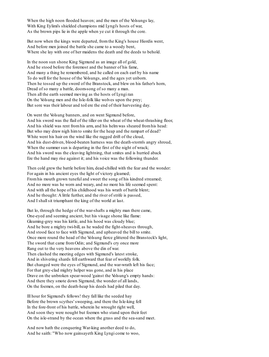When the high noon flooded heaven; and the men of the Volsungs lay, With King Eylimi's shielded champions mid Lyngi's hosts of war, As the brown pips lie in the apple when ye cut it through the core.

But now when the kings were departed, fromthe King's house Hiordis went, And before men joined the battle she came to a woody bent, Where she lay with one of her maidens the death and the deeds to behold.

In the noon sun shone King Sigmund as an image all of gold, And he stood before the foremost and the banner of his fame, And many a thing he remembered, and he called on each earl by his name To do well for the house of the Volsungs, and the ages yet unborn. Then he tossed up the sword of the Branstock, and blew on his father's horn, Dread of so many a battle, doom-song of so many a man. Then all the earth seemed moving as the hosts of Lyngi ran On the Volsung men and the Isle-folk like wolves upon the prey; But sore was their labour and toil ere the end of their harvesting day.

On went the Volsung banners, and on went Sigmund before, And his sword was the flail of the tiller on the wheat of the wheat-thrashing floor, And his shield was rent fromhis arm, and his helmwas sheared fromhis head: But who may draw nigh himto smite for the heap and the rampart of dead? White went his hair on the wind like the ragged drift of the cloud, And his dust-driven, blood-beaten harness was the death-storm's angry shroud, When the summer sun is departing in the first of the night of wrack; And his sword was the cleaving lightning, that smites and is hurried aback Ere the hand may rise against it; and his voice was the following thunder.

Then cold grew the battle before him, dead-chilled with the fear and the wonder: For again in his ancient eyes the light of victory gleamed; Fromhis mouth grown tuneful and sweet the song of his kindred streamed; And no more was he worn and weary, and no more his life seemed spent: And with all the hope of his childhood was his wrath of battle blent; And he thought: A little further, and the river of strife is passed, And I shallsit triumphant the king of the world at last.

But lo, through the hedge of the war-shafts a mighty man there came, One-eyed and seeming ancient, but his visage shone like flame: Gleaming-grey was his kirtle, and his hood was cloudy blue; And he bore a mighty twi-bill, as he waded the fight-sheaves through, And stood face to face with Sigmund, and upheaved the bill to smite. Once more round the head of the Volsung fierce glittered the Branstock's light, The sword that came fromOdin; and Sigmund's cry once more Rang out to the very heavens above the din of war. Then clashed the meeting edges with Sigmund's latest stroke, And in shivering shards fell earthward that fear of worldly folk. But changed were the eyes of Sigmund, and the war-wrath left his face; For that grey-clad mighty helper was gone, and in his place Drave on the unbroken spear-wood 'gainst the Volsung's empty hands: And there they smote down Sigmund, the wonder of all lands, On the foemen, on the death-heap his deeds had piled that day.

Ill hour for Sigmund's fellows! they fall like the seeded hay Before the brown scythes' sweeping, and there the Isle-king fell In the fore-front of his battle, wherein he wrought right well, And soon they were nought but foemen who stand upon their feet On the isle-strand by the ocean where the grass and the sea-sand meet.

And now hath the conquering War-king another deed to do, And he saith: "Who now gainsayeth King Lyngi come to woo,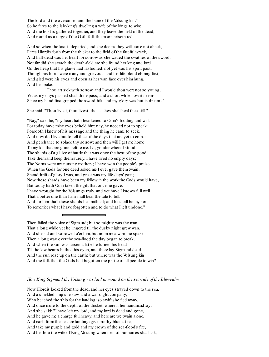The lord and the overcomer and the bane of the Volsung kin?" So he fares to the Isle-king's dwelling a wife of the kings to win; And the host is gathered together, and they leave the field of the dead; And round as a targe of the Goth-folk the moon ariseth red.

And so when the last is departed, and she deems they will come not aback, Fares Hiordis forth fromthe thicket to the field of the fateful wrack, And half-dead was her heart for sorrow as she waded the swathes of the sword. Not far did she search the death-field ere she found her king and lord On the heap that his glaive had fashioned: not yet was his spirit past, Though his hurts were many and grievous, and his life-blood ebbing fast; And glad were his eyes and open as her wan face over himhung, And he spake:

"Thou art sick with sorrow, and I would thou wert not so young; Yet as my days passed shall thine pass; and a short while now it seems Since my hand first gripped the sword-hilt, and my glory was but in dreams."

She said: "Thou livest, thou livest! the leeches shall heal thee still."

"Nay," said he, "my heart hath hearkened to Odin's bidding and will; For today have mine eyes beheld him: nay, he needed not to speak: Forsooth I knew of his message and the thing he came to seek. And now do I live but to tell thee of the days that are yet to come: And perchance to solace thy sorrow; and then will I get me home To my kin that are gone before me. Lo, yonder where I stood The shards of a glaive of battle that was once the best of the good: Take them and keep them surely. I have lived no empty days; The Norns were my nursing mothers; I have won the people's praise. When the Gods for one deed asked me I ever gave themtwain; Spendthrift of glory I was, and great was my life-days' gain; Now these shards have been my fellow in the work the Gods would have, But today hath Odin taken the gift that once he gave. I have wrought for the Volsungs truly, and yet have I known full well That a better one than I amshall bear the tale to tell: And for himshall these shards be smithied; and he shall be my son To remember what I have forgotten and to do what I left undone."

Then failed the voice of Sigmund; but so mighty was the man, That a long while yet he lingered till the dusky night grew wan, And she sat and sorrowed o'er him, but no more a word he spake. Then a long way over the sea-flood the day began to break; And when the sun was arisen a little he turned his head Till the low beams bathed his eyen, and there lay Sigmund dead. And the sun rose up on the earth; but where was the Volsung kin And the folk that the Gods had begotten the praise of all people to win?

#### *How King Sigmund the Volsung was laid in mound on the sea-side of the Isle-realm.*

Now Hiordis looked fromthe dead, and her eyes strayed down to the sea, And a shielded ship she saw, and a war-dight company, Who beached the ship for the landing: so swift she fled away, And once more to the depth of the thicket, wherein her handmaid lay: And she said: "I have left my lord, and my lord is dead and gone, And he gave me a charge full heavy, and here are we twain alone, And earls fromthe sea are landing: give me thy blue attire, And take my purple and gold and my crown of the sea-flood's fire, And be thou the wife of King Volsung when men of our names shall ask,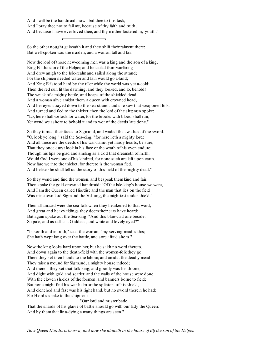And I will be the handmaid: now I bid thee to this task, And I pray thee not to fail me, because of thy faith and truth, And because I have ever loved thee, and thy mother fostered my youth."

So the other nought gainsaith it and they shift their raiment there: But well-spoken was the maiden, and a woman tall and fair.

Now the lord of those new-coming men was a king and the son of a king, King Elf the son of the Helper, and he sailed fromwarfaring And drew anigh to the Isle-realmand sailed along the strand; For the shipmen needed water and fain would go a-land; And King Elf stood hard by the tiller while the world was yet a-cold: Then the red sun lit the dawning, and they looked, and lo, behold! The wrack of a mighty battle, and heaps of the shielded dead, And a woman alive amidst them, a queen with crowned head, And her eyes strayed down to the sea-strand, and she saw that weaponed folk, And turned and fled to the thicket: then the lord of the shipmen spoke: "Lo, here shall we lack for water, for the brooks with blood shall run, Yet wend we ashore to behold it and to wot of the deeds late done."

So they turned their faces to Sigmund, and waded the swathes of the sword. "O, look ye long," said the Sea-king, "for here lieth a mighty lord: And all these are the deeds of his war-flame, yet hardy hearts, be sure, That they once durst look in his face or the wrath of his eyen endure; Though his lips be glad and smiling as a God that dreameth of mirth. Would God I were one of his kindred, for none such are left upon earth. Now fare we into the thicket, for thereto is the woman fled, And belike she shall tell us the story of this field of the mighty dead."

So they wend and find the women, and bespeak themkind and fair: Then spake the gold-crowned handmaid: "Of the Isle-king's house we were, And I amthe Queen called Hiordis; and the man that lies on the field Was mine own lord Sigmund the Volsung, the mightiest under shield."

Then all amazed were the sea-folk when they hearkened to that word, And great and heavy tidings they deemtheir ears have heard: But again spake out the Sea-king: "And this blue-clad one beside, So pale, and as tall as a Goddess, and white and lovely eyed?"

"In sooth and in troth," said the woman, "my serving-maid is this; She hath wept long over the battle, and sore afraid she is."

Now the king looks hard upon her, but he saith no word thereto, And down again to the death-field with the women-folk they go. There they set their hands to the labour, and amidst the deadly mead They raise a mound for Sigmund, a mighty house indeed; And therein they set that folk-king, and goodly was his throne, And dight with gold and scarlet: and the walls of the house were done With the cloven shields of the foemen, and banners borne to field; But none might find his war-helmor the splinters of his shield, And clenched and fast was his right hand, but no sword therein he had: For Hiordis spake to the shipmen:

"Our lord and master bade That the shards of his glaive of battle should go with our lady the Queen: And by themthat lie a-dying a many things are seen."

*How Queen Hiordis is known; and how she abideth in the house of Elf the son of the Helper.*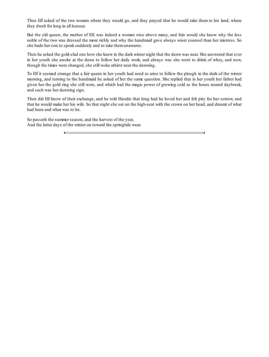Then Elf asked of the two women where they would go, and they prayed that he would take them to his land, where they dwelt for long in all honour.

But the old queen, the mother of Elf, was indeed a woman wise above many, and fain would she know why the less noble of the two was dressed the more richly and why the handmaid gave always wiser counsel than her mistress. So she bade her son to speak suddenly and to take themunawares.

Then he asked the gold-clad one how she knew in the dark winter night that the dawn was near. She answered that ever in her youth she awoke at the dawn to follow her daily work, and always was she wont to drink of whey, and now, though the times were changed, she still woke athirst near the dawning.

To Elf it seemed strange that a fair queen in her youth had need to arise to follow the plough in the dark of the winter morning, and turning to the handmaid he asked of her the same question. She replied that in her youth her father had given her the gold ring she still wore, and which had the magic power of growing cold as the hours neared daybreak, and such was her dawning sign.

Then did Elf know of their exchange, and he told Hiordis that long had he loved her and felt pity for her sorrow, and that he would make her his wife. So that night she sat on the high-seat with the crown on her head, and dreamt of what had been and what was to be.

<span id="page-20-0"></span>So passeth the summer season, and the harvest of the year, And the latter days of the winter on toward the springtide wear.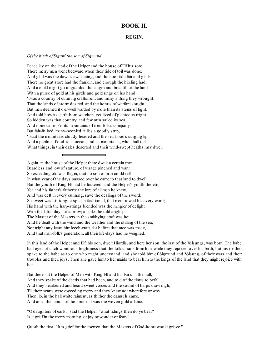#### **BOOK II.**

#### **REGIN.**

#### *Of the birth of Sigurd the son of Sigmund*.

Peace lay on the land of the Helper and the house of Elf his son; There merry men went bedward when their tide of toil was done, And glad was the dawn's awakening, and the noontide fair and glad: There no great store had the franklin, and enough the hireling had; And a child might go unguarded the length and breadth of the land With a purse of gold at his girdle and gold rings on his hand. 'Twas a country of cunning craftsmen, and many a thing they wrought, That the lands of stormdesired, and the homes of warfare sought. But men deemed it o'er-well warded by more than its stems of fight, And told how its earth-born watchers yet lived of plenteous might. So hidden was that country, and few men sailed its sea, And none came o'er its mountains of men-folk's company. But fair-fruited, many-peopled, it lies a goodly strip, 'Twixt the mountains cloudy-headed and the sea-flood's surging lip, And a perilous flood is its ocean, and its mountains, who shall tell What things, in their dales deserted and their wind-swept heaths may dwell.

Again, in the house of the Helper there dwelt a certain man Beardless and low of stature, of visage pinched and wan: So exceeding old was Regin, that no son of man could tell In what year of the days passed over he came to that land to dwell: But the youth of King Elf had he fostered, and the Helper's youth thereto, Yea and his father's father's: the lore of all men he knew, And was deft in every cunning, save the dealings of the sword: So sweet was his tongue-speech fashioned, that men trowed his every word; His hand with the harp-strings blended was the mingler of delight With the latter days of sorrow; all tales he told aright; The Master of the Masters in the smithying craft was he; And he dealt with the wind and the weather and the stilling of the sea; Nor might any learn himleech-craft, for before that race was made, And that man-folk's generation, all their life-days had he weighed.

In this land of the Helper and Elf, his son, dwelt Hiordis, and here her son, the last of the Volsungs, was born. The babe had eyes of such wondrous brightness that the folk shrank from him, while they rejoiced over his birth, but his mother spake to the babe as to one who might understand, and she told him of Sigmund and Volsung, of their wars and their troubles and their joys. Then she gave himto her maids to bear himto the kings of the land that they might rejoice with her.

But there sat the Helper of Men with King Elf and his Earls in the hall, And they spake of the deeds that had been, and told of the times to befall, And they hearkened and heard sweet voices and the sound of harps draw nigh, Till their hearts were exceeding merry and they knew not wherefore or why: Then, lo, in the hall white raiment, as thither the damsels came, And amid the hands of the foremost was the woven gold aflame.

"O daughters of earls," said the Helper, "what tidings then do ye bear? Is it grief in the merry morning, or joy or wonder or fear?"

Quoth the first: "It is grief for the foemen that the Masters of God-home would grieve."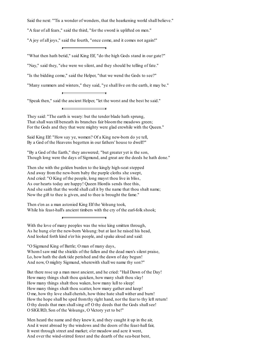Said the next: "'Tis a wonder of wonders, that the hearkening world shall believe."

"A fear of all fears," said the third, "for the sword is uplifted on men."

"A joy of all joys," said the fourth, "once come, and it comes not again!"

"What then hath betid," said King Elf, "do the high Gods stand in our gate?"

"Nay," said they, "else were we silent, and they should be telling of fate."

"Is the bidding come," said the Helper, "that we wend the Gods to see?"

"Many summers and winters," they said, "ye shall live on the earth, it may be."

"Speak then," said the ancient Helper, "let the worst and the best be said."

They said: "The earth is weary: but the tender blade hath sprung, That shall waxtill beneath its branches fair bloomthe meadows green; For the Gods and they that were mighty were glad erewhile with the Queen."

Said King Elf: "How say ye, women? Of a King new-born do ye tell, By a God of the Heavens begotten in our fathers' house to dwell?"

"By a God of the Earth," they answered; "but greater yet is the son, Though long were the days of Sigmund, and great are the deeds he hath done."

Then she with the golden burden to the kingly high-seat stepped And away fromthe new-born baby the purple cloths she swept, And cried: "O King of the people, long mayst thou live in bliss, As our hearts today are happy! Queen Hiordis sends thee this, And she saith that the world shall call it by the name that thou shalt name; Now the gift to thee is given, and to thee is brought the fame."

Then e'en as a man astonied King Elf the Volsung took, While his feast-hall's ancient timbers with the cry of the earl-folk shook;

With the love of many peoples was the wise king smitten through, As he hung o'er the new-born Volsung: but at last he raised his head, And looked forth kind o'er his people, and spake aloud and said:

"O Sigmund King of Battle; O man of many days,

WhomI saw mid the shields of the fallen and the dead men's silent praise, Lo, how hath the dark tide perished and the dawn of day begun! And now, O mighty Sigmund, wherewith shall we name thy son?"

But there rose up a man most ancient, and he cried: "Hail Dawn of the Day! How many things shalt thou quicken, how many shalt thou slay! How many things shalt thou waken, how many lull to sleep! How many things shalt thou scatter, how many gather and keep! O me, how thy love shall cherish, how thine hate shall wither and burn! How the hope shall be sped from thy right hand, nor the fear to thy left return! O thy deeds that men shallsing of! O thy deeds that the Gods shallsee! O SIGURD, Son of the Volsungs, O Victory yet to be!"

Men heard the name and they knew it, and they caught it up in the air, And it went abroad by the windows and the doors of the feast-hall fair, It went through street and market; o'er meadow and acre it went, And over the wind-stirred forest and the dearth of the sea-beat bent,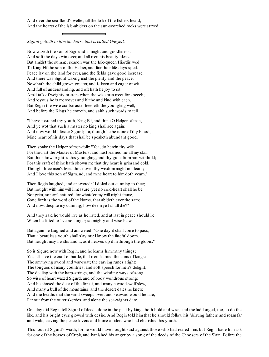And over the sea-flood's welter, till the folk of the fishers heard, And the hearts of the isle-abiders on the sun-scorched rocks were stirred.

#### *Sigurd getteth to him the horse that is called Greyfell.*

Now waxeth the son of Sigmund in might and goodliness, And soft the days win over, and all men his beauty bless. But amidst the summer season was the Isle-queen Hiordis wed To King Elf the son of the Helper, and fair their life-days sped. Peace lay on the land for ever, and the fields gave good increase, And there was Sigurd waxing mid the plenty and the peace. Now hath the child grown greater, and is keen and eager of wit And full of understanding, and oft hath he joy to sit Amid talk of weighty matters when the wise men meet for speech; And joyous he is moreover and blithe and kind with each. But Regin the wise craftsmaster heedeth the youngling well, And before the Kings he cometh, and saith such words to tell.

"I have fostered thy youth, King Elf, and thine O Helper of men, And ye wot that such a master no king shall see again; And now would I foster Sigurd; for, though he be none of thy blood, Mine heart of his days that shall be speaketh abundant good."

Then spake the Helper of men-folk: "Yea, do herein thy will: For thou art the Master of Masters, and hast learned me all my skill: But think how bright is this youngling, and thy guile from him withhold; For this craft of thine hath shown me that thy heart is grimand cold, Though three men's lives thrice over thy wisdommight not learn; And I love this son of Sigmund, and mine heart to himdoth yearn."

Then Regin laughed, and answered: "I doled out cunning to thee; But nought with himwill I measure: yet no cold-heart shall he be, Nor grim, nor evil-natured: for whate'er my will might frame, Gone forth is the word of the Norns, that abideth ever the same. And now, despite my cunning, how deemye I shall die?"

And they said he would live as he listed, and at last in peace should lie When he listed to live no longer; so mighty and wise he was.

But again he laughed and answered: "One day it shall come to pass, That a beardless youth shallslay me: I know the fateful doom; But nought may I withstand it, as it heaves up dimthrough the gloom."

So is Sigurd now with Regin, and he learns himmany things; Yea, all save the craft of battle, that men learned the sons of kings: The smithying sword and war-coat; the carving runes aright; The tongues of many countries, and soft speech for men's delight; The dealing with the harp-strings, and the winding ways of song. So wise of heart waxed Sigurd, and of body wondrous strong: And he chased the deer of the forest, and many a wood-wolf slew, And many a bull of the mountains: and the desert dales he knew, And the heaths that the wind sweeps over; and seaward would he fare, Far out fromthe outer skerries, and alone the sea-wights dare.

One day did Regin tell Sigurd of deeds done in the past by kings both bold and wise, and the lad longed, too, to do the like, and his bright eyes glowed with desire. And Regin told him that he should follow his Volsung fathers and roam far and wide, leaving the peace-lovers and home-abiders who had cherished his youth.

This roused Sigurd's wrath, for he would have nought said against those who had reared him, but Regin bade him ask for one of the horses of Gripir, and banished his anger by a song of the deeds of the Choosers of the Slain. Before the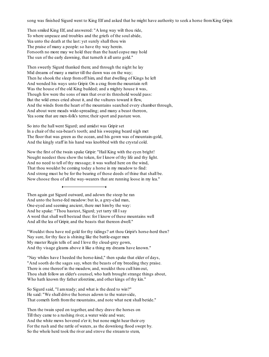song was finished Sigurd went to King Elf and asked that he might have authority to seek a horse from King Gripir.

Then smiled King Elf, and answered: "A long way wilt thou ride, To where unpeace and troubles and the griefs of the soul abide, Yea unto the death at the last: yet surely shall thou win The praise of many a people: so have thy way herein. Forsooth no more may we hold thee than the hazel copse may hold The sun of the early dawning, that turneth it all unto gold."

Then sweetly Sigurd thanked them; and through the night he lay Mid dreams of many a matter till the dawn was on the way; Then he shook the sleep fromoff him, and that dwelling of Kings he left And wended his ways unto Gripir. On a crag fromthe mountain reft Was the house of the old King builded; and a mighty house it was, Though few were the sons of men that over its threshold would pass: But the wild ernes cried about it, and the vultures toward it flew, And the winds fromthe heart of the mountains searched every chamber through, And about were meads wide-spreading; and many a beast thereon, Yea some that are men-folk's terror, their sport and pasture won.

So into the hall went Sigurd; and amidst was Gripir set In a chair of the sea-beast's tooth; and his sweeping beard nigh met The floor that was green as the ocean, and his gown was of mountain-gold, And the kingly staff in his hand was knobbed with the crystal cold.

Now the first of the twain spake Gripir: "Hail King with the eyen bright! Nought needest thou show the token, for I know of thy life and thy light. And no need to tell of thy message; it was wafted here on the wind, That thou wouldst be coming today a horse in my meadow to find: And strong must he be for the bearing of those deeds of thine that shall be. Now choose thou of all the way-wearers that are running loose in my lea."

Then again gat Sigurd outward, and adown the steep he ran And unto the horse-fed meadow: but lo, a grey-clad man, One-eyed and seeming ancient, there met himby the way: And he spake: "Thou hastest, Sigurd; yet tarry till I say A word that shall well bestead thee: for I know of these mountains well And all the lea of Gripir, and the beasts that thereon dwell."

"Wouldst thou have red gold for thy tidings? art thou Gripir's horse-herd then? Nay sure, for thy face is shining like the battle-eager men My master Regin tells of: and I love thy cloud-grey gown, And thy visage gleams above it like a thing my dreams have known."

"Nay whiles have I heeded the horse-kind," then spake that elder of days, "And sooth do the sages say, when the beasts of my breeding they praise. There is one thereof in the meadow, and, wouldst thou cull himout, Thou shalt follow an elder's counsel, who hath brought strange things about, Who hath known thy father aforetime, and other kings of thy kin."

So Sigurd said, "I amready; and what is the deed to win?" He said: "We shall drive the horses adown to the water-side, That cometh forth fromthe mountains, and note what next shall betide."

Then the twain sped on together, and they drave the horses on Till they came to a rushing river, a water wide and wan; And the white mews hovered o'er it; but none might hear their cry For the rush and the rattle of waters, as the downlong flood swept by. So the whole herd took the river and strove the streamto stem,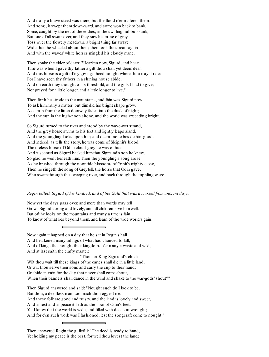And many a brave steed was there; but the flood o'ermastered them: And some, it swept themdown-ward, and some won back to bank, Some, caught by the net of the eddies, in the swirling hubbub sank; But one of allswamover, and they saw his mane of grey Toss over the flowery meadows, a bright thing far away: Wide then he wheeled about them, then took the stream again And with the waves' white horses mingled his cloudy mane.

Then spake the elder of days: "Hearken now, Sigurd, and hear; Time was when I gave thy father a gift thou shalt yet deemdear, And this horse is a gift of my giving:--heed nought where thou mayst ride: For I have seen thy fathers in a shining house abide, And on earth they thought of its threshold, and the gifts I had to give; Nor prayed for a little longer, and a little longer to live."

Then forth he strode to the mountains, and fain was Sigurd now. To ask himmany a matter: but dimdid his bright shape grow, As a man fromthe litten doorway fades into the dusk of night; And the sun in the high-noon shone, and the world was exceeding bright.

So Sigurd turned to the river and stood by the wave-wet strand, And the grey horse swims to his feet and lightly leaps aland, And the youngling looks upon him, and deems none beside himgood. And indeed, as tells the story, he was come of Sleipnir's blood, The tireless horse of Odin: cloud-grey he was of hue, And it seemed as Sigurd backed himthat Sigmund's son he knew, So glad he went beneath him. Then the youngling's song arose As he brushed through the noontide blossoms of Gripir's mighty close, Then he singeth the song of Greyfell, the horse that Odin gave, Who swamthrough the sweeping river, and back through the toppling wave.

#### *Regin telleth Sigurd of his kindred, and of the Gold that was accursed from ancient days.*

Now yet the days pass over, and more than words may tell Grows Sigurd strong and lovely, and all children love himwell. But oft he looks on the mountains and many a time is fain To know of what lies beyond them, and learn of the wide world's gain.

Now again it happed on a day that he sat in Regin's hall And hearkened many tidings of what had chanced to fall, And of kings that sought their kingdoms o'er many a waste and wild, And at last saith the crafty master: "Thou art King Sigmund's child: Wilt thou wait till these kings of the carles shall die in a little land, Or wilt thou serve their sons and carry the cup to their hand; Or abide in vain for the day that never shall come about, When their banners shall dance in the wind and shake to the war-gods' shout?"

Then Sigurd answered and said: "Nought such do I look to be. But thou, a deedless man, too much thou eggest me: And these folk are good and trusty, and the land is lovely and sweet, And in rest and in peace it lieth as the floor of Odin's feet: Yet I know that the world is wide, and filled with deeds unwrought; And for e'en such work was I fashioned, lest the songcraft come to nought."

Then answered Regin the guileful: "The deed is ready to hand, Yet holding my peace is the best, for well thou lovest the land;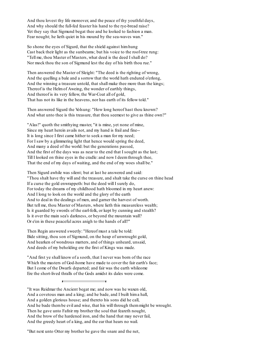And thou lovest thy life moreover, and the peace of thy youthful days, And why should the full-fed feaster his hand to the rye-bread raise? Yet they say that Sigmund begat thee and he looked to fashion a man. Fear nought; he lieth quiet in his mound by the sea-waves wan."

So shone the eyes of Sigurd, that the shield against himhung Cast back their light as the sunbeams; but his voice to the roof-tree rung: "Tell me, thou Master of Masters, what deed is the deed I shall do? Nor mock thou the son of Sigmund lest the day of his birth thou rue."

Then answered the Master of Sleight: "The deed is the righting of wrong, And the quelling a bale and a sorrow that the world hath endured o'erlong, And the winning a treasure untold, that shall make thee more than the kings; Thereof is the Helmof Aweing, the wonder of earthly things, And thereof is its very fellow, the War-Coat all of gold, That has not its like in the heavens, nor has earth of its fellow told."

Then answered Sigurd the Volsung: "How long hereof hast thou known? And what unto thee is this treasure, that thou seemest to give as thine own?"

"Alas!" quoth the smithying master, "it is mine, yet none of mine, Since my heart herein avails not, and my hand is frail and fine-- It is long since I first came hither to seek a man for my need; For I saw by a glimmering light that hence would spring the deed, And many a deed of the world: but the generations passed, And the first of the days was as near to the end that I sought as the last; Till I looked on thine eyes in the cradle: and now I deemthrough thee, That the end of my days of waiting, and the end of my woes shall be."

Then Sigurd awhile was silent; but at last he answered and said: "Thou shalt have thy will and the treasure, and shalt take the curse on thine head If a curse the gold enwrappeth: but the deed will I surely do, For today the dreams of my childhood hath bloomed in my heart anew: And I long to look on the world and the glory of the earth And to deal in the dealings of men, and garner the harvest of worth. But tell me, thou Master of Masters, where lieth this measureless wealth; Is it guarded by swords of the earl-folk, or kept by cunning and stealth? Is it over the main sea's darkness, or beyond the mountain wall? Or e'en in these peaceful acres anigh to the hands of all?"

Then Regin answered sweetly: "Hereof must a tale be told: Bide sitting, thou son of Sigmund, on the heap of unwrought gold, And hearken of wondrous matters, and of things unheard, unsaid, And deeds of my beholding ere the first of Kings was made.

"And first ye shall know of a sooth, that I never was born of the race Which the masters of God-home have made to cover the fair earth's face; But I come of the Dwarfs departed; and fair was the earth whileome Ere the short-lived thralls of the Gods amidst its dales were come.

"It was Reidmar the Ancient begat me; and now was he waxen old, And a covetous man and a king; and he bade, and I built hima hall, And a golden glorious house; and thereto his sons did he call, And he bade thembe evil and wise, that his will through themmight be wrought. Then he gave unto Fafnir my brother the soul that feareth nought, And the brow of the hardened iron, and the hand that may never fail, And the greedy heart of a king, and the ear that hears no wail.

"But next unto Otter my brother he gave the snare and the net,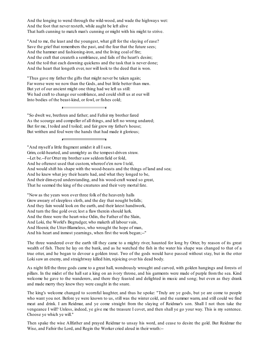And the longing to wend through the wild-wood, and wade the highways wet: And the foot that never resteth, while aught be left alive That hath cunning to match man's cunning or might with his might to strive.

"And to me, the least and the youngest, what gift for the slaying of ease? Save the grief that remembers the past, and the fear that the future sees; And the hammer and fashioning-iron, and the living coal of fire; And the craft that createth a semblance, and fails of the heart's desire; And the toil that each dawning quickens and the task that is never done; And the heart that longeth ever, nor will look to the deed that is won.

"Thus gave my father the gifts that might never be taken again; Far worse were we now than the Gods, and but little better than men. But yet of our ancient might one thing had we left us still: We had craft to change our semblance, and could shift us at our will Into bodies of the beast-kind, or fowl, or fishes cold;

"So dwelt we, brethren and father; and Fafnir my brother fared As the scourge and compeller of all things, and left no wrong undared; But for me, I toiled and I toiled; and fair grew my father's house; But writhen and foul were the hands that had made it glorious;

The three wandered over the earth till they came to a mighty river, haunted for long by Otter, by reason of its great wealth of fish. There he lay on the bank, and as he watched the fish in the water his shape was changed to that of a true otter, and he began to devour a golden trout. Two of the gods would have passed without stay, but in the otter Loki saw an enemy, and straightway killed him, rejoicing over his dead body.

As night fell the three gods came to a great hall, wondrously wrought and carved, with golden hangings and forests of pillars. In the midst of the hall sat a king on an ivory throne, and his garments were made of purple from the sea. Kind welcome he gave to the wanderers, and there they feasted and delighted in music and song; but even as they drank and made merry they knew they were caught in the snare.

The king's welcome changed to scornful laughter, and thus he spoke: "Truly are ye gods, but ye are come to people who want you not. Before ye were known to us, still was the winter cold, and the summer warm, and still could we find meat and drink. I am Reidmar, and ye come straight from the slaying of Reidmar's son. Shall I not then take the vengeance I will? Unless, indeed, ye give me the treasure I covet, and then shall ye go your way. This is my sentence. Choose ye which ye will."

Then spake the wise Allfather and prayed Reidmar to unsay his word, and cease to desire the gold. But Reidmar the Wise, and Fafnir the Lord, and Regin the Worker cried aloud in their wrath:--

<sup>&</sup>quot;And myself a little fragment amidst it all I saw,

Grim, cold-hearted, and unmighty as the tempest-driven straw.

<sup>--</sup>Let be.--For Otter my brother saw seldomfield or fold,

And he oftenest used that custom, whereof e'en now I told,

And would shift his shape with the wood-beasts and the things of land and sea;

And he knew what joy their hearts had, and what they longed to be,

And their dim-eyed understanding, and his wood-craft waxed so great,

That he seemed the king of the creatures and their very mortal fate.

<sup>&</sup>quot;Now as the years won over three folk of the heavenly halls Grew aweary of sleepless sloth, and the day that nought befalls; And they fain would look on the earth, and their latest handiwork, And turn the fine gold over, lest a flaw therein should lurk. And the three were the heart-wise Odin, the Father of the Slain, And Loki, the World's Begrudger, who maketh all labour vain, And Hoenir, the Utter-Blameless, who wrought the hope of man, And his heart and inmost yearnings, when first the work began;--"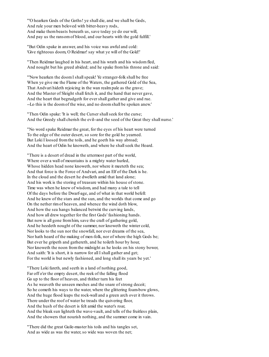"'O hearken Gods of the Goths! ye shall die, and we shall be Gods, And rule your men beloved with bitter-heavy rods, And make thembeasts beneath us, save today ye do our will, And pay us the ransomof blood, and our hearts with the gold fulfill.'

"But Odin spake in answer, and his voice was awful and cold: 'Give righteous doom, O Reidmar! say what ye will of the Gold!'

"Then Reidmar laughed in his heart, and his wrath and his wisdomfled, And nought but his greed abided; and he spake fromhis throne and said:

"'Now hearken the doomI shallspeak! Ye stranger-folk shall be free When ye give me the Flame of the Waters, the gathered Gold of the Sea, That Andvari hideth rejoicing in the wan realmpale as the grave; And the Master of Sleight shall fetch it, and the hand that never gave, And the heart that begrudgeth for ever shall gather and give and rue. --Lo this is the doomof the wise, and no doomshall be spoken anew.'

"Then Odin spake: 'It is well; the Curser shall seek for the curse; And the Greedy shall cherish the evil--and the seed of the Great they shall nurse.'

"No word spake Reidmar the great, for the eyes of his heart were turned To the edge of the outer desert, so sore for the gold he yearned. But Loki I loosed from the toils, and he goeth his way abroad; And the heart of Odin he knoweth, and where he shallseek the Hoard.

"There is a desert of dread in the uttermost part of the world, Where over a wall of mountains is a mighty water hurled, Whose hidden head none knoweth, nor where it meeteth the sea; And that force is the Force of Andvari, and an Elf of the Dark is he. In the cloud and the desert he dwelleth amid that land alone; And his work is the storing of treasure within his house of stone. Time was when he knew of wisdom, and had many a tale to tell Of the days before the Dwarf-age, and of what in that world befell: And he knew of the stars and the sun, and the worlds that come and go On the nether rimof heaven, and whence the wind doth blow, And how the sea hangs balanced betwixt the curving lands, And how all drew together for the first Gods' fashioning hands. But now is all gone fromhim, save the craft of gathering gold, And he heedeth nought of the summer, nor knoweth the winter cold, Nor looks to the sun nor the snowfall, nor ever dreams of the sea, Nor hath heard of the making of men-folk, nor of where the high Gods be; But ever he gripeth and gathereth, and he toileth hour by hour, Nor knoweth the noon fromthe midnight as he looks on his stony bower, And saith: 'It is short, it is narrow for all I shall gather and get; For the world is but newly fashioned, and long shall its years be yet.'

"There Loki fareth, and seeth in a land of nothing good, Far off o'er the empty desert, the reek of the falling flood Go up to the floor of heaven, and thither turn his feet As he weaveth the unseen meshes and the snare of strong deceit; So he cometh his ways to the water, where the glittering foam-bow glows, And the huge flood leaps the rock-wall and a green arch over it throws. There under the roof of water he treads the quivering floor, And the hush of the desert is felt amid the water's roar, And the bleak sun lighteth the wave-vault, and tells of the fruitless plain, And the showers that nourish nothing, and the summer come in vain.

"There did the great Guile-master his toils and his tangles set, And as wide as was the water, so wide was woven the net;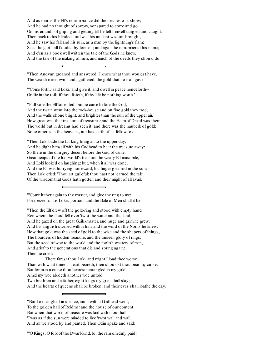And as dimas the Elf's remembrance did the meshes of it show; And he had no thought of sorrow, nor spared to come and go On his errands of griping and getting till he felt himself tangled and caught: Then back to his blinded soul was his ancient wisdombrought, And he saw his fall and his ruin, as a man by the lightning's flame Sees the garth all flooded by foemen; and again he remembered his name; And e'en as a book well written the tale of the Gods he knew, And the tale of the making of men, and much of the deeds they should do.

"Then Andvari groaned and answered: 'I know what thou wouldst have, The wealth mine own hands gathered, the gold that no man gave.'

"'Come forth,' said Loki, 'and give it, and dwell in peace henceforth-- Or die in the toils if thou listeth, if thy life be nothing worth.'

"Fullsore the Elf lamented, but he came before the God, And the twain went into the rock-house and on fine gold they trod, And the walls shone bright, and brighter than the sun of the upper air. How great was that treasure of treasures: and the Helmof Dread was there; The world but in dreams had seen it; and there was the hauberk of gold; None other is in the heavens, nor has earth of its fellow told.

"Then Loki bade the Elf-king bring all to the upper day, And he dight himself with his Godhead to bear the treasure away: So there in the dimgrey desert before the God of Guile, Great heaps of the hid-world's treasure the weary Elf must pile, And Loki looked on laughing: but, when it all was done, And the Elf was hurrying homeward, his finger gleamed in the sun: Then Loki cried: 'Thou art guileful: thou hast not learned the tale Of the wisdomthat Gods hath gotten and their might of all avail.

"'Come hither again to thy master, and give the ring to me; For meseems it is Loki's portion, and the Bale of Men shall it be.'

"Then the Elf drew off the gold-ring and stood with empty hand E'en where the flood fell over 'twixt the water and the land, And he gazed on the great Guile-master, and huge and grimhe grew; And his anguish swelled within him, and the word of the Norns he knew; How that gold was the seed of gold to the wise and the shapers of things, The hoarders of hidden treasure, and the unseen glory of rings; But the seed of woe to the world and the foolish wasters of men, And grief to the generations that die and spring again: Then he cried:

'There farest thou Loki, and might I load thee worse Than with what thine ill heart beareth, then shouldst thou bear my curse: But for men a curse thou bearest: entangled in my gold, Amid my woe abideth another woe untold. Two brethren and a father, eight kings my grief shall slay; And the hearts of queens shall be broken, and their eyes shall loathe the day.'

<sup>&</sup>quot;But Loki laughed in silence, and swift in Godhead went, To the golden hall of Reidmar and the house of our content. But when that world of treasure was laid within our hall 'Twas as if the sun were minded to live 'twixt wall and wall, And all we stood by and panted. Then Odin spake and said:

<sup>&</sup>quot;'O Kings, O folk of the Dwarf-kind, lo, the ransomduly paid!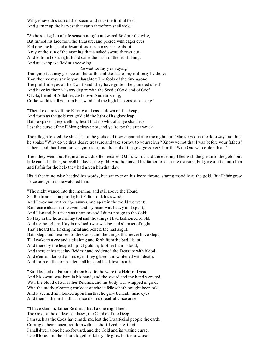Will ye have this sun of the ocean, and reap the fruitful field, And garner up the harvest that earth therefromshall yield.'

"So he spake; but a little season nought answered Reidmar the wise, But turned his face fromthe Treasure, and peered with eager eyes Endlong the hall and athwart it, as a man may chase about A ray of the sun of the morning that a naked sword throws out; And lo fromLoki's right-hand came the flash of the fruitful ring, And at last spake Reidmar scowling:

'Ye wait for my yea-saying That your feet may go free on the earth, and the fear of my toils may be done; That then ye may say in your laughter: The fools of the time agone! The purblind eyes of the Dwarf-kind! they have gotten the garnered sheaf And have let their Masters depart with the Seed of Gold and of Grief: O Loki, friend of Allfather, cast down Andvari's ring, Or the world shall yet turn backward and the high heavens lack a king.'

"Then Loki drew off the Elf-ring and cast it down on the heap, And forth as the gold met gold did the light of its glory leap: But he spake: 'It rejoiceth my heart that no whit of all ye shall lack. Lest the curse of the Elf-king cleave not, and ye 'scape the utter wrack.'

Then Regin loosed the shackles of the gods and they departed into the night, but Odin stayed in the doorway and thus he spake: "Why do ye thus desire treasure and take sorrow to yourselves? Know ye not that I was before your fathers' fathers, and that I can foresee your fate, and the end of the gold ye covet? I amthe Wise One who ordereth all."

Then they went, but Regin afterwards often recalled Odin's words and the evening filled with the gleamof the gold, but little cared he then, so well he loved the gold. And he prayed his father to keep the treasure, but give a little unto him and Fafnir for the help they had given himthat day.

His father in no wise heeded his words, but sat ever on his ivory throne, staring moodily at the gold. But Fafnir grew fierce and grimas he watched him.

"The night waned into the morning, and still above the Hoard Sat Reidmar clad in purple; but Fafnir took his sword, And I took my smithying-hammer, and apart in the world we went; But I came aback in the even, and my heart was heavy and spent; And I longed, but fear was upon me and I durst not go to the Gold; So I lay in the house of my toil mid the things I had fashioned of old; And methought as I lay in my bed 'twixt waking and slumber of night That I heard the tinkling metal and beheld the hall alight, But I slept and dreamed of the Gods, and the things that never have slept, Till I woke to a cry and a clashing and forth fromthe bed I leapt, And there by the heaped-up Elf-gold my brother Fafnir stood, And there at his feet lay Reidmar and reddened the Treasure with blood; And e'en as I looked on his eyen they glazed and whitened with death, And forth on the torch-litten hall he shed his latest breath.

"But I looked on Fafnir and trembled for he wore the Helmof Dread, And his sword was bare in his hand, and the sword and the hand were red With the blood of our father Reidmar, and his body was wrapped in gold, With the ruddy-gleaming mailcoat of whose fellow hath nought been told, And it seemed as I looked upon himthat he grew beneath mine eyes: And then in the mid-hall's silence did his dreadful voice arise:

"'I have slain my father Reidmar, that I alone might keep The Gold of the darksome places, the Candle of the Deep. I amsuch as the Gods have made me, lest the Dwarf-kind people the earth, Or mingle their ancient wisdomwith its short-lived latest birth. I shall dwell alone henceforward, and the Gold and its waxing curse, I shall brood on themboth together, let my life grow better or worse.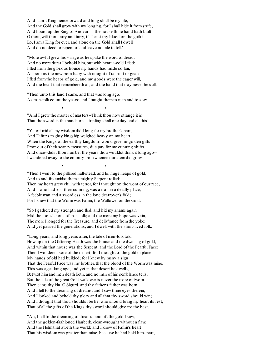And I ama King henceforward and long shall be my life, And the Gold shall grow with my longing, for I shall hide it fromstrife,' And hoard up the Ring of Andvari in the house thine hand hath built. O thou, wilt thou tarry and tarry, till I cast thy blood on the guilt? Lo, I ama King for ever, and alone on the Gold shall I dwell And do no deed to repent of and leave no tale to tell.'

"More awful grew his visage as he spake the word of dread, And no more durst I behold him, but with heart a-cold I fled; I fled fromthe glorious house my hands had made so fair, As poor as the new-born baby with nought of raiment or gear: I fled fromthe heaps of gold, and my goods were the eager will, And the heart that remembereth all, and the hand that may never be still.

"Then unto this land I came, and that was long ago. As men-folk count the years; and I taught themto reap and to sow,

"And I grew the master of masters--Think thou how strange it is That the sword in the hands of a stripling shall one day end all this!

"Yet oft mid all my wisdomdid I long for my brother's part, And Fafnir's mighty kingship weighed heavy on my heart When the Kings of the earthly kingdoms would give me golden gifts Fromout of their scanty treasures, due pay for my cunning shifts. And once--didst thou number the years thou wouldst think it long ago-- I wandered away to the country fromwhence our stemdid grow.

"Then I went to the pillared hall-stead, and lo, huge heaps of gold, And to and fro amidst thema mighty Serpent rolled: Then my heart grew chill with terror, for I thought on the wont of our race, And I, who had lost their cunning, was a man in a deadly place, A feeble man and a swordless in the lone destroyer's fold; For I knew that the Wormwas Fafnir, the Wallower on the Gold.

"So I gathered my strength and fled, and hid my shame again Mid the foolish sons of men-folk; and the more my hope was vain, The more I longed for the Treasure, and deliv'rance fromthe yoke: And yet passed the generations, and I dwelt with the short-lived folk.

"Long years, and long years after, the tale of men-folk told How up on the Glittering Heath was the house and the dwelling of gold, And within that house was the Serpent, and the Lord of the Fearful Face: Then I wondered sore of the desert; for I thought of the golden place My hands of old had builded; for I knew by many a sign That the Fearful Face was my brother, that the blood of the Wormwas mine. This was ages long ago, and yet in that desert he dwells, Betwixt him and men death lieth, and no man of his semblance tells; But the tale of the great Gold-wallower is never the more outworn. Then came thy kin, O Sigurd, and thy father's father was born, And I fell to the dreaming of dreams, and I saw thine eyes therein, And I looked and beheld thy glory and all that thy sword should win; And I thought that thou shouldst be he, who should bring my heart its rest, That of all the gifts of the Kings thy sword should give me the best.

"Ah, I fell to the dreaming of dreams; and oft the gold I saw, And the golden-fashioned Hauberk, clean-wrought without a flaw, And the Helmthat aweth the world; and I knew of Fafnir's heart That his wisdomwas greater than mine, because he had held himapart,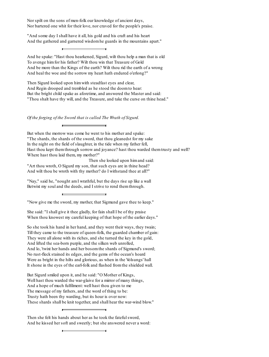Nor spilt on the sons of men-folk our knowledge of ancient days, Nor bartered one whit for their love, nor craved for the people's praise.

"And some day I shall have it all, his gold and his craft and his heart And the gathered and garnered wisdomhe guards in the mountains apart."

And he spake: "Hast thou hearkened, Sigurd, wilt thou help a man that is old To avenge himfor his father? Wilt thou win that Treasure of Gold And be more than the Kings of the earth? Wilt thou rid the earth of a wrong And heal the woe and the sorrow my heart hath endured o'erlong?"

Then Sigurd looked upon himwith steadfast eyes and clear, And Regin drooped and trembled as he stood the doomto hear: But the bright child spake as aforetime, and answered the Master and said: "Thou shalt have thy will, and the Treasure, and take the curse on thine head."

*Of the forging of the Sword that is called The Wrath of Sigurd.*

But when the morrow was come he went to his mother and spake: "The shards, the shards of the sword, that thou gleanedst for my sake In the night on the field of slaughter, in the tide when my father fell, Hast thou kept themthrough sorrow and joyance? hast thou warded themtrusty and well? Where hast thou laid them, my mother?"

Then she looked upon himand said: "Art thou wroth, O Sigurd my son, that such eyes are in thine head? And wilt thou be wroth with thy mother? do I withstand thee at all?"

"Nay," said he, "nought amI wrathful, but the days rise up like a wall Betwixt my soul and the deeds, and I strive to rend themthrough.

"Now give me the sword, my mother, that Sigmund gave thee to keep."

She said: "I shall give it thee gladly, for fain shall I be of thy praise When thou knowest my careful keeping of that hope of the earlier days."

So she took his hand in her hand, and they went their ways, they twain; Till they came to the treasure of queen-folk, the guarded chamber of gain: They were all alone with its riches, and she turned the key in the gold, And lifted the sea-born purple, and the silken web unrolled, And lo, 'twixt her hands and her bosomthe shards of Sigmund's sword; No rust-fleck stained its edges, and the gems of the ocean's hoard Were as bright in the hilts and glorious, as when in the Volsungs' hall It shone in the eyes of the earl-folk and flashed fromthe shielded wall.

But Sigurd smiled upon it, and he said: "O Mother of Kings, Well hast thou warded the war-glaive for a mirror of many things, And a hope of much fulfilment: well hast thou given to me The message of my fathers, and the word of thing to be: Trusty hath been thy warding, but its hour is over now: These shards shall be knit together, and shall hear the war-wind blow."

Then she felt his hands about her as he took the fatefulsword, And he kissed her soft and sweetly; but she answered never a word: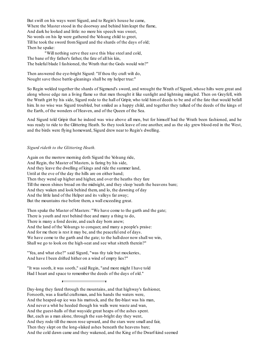But swift on his ways went Sigurd, and to Regin's house he came, Where the Master stood in the doorway and behind himleapt the flame, And dark he looked and little: no more his speech was sweet, No words on his lip were gathered the Volsung child to greet, Till he took the sword fromSigurd and the shards of the days of old; Then he spake:

"Will nothing serve thee save this blue steel and cold, The bane of thy father's father, the fate of all his kin, The baleful blade I fashioned, the Wrath that the Gods would win?"

Then answered the eye-bright Sigurd: "If thou thy craft wilt do, Nought save these battle-gleanings shall be my helper true:"

So Regin welded together the shards of Sigmund's sword, and wrought the Wrath of Sigurd, whose hilts were great and along whose edge ran a living flame so that men thought it like sunlight and lightning mingled. Then on Greyfell, with the Wrath girt by his side, Sigurd rode to the hall of Gripir, who told him of deeds to be and of the fate that would befall him. In no wise was Sigurd troubled, but smiled as a happy child, and together they talked of the deeds of the kings of the Earth, of the wonders of Heaven, and of the Queen of the Sea.

And Sigurd told Gripir that he indeed was wise above all men, but for himself had the Wrath been fashioned, and he was ready to ride to the Glittering Heath. So they took leave of one another, and as the sky grew blood-red in the West, and the birds were flying homeward, Sigurd drew near to Regin's dwelling.

#### *Sigurd rideth to the Glittering Heath.*

Again on the morrow morning doth Sigurd the Volsung ride, And Regin, the Master of Masters, is faring by his side, And they leave the dwelling of kings and ride the summer land, Until at the eve of the day the hills are on either hand; Then they wend up higher and higher, and over the heaths they fare Till the moon shines broad on the midnight, and they sleep 'neath the heavens bare; And they waken and look behind them, and lo, the dawning of day And the little land of the Helper and its valleys far away; But the mountains rise before them, a wall exceeding great.

Then spake the Master of Masters: "We have come to the garth and the gate; There is youth and rest behind thee and many a thing to do, There is many a fond desire, and each day born anew; And the land of the Volsungs to conquer, and many a people's praise: And for me there is rest it may be, and the peaceful end of days. We have come to the garth and the gate; to the hall-door now shall we win, Shall we go to look on the high-seat and see what sitteth therein?"

"Yea, and what else?" said Sigurd, "was thy tale but mockeries, And have I been drifted hither on a wind of empty lies?"

"It was sooth, it was sooth," said Regin, "and more might I have told Had I heart and space to remember the deeds of the days of old."

Day-long they fared through the mountains, and that highway's fashioner, Forsooth, was a fearful craftsman, and his hands the waters were, And the heaped-up ice was his mattock, and the fire-blast was his man, And never a whit he heeded though his walls were waste and wan, And the guest-halls of that wayside great heaps of the ashes spent. But, each as a man alone, through the sun-bright day they went, And they rode till the moon rose upward, and the stars were small and fair, Then they slept on the long-slaked ashes beneath the heavens bare; And the cold dawn came and they wakened, and the King of the Dwarf-kind seemed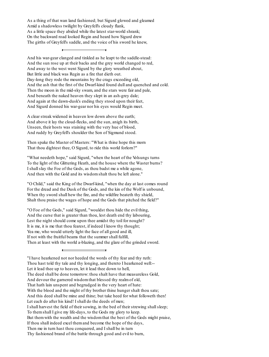As a thing of that wan land fashioned; but Sigurd glowed and gleamed Amid a shadowless twilight by Greyfell's cloudy flank, As a little space they abided while the latest star-world shrank; On the backward road looked Regin and heard how Sigurd drew The girths of Greyfell's saddle, and the voice of his sword he knew,

And his war-gear clanged and tinkled as he leapt to the saddle-stead: And the sun rose up at their backs and the grey world changed to red, And away to the west went Sigurd by the glory wreathed about, But little and black was Regin as a fire that dieth out. Day-long they rode the mountains by the crags exceeding old, And the ash that the first of the Dwarf-kind found dull and quenched and cold. Then the moon in the mid-sky swam, and the stars were fair and pale, And beneath the naked heaven they slept in an ash-grey dale; And again at the dawn-dusk's ending they stood upon their feet, And Sigurd donned his war-gear nor his eyes would Regin meet.

A clear streak widened in heaven low down above the earth; And above it lay the cloud-flecks, and the sun, anigh its birth, Unseen, their hosts was staining with the very hue of blood, And ruddy by Greyfell's shoulder the Son of Sigmund stood.

Then spake the Master of Masters: "What is thine hope this morn That thou dightest thee, O Sigurd, to ride this world forlorn?"

"What needeth hope," said Sigurd, "when the heart of the Volsungs turns To the light of the Glittering Heath, and the house where the Waster burns? I shallslay the Foe of the Gods, as thou badst me a while agone, And then with the Gold and its wisdomshalt thou be left alone."

"O Child," said the King of the Dwarf-kind, "when the day at last comes round For the dread and the Dusk of the Gods, and the kin of the Wolf is unbound, When thy sword shall hew the fire, and the wildfire beateth thy shield, Shalt thou praise the wages of hope and the Gods that pitched the field?"

"O Foe of the Gods," said Sigurd, "wouldst thou hide the evil thing, And the curse that is greater than thou, lest death end thy labouring, Lest the night should come upon thee amidst thy toil for nought? It is me, it is me that thou fearest, if indeed I know thy thought; Yea me, who would utterly light the face of all good and ill, If not with the fruitful beams that the summer shall fulfill, Then at least with the world a-blazing, and the glare of the grinded sword.

<sup>&</sup>quot;I have hearkened not nor heeded the words of thy fear and thy ruth:

Thou hast told thy tale and thy longing, and thereto I hearkened well:-- Let it lead thee up to heaven, let it lead thee down to hell,

The deed shall be done tomorrow: thou shalt have that measureless Gold,

And devour the garnered wisdomthat blessed thy realmof old,

That hath lain unspent and begrudged in the very heart of hate:

With the blood and the might of thy brother thine hunger shalt thou sate;

And this deed shall be mine and thine; but take heed for what followeth then!

Let each do after his kind! I shall do the deeds of men;

I shall harvest the field of their sowing, in the bed of their strewing shallsleep;

To themshall I give my life-days, to the Gods my glory to keep.

But themwith the wealth and the wisdomthat the best of the Gods might praise,

If thou shall indeed excel themand become the hope of the days,

Then me in turn hast thou conquered, and I shall be in turn

Thy fashioned brand of the battle through good and evil to burn,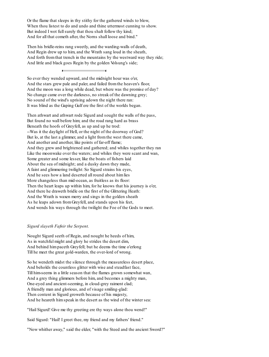Or the flame that sleeps in thy stithy for the gathered winds to blow, When thou listest to do and undo and thine uttermost cunning to show. But indeed I wot full surely that thou shalt follow thy kind; And for all that cometh after, the Norns shall loose and bind."

Then his bridle-reins rang sweetly, and the warding-walls of death, And Regin drew up to him, and the Wrath sang loud in the sheath, And forth fromthat trench in the mountains by the westward way they ride; And little and black goes Regin by the golden Volsung's side;

So ever they wended upward, and the midnight hour was o'er, And the stars grew pale and paler, and failed fromthe heaven's floor, And the moon was a long while dead, but where was the promise of day? No change came over the darkness, no streak of the dawning grey; No sound of the wind's uprising adown the night there ran: It was blind as the Gaping Gulf ere the first of the worlds began.

Then athwart and athwart rode Sigurd and sought the walls of the pass, But found no wall before him; and the road rang hard as brass Beneath the hoofs of Greyfell, as up and up he trod: --Was it the daylight of Hell, or the night of the doorway of God? But lo, at the last a glimmer, and a light fromthe west there came, And another and another, like points of far-off flame; And they grew and brightened and gathered; and whiles together they ran Like the moonwake over the waters; and whiles they were scant and wan, Some greater and some lesser, like the boats of fishers laid About the sea of midnight; and a dusky dawn they made, A faint and glimmering twilight: So Sigurd strains his eyes, And he sees how a land deserted all round about himlies More changeless than mid-ocean, as fruitless as its floor: Then the heart leaps up within him, for he knows that his journey is o'er, And there he draweth bridle on the first of the Glittering Heath: And the Wrath is waxen merry and sings in the golden sheath As he leaps adown fromGreyfell, and stands upon his feet, And wends his ways through the twilight the Foe of the Gods to meet.

#### *Sigurd slayeth Fafnir the Serpent.*

Nought Sigurd seeth of Regin, and nought he heeds of him, As in watchful might and glory he strides the desert dim, And behind himpaceth Greyfell; but he deems the time o'erlong Till he meet the great gold-warden, the over-lord of wrong.

So he wendeth midst the silence through the measureless desert place, And beholds the countless glitter with wise and steadfast face, Till him-seems in a little season that the flames grown somewhat wan, And a grey thing glimmers before him, and becomes a mighty man, One-eyed and ancient-seeming, in cloud-grey raiment clad; A friendly man and glorious, and of visage smiling-glad: Then content in Sigurd groweth because of his majesty, And he heareth himspeak in the desert as the wind of the winter sea:

"Hail Sigurd! Give me thy greeting ere thy ways alone thou wend!"

Said Sigurd: "Hail! I greet thee, my friend and my fathers' friend."

"Now whither away," said the elder, "with the Steed and the ancient Sword?"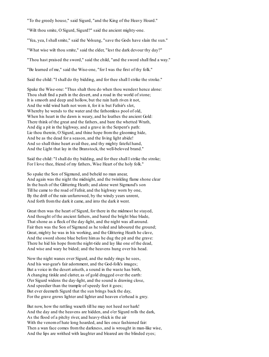"To the greedy house," said Sigurd, "and the King of the Heavy Hoard."

"Wilt thou smite, O Sigurd, Sigurd?" said the ancient mighty-one.

"Yea, yea, I shallsmite," said the Volsung, "save the Gods have slain the sun."

"What wise wilt thou smite," said the elder, "lest the dark devour thy day?"

"Thou hast praised the sword," said the child, "and the sword shall find a way."

"Be learned of me," said the Wise-one, "for I was the first of thy folk."

Said the child: "I shall do thy bidding, and for thee shall I strike the stroke."

Spake the Wise-one: "Thus shalt thou do when thou wendest hence alone: Thou shalt find a path in the desert, and a road in the world of stone; It is smooth and deep and hollow, but the rain hath riven it not, And the wild wind hath not worn it, for it is but Fafnir's slot, Whereby he wends to the water and the fathomless pool of old, When his heart in the dawn is weary, and he loathes the ancient Gold: There think of the great and the fathers, and bare the whetted Wrath, And dig a pit in the highway, and a grave in the Serpent's path: Lie thou therein, O Sigurd, and thine hope fromthe glooming hide, And be as the dead for a season, and the living light abide! And so shall thine heart avail thee, and thy mighty fateful hand, And the Light that lay in the Branstock, the well-beloved brand."

Said the child: "I shall do thy bidding, and for thee shall I strike the stroke; For I love thee, friend of my fathers, Wise Heart of the holy folk."

So spake the Son of Sigmund, and beheld no man anear, And again was the night the midnight, and the twinkling flame shone clear In the hush of the Glittering Heath; and alone went Sigmund's son Till he came to the road of Fafnir, and the highway worn by one, By the drift of the rain unfurrowed, by the windy years unrent, And forth fromthe dark it came, and into the dark it went.

Great then was the heart of Sigurd, for there in the midmost he stayed, And thought of the ancient fathers, and bared the bright blue blade, That shone as a fleck of the day-light, and the night was all around. Fair then was the Son of Sigmund as he toiled and laboured the ground; Great, mighty he was in his working, and the Glittering Heath he clave, And the sword shone blue before himas he dug the pit and the grave: There he hid his hope fromthe night-tide and lay like one of the dead, And wise and wary he bided; and the heavens hung over his head.

Now the night wanes over Sigurd, and the ruddy rings he sees, And his war-gear's fair adornment, and the God-folk's images; But a voice in the desert ariseth, a sound in the waste has birth, A changing tinkle and clatter, as of gold dragged over the earth: O'er Sigurd widens the day-light, and the sound is drawing close, And speedier than the trample of speedy feet it goes; But ever deemeth Sigurd that the sun brings back the day, For the grave grows lighter and lighter and heaven o'erhead is grey.

But now, how the rattling waxeth till he may not heed nor hark! And the day and the heavens are hidden, and o'er Sigurd rolls the dark, As the flood of a pitchy river, and heavy-thick is the air With the venom of hate long hoarded, and lies once fashioned fair: Then a wan face comes fromthe darkness, and is wrought in man-like wise, And the lips are writhed with laughter and bleared are the blinded eyes;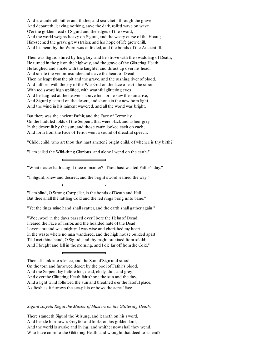And it wandereth hither and thither, and searcheth through the grave And departeth, leaving nothing, save the dark, rolled wave on wave O'er the golden head of Sigurd and the edges of the sword, And the world weighs heavy on Sigurd, and the weary curse of the Hoard; Him-seemed the grave grew straiter, and his hope of life grew chill, And his heart by the Wormwas enfolded, and the bonds of the Ancient Ill.

Then was Sigurd stirred by his glory, and he strove with the swaddling of Death; He turned in the pit on the highway, and the grave of the Glittering Heath; He laughed and smote with the laughter and thrust up over his head. And smote the venomasunder and clave the heart of Dread; Then he leapt fromthe pit and the grave, and the rushing river of blood, And fulfilled with the joy of the War-God on the face of earth he stood With red sword high uplifted, with wrathful glittering eyes; And he laughed at the heavens above himfor he saw the sun arise, And Sigurd gleamed on the desert, and shone in the new-born light, And the wind in his raiment wavered, and all the world was bright.

But there was the ancient Fafnir, and the Face of Terror lay On the huddled folds of the Serpent, that were black and ashen-grey In the desert lit by the sun; and those twain looked each on each, And forth from the Face of Terror went a sound of dreadful speech:

"Child, child, who art thou that hast smitten? bright child, of whence is thy birth?"

"I amcalled the Wild-thing Glorious, and alone I wend on the earth."

"What master hath taught thee of murder?--Thou hast wasted Fafnir's day."

"I, Sigurd, knew and desired, and the bright sword learned the way."

"I amblind, O Strong Compeller, in the bonds of Death and Hell. But thee shall the rattling Gold and the red rings bring unto bane."

"Yet the rings mine hand shall scatter, and the earth shall gather again."

"Woe, woe! in the days passed over I bore the Helmof Dread, I reared the Face of Terror, and the hoarded hate of the Dead: I overcame and was mighty; I was wise and cherished my heart In the waste where no man wandered, and the high house builded apart: Till I met thine hand, O Sigurd, and thy might ordained fromof old; And I fought and fell in the morning, and I die far off fromthe Gold."

Then allsank into silence, and the Son of Sigmund stood On the torn and furrowed desert by the pool of Fafnir's blood, And the Serpent lay before him, dead, chilly, dull, and grey; And over the Glittering Heath fair shone the sun and the day, And a light wind followed the sun and breathed o'er the fateful place, As fresh as it furrows the sea-plain or bows the acres' face.

*Sigurd slayeth Regin the Master of Masters on the Glittering Heath.*

There standeth Sigurd the Volsung, and leaneth on his sword, And beside himnow is Greyfell and looks on his golden lord, And the world is awake and living; and whither now shall they wend, Who have come to the Glittering Heath, and wrought that deed to its end?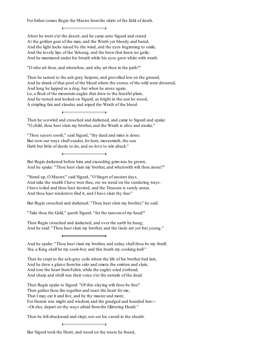For hither comes Regin the Master fromthe skirts of the field of death.

Afoot he went o'er the desert, and he came unto Sigurd and stared At the golden gear of the man, and the Wrath yet bloody and bared, And the light locks raised by the wind, and the eyes beginning to smile, And the lovely lips of the Volsung, and the brow that knew no guile; And he murmured under his breath while his eyes grew white with wrath:

"O who art thou, and wherefore, and why art thou in the path?"

Then he turned to the ash-grey Serpent, and grovelled low on the ground, And he drank of that pool of the blood where the stones of the wild were drowned, And long he lapped as a dog; but when he arose again, Lo, a flock of the mountain-eagles that drew to the feastful plain; And he turned and looked on Sigurd, as bright in the sun he stood, A stripling fair and slender, and wiped the Wrath of the blood.

Then he scowled and crouched and darkened, and came to Sigurd and spake: "O child, thou hast slain my brother, and the Wrath is alive and awake."

"Thou sayest sooth," said Sigurd, "thy deed and mine is done: But now our ways shall sunder, for here, meseemeth, the sun Hath but little of deeds to do, and no love to win aback."

But Regin darkened before him, and exceeding grimwas he grown, And he spake: "Thou hast slain my brother, and wherewith wilt thou atone?"

"Stand up, O Master," said Sigurd, "O Singer of ancient days, And take the wealth I have won thee, ere we wend on the sundering ways. I have toiled and thou hast desired, and the Treasure is surely anear, And thou hast wisdomto find it, and I have slain thy fear."

But Regin crouched and darkened: "Thou hast slain my brother," he said.

"Take thou the Gold," quoth Sigurd, "for the ransomof my head!"

Then Regin crouched and darkened, and over the earth he hung; And he said: "Thou hast slain my brother, and the Gods are yet but young."

And he spake: "Thou hast slain my brother, and today shall thou be my thrall: Yea, a King shall be my cook-boy and this heath my cooking-hall."

Then he crept to the ash-grey coils where the life of his brother had lain, And he drew a glaive fromhis side and smote the smitten and slain, And tore the heart fromFafnir, while the eagles cried o'erhead, And sharp and shrill was their voice o'er the entrails of the dead.

Then Regin spake to Sigurd: "Of this slaying wilt thou be free? Then gather thou fire together and roast the heart for me, That I may eat it and live, and be thy master and more; For therein was might and wisdom, and the grudged and hoarded lore:-- --Or else, depart on thy ways afraid fromthe Glittering Heath."

Then he fell abackward and slept, nor set his sword in the sheath.

But Sigurd took the Heart, and wood on the waste he found,

 $\blacksquare$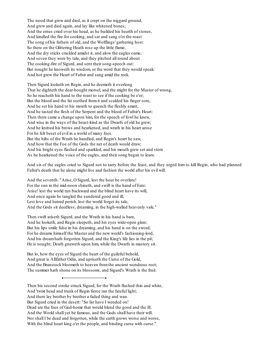The wood that grew and died, as it crept on the niggard ground, And grew and died again, and lay like whitened bones; And the ernes cried over his head, as he builded his hearth of stones, And kindled the fire for cooking, and sat and sang o'er the roast The song of his fathers of old, and the Wolflings' gathering host: So there on the Glittering Heath rose up the little flame, And the dry sticks crackled amidst it, and alow the eagles came, And seven they were by tale, and they pitched all round about The cooking-fire of Sigurd, and sent their song-speech out: But nought he knoweth its wisdom, or the word that they would speak: And hot grew the Heart of Fafnir and sang amid the reek.

Then Sigurd looketh on Regin, and he deemeth it overlong That he dighteth the dear-bought morsel, and the might for the Master of wrong, So he reacheth his hand to the roast to see if the cooking be o'er; But the blood and the fat seethed fromit and scalded his finger sore, And he set his hand to his mouth to quench the fleshly smart, And he tasted the flesh of the Serpent and the blood of Fafnir's Heart: Then there came a change upon him, for the speech of fowl he knew, And wise in the ways of the beast-kind as the Dwarfs of old he grew; And he knitted his brows and hearkened, and wrath in his heart arose For he felt beset of evil in a world of many foes. But the hilts of the Wrath he handled, and Regin's heart he saw, And how that the Foe of the Gods the net of death would draw; And his bright eyes flashed and sparkled, and his mouth grew set and stern As he hearkened the voice of the eagles, and their song began to learn.

And six of the eagles cried to Sigurd not to tarry before the feast, and they urged him to kill Regin, who had planned Fafnir's death that he alone might live and fashion the world after his evil will.

And the seventh: "Arise, O Sigurd, lest the hour be overlate! For the sun in the mid-noon shineth, and swift is the hand of Fate: Arise! lest the world run backward and the blind heart have its will, And once again be tangled the sundered good and ill; Lest love and hatred perish, lest the world forget its tale, And the Gods sit deedless, dreaming, in the high-walled heavenly vale."

Then swift ariseth Sigurd, and the Wrath in his hand is bare, And he looketh, and Regin sleepeth, and his eyes wide-open glare; But his lips smile false in his dreaming, and his hand is on the sword; For he dreams himself the Master and the new world's fashioning-lord, And his dreamhath forgotten Sigurd, and the King's life lies in the pit; He is nought; Death gnaweth upon him, while the Dwarfs in mastery sit.

But lo, how the eyes of Sigurd the heart of the guileful behold, And great is Allfather Odin, and upriseth the Curse of the Gold, And the Branstock bloometh to heaven fromthe ancient wondrous root; The summer hath shone on its blossoms, and Sigurd's Wrath is the fruit.

Then his second stroke struck Sigurd, for the Wrath flashed thin and white, And 'twixt head and trunk of Regin fierce ran the fateful light; And there lay brother by brother a faded thing and wan. But Sigurd cried in the desert: "So far have I wended on! Dead are the foes of God-home that would blend the good and the ill; And the World shall yet be famous, and the Gods shall have their will. Nor shall I be dead and forgotten, while the earth grows worse and worse, With the blind heart king o'er the people, and binding curse with curse."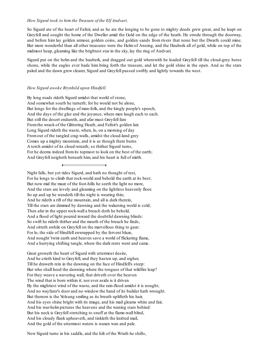#### *How Sigurd took to him the Treasure of the Elf Andvari.*

So Sigurd ate of the heart of Fafnir, and as he ate the longing to be gone to mighty deeds grew great, and he leapt on Greyfell and sought the home of the Dweller amid the Gold on the edge of the heath. He strode through the doorway, and before him lay golden armour, golden coins, and golden sands from rivers that none but the Dwarfs could mine. But more wonderful than all other treasures were the Helm of Aweing, and the Hauberk all of gold, while on top of the midmost heap, gleaming like the brightest star in the sky, lay the ring of Andvari.

Sigurd put on the helm and the hauberk, and dragged out gold wherewith he loaded Greyfell till the cloud-grey horse shone, while the eagles ever bade him bring forth the treasure, and let the gold shine in the open. And as the stars paled and the dawn grew clearer, Sigurd and Greyfell passed swiftly and lightly towards the west.

#### *How Sigurd awoke Brynhild upon Hindfell.*

By long roads rideth Sigurd amidst that world of stone, And somewhat south he turneth; for he would not be alone, But longs for the dwellings of man-folk, and the kingly people's speech, And the days of the glee and the joyance, where men laugh each to each. But still the desert endureth, and afar must Greyfell fare Fromthe wrack of the Glittering Heath, and Fafnir's golden lair. Long Sigurd rideth the waste, when, lo, on a morning of day Fromout of the tangled crag-walls, amidst the cloud-land grey Comes up a mighty mountain, and it is as though there burns A torch amidst of its cloud-wreath; so thither Sigurd turns, For he deems indeed fromits topmost to look on the best of the earth; And Greyfell neigheth beneath him, and his heart is full of mirth.

Night falls, but yet rides Sigurd, and hath no thought of rest, For he longs to climb that rock-world and behold the earth at its best; But now mid the maze of the foot-hills he seeth the light no more, And the stars are lovely and gleaming on the lightless heavenly floor. So up and up he wendeth till the night is wearing thin; And he rideth a rift of the mountain, and all is dark therein, Till the stars are dimmed by dawning and the wakening world is cold; Then afar in the upper rock-wall a breach doth he behold, And a flood of light poured inward the doubtful dawning blinds: So swift he rideth thither and the mouth of the breach he finds, And sitteth awhile on Greyfell on the marvellous thing to gaze: For lo, the side of Hindfell enwrapped by the fervent blaze, And nought 'twixt earth and heaven save a world of flickering flame, And a hurrying shifting tangle, where the dark rents went and came.

Great groweth the heart of Sigurd with uttermost desire, And he crieth kind to Greyfell, and they hasten up, and nigher, Till he draweth rein in the dawning on the face of Hindfell's steep: But who shall heed the dawning where the tongues of that wildfire leap? For they weave a wavering wall, that driveth over the heaven The wind that is born within it; nor ever aside is it driven By the mightiest wind of the waste, and the rain-flood amidst it is nought; And no wayfarer's door and no window the hand of its builder hath wrought. But thereon is the Volsung smiling as its breath uplifteth his hair, And his eyes shine bright with its image, and his mail gleams white and fair, And his war-helmpictures the heavens and the waning stars behind: But his neck is Greyfell stretching to snuff at the flame-wall blind, And his cloudy flank upheaveth, and tinkleth the knitted mail, And the gold of the uttermost waters is waxen wan and pale.

Now Sigurd turns in his saddle, and the hilt of the Wrath he shifts,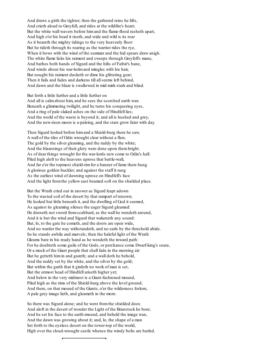And draws a girth the tighter; then the gathered reins he lifts, And crieth aloud to Greyfell, and rides at the wildfire's heart; But the white wall wavers before himand the flame-flood rusheth apart, And high o'er his head it riseth, and wide and wild is its roar As it beareth the mighty tidings to the very heavenly floor: But he rideth through its roaring as the warrior rides the rye, When it bows with the wind of the summer and the hid spears draw anigh. The white flame licks his raiment and sweeps through Greyfell's mane, And bathes both hands of Sigurd and the hilts of Fafnir's bane, And winds about his war-helmand mingles with his hair, But nought his raiment dusketh or dims his glittering gear; Then it fails and fades and darkens till all seems left behind, And dawn and the blaze is swallowed in mid-mirk stark and blind.

But forth a little further and a little further on And all is calmabout him, and he sees the scorched earth wan Beneath a glimmering twilight, and he turns his conquering eyes, And a ring of pale slaked ashes on the side of Hindfell lies; And the world of the waste is beyond it; and all is hushed and grey, And the new-risen moon is a-paleing, and the stars grow faint with day.

Then Sigurd looked before himand a Shield-burg there he saw, A wall of the tiles of Odin wrought clear without a flaw, The gold by the silver gleaming, and the ruddy by the white; And the blazonings of their glory were done upon thembright. As of dear things wrought for the war-lords new come to Odin's hall. Piled high aloft to the heavens uprose that battle-wall, And far o'er the topmost shield-rim for a banner of fame there hung A glorious golden buckler; and against the staff it rung As the earliest wind of dawning uprose on Hindfell's face And the light fromthe yellow east beamed soft on the shielded place.

But the Wrath cried out in answer as Sigurd leapt adown To the wasted soil of the desert by that rampart of renown; He looked but little beneath it, and the dwelling of God it seemed, As against its gleaming silence the eager Sigurd gleamed: He draweth not sword fromscabbard, as the wall he wendeth around, And it is but the wind and Sigurd that wakeneth any sound: But, lo, to the gate he cometh, and the doors are open wide, And no warder the way withstandeth, and no earls by the threshold abide. So he stands awhile and marvels; then the baleful light of the Wrath Gleams bare in his ready hand as he wendeth the inward path: For he doubteth some guile of the Gods, or perchance some Dwarf-king's snare, Or a mock of the Giant people that shall fade in the morning air: But he getteth himin and gazeth; and a wall doth he behold, And the ruddy set by the white, and the silver by the gold; But within the garth that it girdeth no work of man is set, But the utmost head of Hindfell ariseth higher yet; And below in the very midmost is a Giant-fashioned mound, Piled high as the rims of the Shield-burg above the level ground; And there, on that mound of the Giants, o'er the wilderness forlorn, A pale grey image lieth, and gleameth in the morn.

So there was Sigurd alone; and he went fromthe shielded door, And aloft in the desert of wonder the Light of the Branstock he bore; And he set his face to the earth-mound, and beheld the image wan, And the dawn was growing about it; and, lo, the shape of a man Set forth to the eyeless desert on the tower-top of the world, High over the cloud-wrought castle whence the windy bolts are hurled.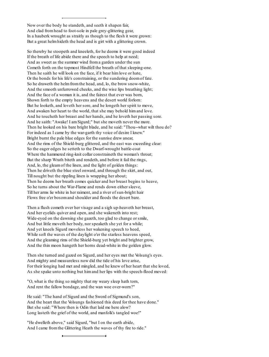Now over the body he standeth, and seeth it shapen fair, And clad fromhead to foot-sole in pale grey-glittering gear, In a hauberk wrought as straitly as though to the flesh it were grown: But a great helmhideth the head and is girt with a glittering crown.

So thereby he stoopeth and kneeleth, for he deems it were good indeed If the breath of life abide there and the speech to help at need; And as sweet as the summer wind froma garden under the sun Cometh forth on the topmost Hindfell the breath of that sleeping-one. Then he saith he will look on the face, if it bear himlove or hate, Or the bonds for his life's constraining, or the sundering doomof fate. So he draweth the helmfromthe head, and, lo, the brow snow-white, And the smooth unfurrowed cheeks, and the wise lips breathing light; And the face of a woman it is, and the fairest that ever was born, Shown forth to the empty heavens and the desert world forlorn: But he looketh, and loveth her sore, and he longeth her spirit to move, And awaken her heart to the world, that she may behold himand love. And he toucheth her breast and her hands, and he loveth her passing sore. And he saith: "Awake! I amSigurd;" but she moveth never the more. Then he looked on his bare bright blade, and he said: "Thou--what wilt thou do? For indeed as I came by the war-garth thy voice of desire I knew." Bright burnt the pale blue edges for the sunrise drew anear, And the rims of the Shield-burg glittered, and the east was exceeding clear: So the eager edges he setteth to the Dwarf-wrought battle-coat Where the hammered ring-knit collar constraineth the woman's throat; But the sharp Wrath biteth and rendeth, and before it fail the rings, And, lo, the gleamof the linen, and the light of golden things: Then he driveth the blue steel onward, and through the skirt, and out, Till nought but the rippling linen is wrapping her about; Then he deems her breath comes quicker and her breast begins to heave, So he turns about the War-Flame and rends down either sleeve, Till her arms lie white in her raiment, and a river of sun-bright hair Flows free o'er bosomand shoulder and floods the desert bare.

Then a flush cometh over her visage and a sigh up-heaveth her breast, And her eyelids quiver and open, and she wakeneth into rest; Wide-eyed on the dawning she gazeth, too glad to change or smile, And but little moveth her body, nor speaketh she yet for a while; And yet kneels Sigurd moveless her wakening speech to heed, While soft the waves of the daylight o'er the starless heavens speed, And the gleaming rims of the Shield-burg yet bright and brighter grow, And the thin moon hangeth her horns dead-white in the golden glow.

Then she turned and gazed on Sigurd, and her eyes met the Volsung's eyes. And mighty and measureless now did the tide of his love arise, For their longing had met and mingled, and he knew of her heart that she loved, As she spake unto nothing but himand her lips with the speech-flood moved:

"O, what is the thing so mighty that my weary sleep hath torn, And rent the fallow bondage, and the wan woe over-worn?"

He said: "The hand of Sigurd and the Sword of Sigmund's son, And the heart that the Volsungs fashioned this deed for thee have done." But she said: "Where then is Odin that laid me here alow? Long lasteth the grief of the world, and manfolk's tangled woe!"

"He dwelleth above," said Sigurd, "but I on the earth abide, And I came fromthe Glittering Heath the waves of thy fire to ride."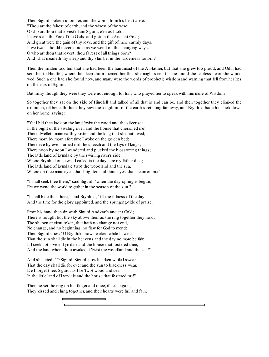Then Sigurd looketh upon her, and the words fromhis heart arise: "Thou art the fairest of earth, and the wisest of the wise; O who art thou that lovest? I amSigurd, e'en as I told; I have slain the Foe of the Gods, and gotten the Ancient Gold; And great were the gain of thy love, and the gift of mine earthly days, If we twain should never sunder as we wend on the changing ways. O who art thou that lovest, thou fairest of all things born? And what meaneth thy sleep and thy slumber in the wilderness forlorn?"

Then the maiden told him that she had been the handmaid of the All-father, but that she grew too proud, and Odin had sent her to Hindfell, where the sleep thorn pierced her that she might sleep till she found the fearless heart she would wed. Such a one had she found now, and many were the words of prophetic wisdom and warning that fell from her lips on the ears of Sigurd.

But many though they were they were not enough for him, who prayed her to speak with himmore of Wisdom.

So together they sat on the side of Hindfell and talked of all that is and can be, and then together they climbed the mountain, till beneath them they saw the kingdoms of the earth stretching far away, and Brynhild bade him look down on her home, saying:

"Yet I bid thee look on the land 'twixt the wood and the silver sea In the bight of the swirling river, and the house that cherished me! There dwelleth mine earthly sister and the king that she hath wed; There morn by morn aforetime I woke on the golden bed; There eve by eve I tarried mid the speech and the lays of kings; There noon by noon I wandered and plucked the blossoming things; The little land of Lymdale by the swirling river's side, Where Brynhild once was I called in the days ere my father died; The little land of Lymdale 'twixt the woodland and the sea, Where on thee mine eyes shall brighten and thine eyes shall beamon me."

"I shallseek thee there," said Sigurd, "when the day-spring is begun, Ere we wend the world together in the season of the sun."

"I shall bide thee there," said Brynhild, "till the fulness of the days, And the time for the glory appointed, and the springing-tide of praise."

Fromhis hand then draweth Sigurd Andvari's ancient Gold; There is nought but the sky above themas the ring together they hold, The shapen ancient token, that hath no change nor end, No change, and no beginning, no flaw for God to mend: Then Sigurd cries: "O Brynhild, now hearken while I swear, That the sun shall die in the heavens and the day no more be fair, If I seek not love in Lymdale and the house that fostered thee, And the land where thou awakedst 'twixt the woodland and the sea!"

And she cried: "O Sigurd, Sigurd, now hearken while I swear That the day shall die for ever and the sun to blackness wear, Ere I forget thee, Sigurd, as I lie 'twixt wood and sea In the little land of Lymdale and the house that fostered me!"

Then he set the ring on her finger and once, if ne'er again, They kissed and clung together, and their hearts were full and fain.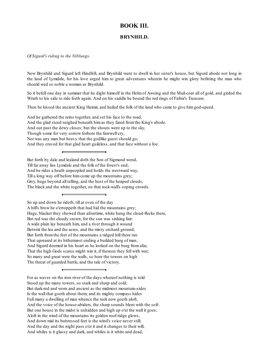# **BOOK III.**

# **BRYNHILD.**

*Of Sigurd's riding to the Niblungs*.

Now Brynhild and Sigurd left Hindfell, and Brynhild went to dwell in her sister's house, but Sigurd abode not long in the land of Lymdale, for his love urged him to great adventures wherein he might win glory befitting the man who should wed so noble a woman as Brynhild.

So it befell one day in summer that he dight himself in the Helm of Aweing and the Mail-coat all of gold, and girded the Wrath to his side to ride forth again. And on his saddle he bound the red rings of Fafnir's Treasure.

Then he kissed the ancient King Heimir, and hailed the folk of the land who came to give himgod-speed.

And he gathered the reins together, and set his face to the road, And the glad steed neighed beneath himas they fared fromthe King's abode. And out past the dewy closes; but the shouts went up to the sky, Though some for very sorrow forbore the farewell cry, Nor was any man but heavy that the godlike guest should go; And they craved for that glad heart guileless, and that face without a foe.

But forth by dale and lealand doth the Son of Sigmund wend, Till far away lies Lymdale and the folk of the forest's end; And he rides a heath unpeopled and holds the westward way, Till a long way off before himcome up the mountains grey; Grey, huge beyond all telling, and the host of the heaped clouds, The black and the white together, on that rock-wall's coping crowds.

So up and down he rideth, till at even of the day A hill's brow he o'ertoppeth that had hid the mountains grey; Huge, blacker they showed than aforetime, white hung the cloud-flecks there, But red was the cloudy crown, for the sun was sinking fair: A wide plain lay beneath him, and a river through it wound Betwixt the lea and the acres, and the misty orchard ground; But forth fromthe feet of the mountains a ridged hill there ran That upreared at its hithermost ending a builded burg of man; And Sigurd deemed in his heart as he looked on the burg fromafar, That the high Gods scarce might win it, if thereon they fell with war; So many and great were the walls, so bore the towers on high The threat of guarded battle, and the tale of victory.

For as waves on the iron river of the days whereof nothing is told Stood up the many towers, so stark and sharp and cold; But dark-red and worn and ancient as the midmost mountain-sides Is the wall that goeth about them; and its mighty compass hides Full many a dwelling of man whence the reek now goeth aloft, And the voice of the house-abiders, the sharp sounds blent with the soft: But one house in the midst is unhidden and high up o'er the wall it goes; Aloft in the wind of the mountains its golden roof-ridge glows, And down mid its buttressed feet is the wind's voice never still; And the day and the night pass o'er it and it changes to their will, And whiles is it glassy and dark, and whiles is it white and dead,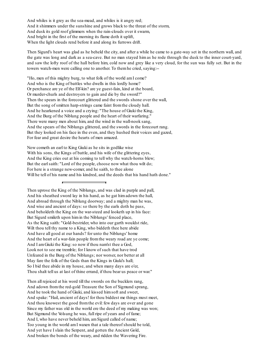And whiles is it grey as the sea-mead, and whiles is it angry red; And it shimmers under the sunshine and grows black to the threat of the storm, And dusk its gold roof glimmers when the rain-clouds over it swarm, And bright in the first of the morning its flame doth it uplift, When the light clouds rend before it and along its furrows drift.

Then Sigurd's heart was glad as he beheld the city, and after a while he came to a gate-way set in the northern wall, and the gate was long and dark as a sea-cave. But no man stayed him as he rode through the dusk to the inner court-yard, and saw the lofty roof of the hall before him, cold now and grey like a very cloud, for the sun was fully set. But in the towers watch-men were calling one to another. To themhe cried, saying:--

"Ho, men of this mighty burg, to what folk of the world amI come? And who is the King of battles who dwells in this lordly home? Or perchance are ye of the Elf-kin? are ye guest-fain, kind at the board, Or murder-churls and destroyers to gain and die by the sword?" Then the spears in the forecourt glittered and the swords shone over the wall, But the song of smitten harp-strings came faint fromthe cloudy hall. And he hearkened a voice and a crying: "The house of Giuki the King, And the Burg of the Niblung people and the heart of their warfaring." There were many men about him, and the wind in the wall-nook sang, And the spears of the Niblungs glittered, and the swords in the forecourt rang. But they looked on his face in the even, and they hushed their voices and gazed, For fear and great desire the hearts of men amazed.

Now cometh an earl to King Giuki as he sits in godlike wise With his sons, the Kings of battle, and his wife of the glittering eyes, And the King cries out at his coming to tell why the watch-horns blew; But the earl saith: "Lord of the people, choose now what thou wilt do; For here is a strange new-comer, and he saith, to thee alone Will he tell of his name and his kindred, and the deeds that his hand hath done."

Then uprose the King of the Niblungs, and was clad in purple and pall, And his sheathed sword lay in his hand, as he gat himadown the hall, And abroad through the Niblung doorway; and a mighty man he was, And wise and ancient of days: so there by the earls doth he pass, And beholdeth the King on the war-steed and looketh up in his face: But Sigurd smileth upon himin the Niblungs' fenced place, As the King saith: "Gold-bestrider, who into our garth wouldst ride, Wilt thou tell thy name to a King, who biddeth thee here abide And have all good at our hands? for unto the Niblungs' home And the heart of a war-fain people fromthe weary road are ye come; And I amGiuki the King:so now if thou nam'st thee a God, Look not to see me tremble; for I know of such that have trod Unfeared in the Burg of the Niblungs; nor worser, nor better at all May fare the folk of the Gods than the Kings in Giuki's hall; So I bid thee abide in my house, and when many days are o'er, Thou shalt tell us at last of thine errand, if thou bear us peace or war."

Then all rejoiced at his word till the swords on the bucklers rang, And adown fromthe red-gold Treasure the Son of Sigmund sprang, And he took the hand of Giuki, and kissed himsoft and sweet, And spake: "Hail, ancient of days! for thou biddest me things most meet, And thou knowest the good fromthe evil: few days are over and gone Since my father was old in the world ere the deed of my making was won; But Sigmund the Volsung he was, full ripe of years and of fame; And I, who have never beheld him, amSigurd called of name; Too young in the world amI waxen that a tale thereof should be told, And yet have I slain the Serpent, and gotten the Ancient Gold, And broken the bonds of the weary, and ridden the Wavering Fire.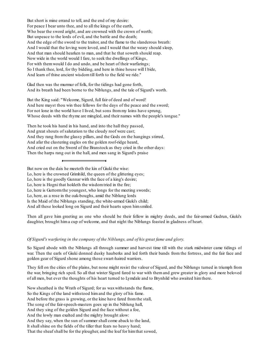But short is mine errand to tell, and the end of my desire: For peace I bear unto thee, and to all the kings of the earth, Who bear the sword aright, and are crowned with the crown of worth; But unpeace to the lords of evil, and the battle and the death; And the edge of the sword to the traitor, and the flame to the slanderous breath: And I would that the loving were loved, and I would that the weary should sleep, And that man should hearken to man, and that he that soweth should reap. Now wide in the world would I fare, to seek the dwellings of Kings, For with themwould I do and undo, and be heart of their warfarings; So I thank thee, lord, for thy bidding, and here in thine house will I bide, And learn of thine ancient wisdomtill forth to the field we ride."

Glad then was the murmur of folk, for the tidings had gone forth, And its breath had been borne to the Niblungs, and the tale of Sigurd's worth.

But the King said: "Welcome, Sigurd, full fair of deed and of word! And here mayst thou win thee fellows for the days of the peace and the sword; For not lone in the world have I lived, but sons frommy loins have sprung, Whose deeds with the rhyme are mingled, and their names with the people's tongue."

Then he took his hand in his hand, and into the hall they passed, And great shouts of salutation to the cloudy roof were cast; And they rang fromthe glassy pillars, and the Gods on the hangings stirred, And afar the clustering eagles on the golden roof-ridge heard, And cried out on the Sword of the Branstock as they cried in the other days: Then the harps rang out in the hall, and men sang in Sigurd's praise

But now on the dais he meeteth the kin of Giuki the wise:

Lo, here is the crowned Grimhild, the queen of the glittering eyes;

Lo, here is the goodly Gunnar with the face of a king's desire;

Lo, here is Hogni that holdeth the wisdomtried in the fire;

Lo, here is Guttormthe youngest, who longs for the meeting swords;

Lo, here, as a rose in the oak-boughs, amid the Niblung lords

Is the Maid of the Niblungs standing, the white-armed Giuki's child;

And all these looked long on Sigurd and their hearts upon himsmiled.

Then all gave him greeting as one who should be their fellow in mighty deeds, and the fair-armed Gudrun, Giuki's daughter, brought hima cup of welcome, and that night the Niblungs feasted in gladness of heart.

### *Of Sigurd's warfaring in the company of the Niblungs, and of his great fame and glory.*

So Sigurd abode with the Niblungs all through summer and harvest time till with the stark midwinter came tidings of war. Then the earls of Giuki donned dusky hauberks and led forth their bands from the fortress, and the fair face and golden gear of Sigurd shone among those swart-haired warriors.

They fell on the cities of the plains, but none might resist the valour of Sigurd, and the Niblungs turned in triumph from the war, bringing rich spoil. So all that winter Sigurd fared to war with them and grew greater in glory and more beloved of all men, but ever the thoughts of his heart turned to Lymdale and to Brynhild who awaited himthere.

Now sheathed is the Wrath of Sigurd; for as waxwithstands the flame, So the Kings of the land withstood himand the glory of his fame. And before the grass is growing, or the kine have fared fromthe stall, The song of the fair-speech-masters goes up in the Niblung hall, And they sing of the golden Sigurd and the face without a foe, And the lowly man exalted and the mighty brought alow: And they say, when the sun of summer shall come aback to the land, It shallshine on the fields of the tiller that fears no heavy hand; That the sheaf shall be for the plougher, and the loaf for himthat sowed,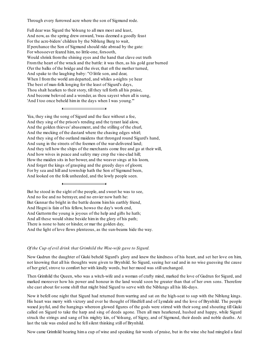Through every furrowed acre where the son of Sigmund rode.

Full dear was Sigurd the Volsung to all men most and least, And now, as the spring drew onward, 'twas deemed a goodly feast For the acre-biders' children by the Niblung Burg to wait, If perchance the Son of Sigmund should ride abroad by the gate: For whosoever feared him, no little-one, forsooth, Would shrink fromthe shining eyes and the hand that clave out truth Fromthe heart of the wrack and the battle: it was then, as his gold gear burned O'er the balks of the bridge and the river, that oft the mother turned, And spake to the laughing baby: "O little son, and dear, When I from the world am departed, and whiles a-nights ye hear The best of man-folk longing for the least of Sigurd's days, Thou shalt hearken to their story, till they tell forth all his praise, And become beloved and a wonder, as thou sayest when all is sung, 'And I too once beheld himin the days when I was young.'"

Yea, they sing the song of Sigurd and the face without a foe, And they sing of the prison's rending and the tyrant laid alow, And the golden thieves' abasement, and the stilling of the churl, And the mocking of the dastard where the chasing edges whirl; And they sing of the outland maidens that thronged round Sigurd's hand, And sung in the streets of the foemen of the war-delivered land; And they tell how the ships of the merchants come free and go at their will, And how wives in peace and safety may crop the vine-clad hill; How the maiden sits in her bower, and the weaver sings at his loom, And forget the kings of grasping and the greedy days of gloom; For by sea and hill and township hath the Son of Sigmund been, And looked on the folk unheeded, and the lowly people seen.

But he stood in the sight of the people, and sweet he was to see, And no foe and no betrayer, and no envier now hath he: But Gunnar the bright in the battle deems himhis earthly friend, And Hogni is fain of his fellow, howso the day's work end, And Guttormthe young is joyous of the help and gifts he hath; And all these would shine beside himin the glory of his path; There is none to hate or hinder, or mar the golden day, And the light of love flows plenteous, as the sun-beams hide the way.

#### *Of the Cup of evil drink that Grimhild the Wise-wife gave to Sigurd.*

Now Gudrun the daughter of Giuki beheld Sigurd's glory and knew the kindness of his heart, and set her love on him, not knowing that all his thoughts were given to Brynhild. So Sigurd, seeing her sad and in no wise guessing the cause of her grief, strove to comfort her with kindly words, but her mood was still unchanged.

Then Grimhild the Queen, who was a witch-wife and a woman of crafty mind, marked the love of Gudrun for Sigurd, and marked moreover how his power and honour in the land would soon be greater than that of her own sons. Therefore she cast about for some shift that might bind Sigurd to serve with the Niblungs all his life-days.

Now it befell one night that Sigurd had returned from warring and sat on the high-seat to sup with the Niblung kings. His heart was merry with victory and ever he thought of Hindfell and of Lymdale and the love of Brynhild. The people waxed joyful, and the hangings whereon glowed figures of the gods were stirred with their song and shouting till Giuki called on Sigurd to take the harp and sing of deeds agone. Then all men hearkened, hushed and happy, while Sigurd struck the strings and sang of his mighty kin, of Volsung, of Signy, and of Sigmund, their deeds and noble deaths. At last the tale was ended and he fellsilent thinking still of Brynhild.

Now came Grimhild bearing him a cup of wine and speaking fair words of praise, but in the wine she had mingled a fatal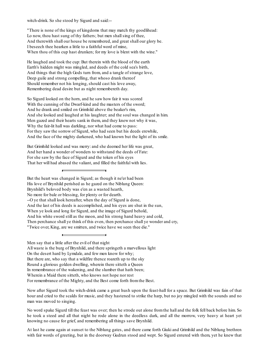witch-drink. So she stood by Sigurd and said:--

"There is none of the kings of kingdoms that may match thy goodlihead: Lo now, thou hast sung of thy fathers; but men shall sing of thee, And therewith shall our house be remembered, and great shall our glory be. I beseech thee hearken a little to a faithful word of mine, When thou of this cup hast drunken; for my love is blent with the wine."

He laughed and took the cup: But therein with the blood of the earth Earth's hidden might was mingled, and deeds of the cold sea's birth, And things that the high Gods turn from, and a tangle of strange love, Deep guile and strong compelling, that whoso drank thereof Should remember not his longing, should cast his love away, Remembering dead desire but as night remembereth day.

So Sigurd looked on the horn, and he saw how fair it was scored With the cunning of the Dwarf-kind and the masters of the sword; And he drank and smiled on Grimhild above the beaker's rim, And she looked and laughed at his laughter; and the soul was changed in him. Men gazed and their hearts sank in them, and they knew not why it was, Why the fair-lit hall was darkling, nor what had come to pass: For they saw the sorrow of Sigurd, who had seen but his deeds erewhile, And the face of the mighty darkened, who had known but the light of its smile.

But Grimhild looked and was merry: and she deemed her life was great, And her hand a wonder of wonders to withstand the deeds of Fate: For she saw by the face of Sigurd and the token of his eyes That her will had abased the valiant, and filled the faithful with lies.

But the heart was changed in Sigurd; as though it ne'er had been His love of Brynhild perished as he gazed on the Niblung Queen: Brynhild's beloved body was e'en as a wasted hearth, No more for bale or blessing, for plenty or for dearth. --O ye that shall look hereafter, when the day of Sigurd is done, And the last of his deeds is accomplished, and his eyes are shut in the sun, When ye look and long for Sigurd, and the image of Sigurd behold, And his white sword still as the moon, and his strong hand heavy and cold, Then perchance shall ye think of this even, then perchance shall ye wonder and cry, "Twice over, King, are we smitten, and twice have we seen thee die."

Men say that a little after the evil of that night All waste is the burg of Brynhild, and there springeth a marvellous light On the desert hard by Lymdale, and few men know for why; But there are, who say that a wildfire thence roareth up to the sky Round a glorious golden dwelling, wherein there sitteth a Queen In remembrance of the wakening, and the slumber that hath been; Wherein a Maid there sitteth, who knows not hope nor rest For remembrance of the Mighty, and the Best come forth fromthe Best.

Now after Sigurd took the witch-drink came a great hush upon the feast-hall for a space. But Grimhild was fain of that hour and cried to the scalds for music, and they hastened to strike the harp, but no joy mingled with the sounds and no man was moved to singing.

No word spake Sigurd till the feast was over; then he strode out alone fromthe hall and the folk fell back before him. So he took a steed and all that night he rode alone in the deedless dark, and all the morrow, very heavy at heart yet knowing no cause for grief, and remembering all things save Brynhild.

At last he came again at sunset to the Niblung gates, and there came forth Giuki and Grimhild and the Niblung brethren with fair words of greeting, but in the doorway Gudrun stood and wept. So Sigurd entered with them, yet he knew that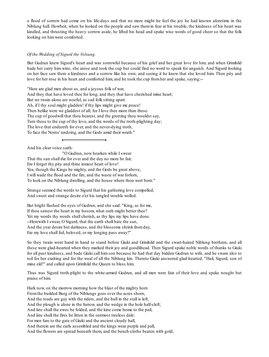a flood of sorrow had come on his life-days and that no more might he feel the joy he had known aforetime in the Niblung hall. Howbeit, when he looked on the people and saw them in fear at his trouble, the kindness of his heart was kindled, and thrusting the heavy sorrow aside, he lifted his head and spake wise words of good cheer so that the folk looking on himwere comforted.

### *Of the Wedding of Sigurd the Volsung.*

But Gudrun knew Sigurd's heart and was sorrowful because of his grief and her great love for him, and when Grimhild bade her carry him wine, she arose and took the cup but could find no word to speak for anguish. And Sigurd looking on her face saw there a kindness and a sorrow like his own, and seeing it he knew that she loved him. Then pity and love for her rose in his heart and comforted him, and he took the cup fromher and spake, saying:--

"Here are glad men about us, and a joyous folk of war, And they that have loved thee for long, and they that have cherished mine heart; But we twain alone are woeful, as sad folk sitting apart. Ah, if I thy soul might gladden! if thy lips might give me peace! Then belike were we gladdest of all; for I love thee more than these. The cup of goodwill that thou bearest, and the greeting thou wouldst say, Turn these to the cup of thy love, and the words of the troth-plighting day; The love that endureth for ever, and the never-dying troth, To face the Norns' undoing, and the Gods amid their wrath."

And his clear voice saith:

"O Gudrun, now hearken while I swear That the sun shall die for ever and the day no more be fair, Ere I forget thy pity and thine inmost heart of love! Yea, though the Kings be mighty, and the Gods be great above, I will wade the flood and the fire, and the waste of war forlorn, To look on the Niblung dwelling, and the house where thou wert born."

Strange seemed the words to Sigurd that his gathering love compelled, And sweet and strange desire o'er his tangled trouble welled.

But bright flashed the eyes of Gudrun, and she said: "King, as for me, If thou sawest the heart in my bosom, what oath might better thee? Yet my words thy words shall cherish, as thy lips my lips have done. --Herewith I swear, O Sigurd, that the earth shall hate the sun, And the year desire but darkness, and the blossoms shrink fromday, Ere my love shall fail, beloved, or my longing pass away!"

So they twain went hand in hand to stand before Giuki and Grimhild and the swart-haired Niblung brethren, and all these were glad-hearted when they marked their joy and goodlihead. Then Sigurd spake noble words of thanks to Giuki for all past kindness, and bade Giuki call him son because he had that day bidden Gudrun to wife, and he sware also to toil for her exalting and for the weal of all the Niblung kin. Thereto Giuki answered glad-hearted, "Hail, Sigurd, son of mine eld!" and called upon Grimhild the Queen to bless him.

Thus was Sigurd troth-plight to the white-armed Gudrun, and all men were fain of their love and spake nought but praise of him.

Hark now, on the morrow morning how the blast of the mighty horn Fromthe builded Burg of the Niblungs goes over the acres shorn, And the roads are gay with the riders, and the bull in the stall is left, And the plough is alone in the furrow, and the wedge in the hole half-cleft; And late shall the ewes be folded, and the kine come home to the pail, And late shall the fires be litten in the outmost treeless dale: For men fare to the gate of Giuki and the ancient cloudy hall, And therein are the earls assembled and the kings wear purple and pall, And the flowers are spread beneath them, and the bench-cloths beaten with gold;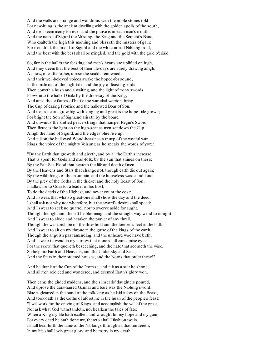And the walls are strange and wondrous with the noble stories told: For new-hung is the ancient dwelling with the golden spoils of the south, And men seemmerry for ever, and the praise is in each man's mouth, And the name of Sigurd the Volsung, the King and the Serpent's Bane, Who exalteth the high this morning and blesseth the masters of gain: For men drink the bridal of Sigurd and the white-armed Niblung maid, And the best with the best shall be mingled, and the gold with the gold o'erlaid.

So, fair in the hall is the feasting and men's hearts are uplifted on high, And they deemthat the best of their life-days are surely drawing anigh, As now, one after other, uprise the scalds renowned, And their well-beloved voices awake the hoped-for sound, In the midmost of the high-tide, and the joy of feasting lords. Then cometh a hush and a waiting, and the light of many swords Flows into the hall of Giuki by the doorway of the King, And amid those flames of battle the war-clad warriors bring The Cup of daring Promise and the hallowed Boar of Son, And men's hearts grow big with longing and great is the hope-tide grown; For bright the Son of Sigmund ariseth by the board And unwinds the knitted peace-strings that hamper Regin's Sword: Then fierce is the light on the high-seat as men set down the Cup Anigh the hand of Sigurd, and the edges blue rise up, And fall on the hallowed Wood-beast: as a trump of the woeful war Rings the voice of the mighty Volsung as he speaks the words of yore:

"By the Earth that groweth and giveth, and by all the Earth's increase That is spent for Gods and man-folk; by the sun that shines on these; By the Salt-Sea-Flood that beareth the life and death of men; By the Heavens and Stars that change not, though earth die out again; By the wild things of the mountain, and the houseless waste and lone; By the prey of the Goths in the thicket and the holy Beast of Son, I hallow me to Odin for a leader of his host, To do the deeds of the Highest, and never count the cost: And I swear, that whatso great-one shall show the day and the deed, I shall ask not why nor wherefore, but the sword's desire shall speed: And I swear to seek no quarrel, nor to swerve aside for aught, Though the right and the left be blooming, and the straight way wend to nought: And I swear to abide and hearken the prayer of any thrall, Though the war-torch be on the threshold and the foemen's feet in the hall: And I swear to sit on my throne in the guise of the kings of the earth, Though the anguish past amending, and the unheard woe have birth: And I swear to wend in my sorrow that none shall curse mine eyes For the scowl that quelleth beseeching, and the hate that scorneth the wise. So help me Earth and Heavens, and the Under-sky and Seas, And the Stars in their ordered houses, and the Norns that order these!"

And he drank of the Cup of the Promise, and fair as a star he shone, And all men rejoiced and wondered, and deemed Earth's glory won.

Then came the girded maidens, and the slimearls' daughters poured, And uprose the dark-haired Gunnar and bare was the Niblung sword; Blue it gleamed in the hand of the folk-king as he laid it low on the Beast, And took oath as the Goths of aforetime in the hush of the people's feast: "I will work for the craving of Kings, and accomplish the will of the great, Nor ask what God withstandeth, nor hearken the tales of fate; When a King my life hath exalted, and wrought for my hope and my gain, For every deed he hath done me, thereto shall I fashion twain. I shall bear forth the fame of the Niblungs through all that hindereth; In my life shall I win great glory, and be merry in my death."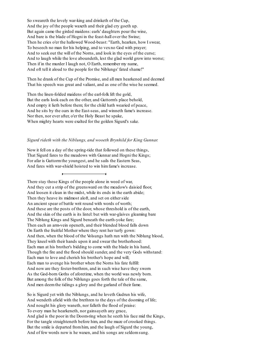So sweareth the lovely war-king and drinketh of the Cup, And the joy of the people waxeth and their glad cry goeth up. But again came the girded maidens: earls' daughters pour the wine, And bare is the blade of Hogni in the feast-hall over the Swine; Then he cries o'er the hallowed Wood-beast: "Earth, hearken, how I swear, To beseech no man for his helping, and to vexno God with prayer; And to seek out the will of the Norns, and look in the eyes of the curse; And to laugh while the love aboundeth, lest the glad world grow into worse; Then if in the murder I laugh not, O Earth, remember my name, And oft tell it aloud to the people for the Niblungs' fated shame!"

Then he drank of the Cup of the Promise, and all men hearkened and deemed That his speech was great and valiant, and as one of the wise he seemed.

Then the linen-folded maidens of the earl-folk lift the gold, But the earls look each on the other, and Guttorm's place behold, And empty it lieth before them; for the child hath wearied of peace, And he sits by the oars in the East-seas, and winneth fame's increase. Nor then, nor ever after, o'er the Holy Beast he spake, When mighty hearts were exalted for the golden Sigurd's sake.

### *Sigurd rideth with the Niblungs, and wooeth Brynhild for King Gunnar.*

Now it fell on a day of the spring-tide that followed on these things, That Sigurd fares to the meadows with Gunnar and Hogni the Kings; For afar is Guttormthe youngest, and he sails the Eastern Seas, And fares with war-shield hoisted to win himfame's increase.

There stay those Kings of the people alone in weed of war, And they cut a strip of the greensward on the meadow's daisied floor, And loosen it clean in the midst, while its ends in the earth abide; Then they heave its midmost aloft, and set on either side An ancient spear of battle writ round with words of worth; And these are the posts of the door, whose threshold is of the earth, And the skin of the earth is its lintel: but with war-glaives gleaming bare The Niblung Kings and Sigurd beneath the earth-yoke fare; Then each an arm-vein openeth, and their blended blood falls down On Earth the fruitful Mother where they rent her turfy gown: And then, when the blood of the Volsungs hath run with the Niblung blood, They kneel with their hands upon it and swear the brotherhood: Each man at his brother's bidding to come with the blade in his hand, Though the fire and the flood should sunder, and the very Gods withstand: Each man to love and cherish his brother's hope and will; Each man to avenge his brother when the Norns his fate fulfill: And now are they foster-brethren, and in such wise have they sworn As the God-born Goths of aforetime, when the world was newly born. But among the folk of the Niblungs goes forth the tale of the same, And men deemthe tidings a glory and the garland of their fame.

So is Sigurd yet with the Niblungs, and he loveth Gudrun his wife, And wendeth afield with the brethren to the days of the dooming of life; And nought his glory waneth, nor falleth the flood of praise: To every man he hearkeneth, nor gainsayeth any grace, And glad is the poor in the Doom-ring when he seeth his face mid the Kings, For the tangle straighteneth before him, and the maze of crooked things. But the smile is departed fromhim, and the laugh of Sigurd the young, And of few words now is he waxen, and his songs are seldomsung.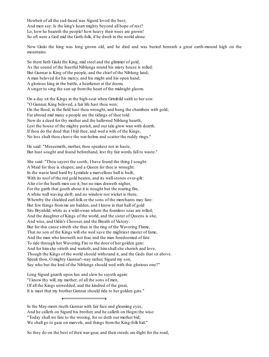Howbeit of all the sad-faced was Sigurd loved the best; And men say: Is the king's heart mighty beyond all hope of rest? Lo, how he beareth the people! how heavy their woes are grown! So oft were a God mid the Goth-folk, if he dwelt in the world alone.

Now Giuki the king was long grown old, and he died and was buried beneath a great earth-mound high on the mountains.

So there lieth Giuki the King, mid steel and the glimmer of gold, As the sound of the feastful Niblungs round his misty house is rolled: But Gunnar is King of the people, and the chief of the Niblung land; A man beloved for his mercy, and his might and his open hand; A glorious king in the battle, a hearkener at the doom, A singer to sing the sun up fromthe heart of the midnight gloom.

On a day sit the Kings in the high-seat when Grimhild saith to her son: "O Gunnar, King beloved, a fair life hast thou won; On the flood, in the field hast thou wrought, and hung the chambers with gold; Far abroad mid many a people are the tidings of thee told: Now do a deed for thy mother and the hallowed Niblung hearth, Lest the house of the mighty perish, and our tale grow wan with dearth. If thou do the deed that I bid thee, and wed a wife of the Kings, No less shalt thou cleave the war-helms and scatter the ruddy rings."

He said: "Meseemeth, mother, thou speakest not in haste, But hast sought and found beforehand, lest thy fair words fall to waste."

She said: "Thou sayest the sooth; I have found the thing I sought: A Maid for thee is shapen, and a Queen for thee is wrought: In the waste land hard by Lymdale a marvellous hall is built, With its roof of the red gold beaten, and its wall-stones over-gilt: Afar o'er the heath men see it, but no man draweth nigher, For the garth that goeth about it is nought but the roaring fire, A white wall waving aloft; and no window nor wicket is there, Whereby the shielded earl-folk or the sons of the merchants may fare: But few things fromme are hidden, and I know in that hall of gold Sits Brynhild, white as a wild-swan where the foamless seas are rolled; And the daughter of Kings of the world, and the sister of Queens is she, And wise, and Odin's Chooser, and the Breath of Victory: But for this cause sitteth she thus in the ring of the Wavering Flame, That no son of the Kings will she wed save the mightiest master of fame, And the man who knoweth not fear, and the man foredoomed of fate To ride through her Wavering Fire to the door of her golden gate: And for himshe sitteth and waiteth, and himshallshe cherish and love, Though the Kings of the world should withstand it, and the Gods that sit above. Speak thou, O mighty Gunnar!--nay rather, Sigurd my son, Say who but the lord of the Niblungs should wed with this glorious one?"

Long Sigurd gazeth upon her, and slow he sayeth again: "I know thy will, my mother; of all the sons of men, Of all the Kings unwedded, and the kindred of the great, It is meet that my brother Gunnar should ride to her golden gate."

In the May-morn riseth Gunnar with fair face and gleaming eyes, And he calleth on Sigurd his brother, and he calleth on Hogni the wise: "Today shall we fare to the wooing, for so doth our mother bid; We shall go to gaze on marvels, and things fromthe King-folk hid."

So they do on the best of their war-gear, and their steeds are dight for the road,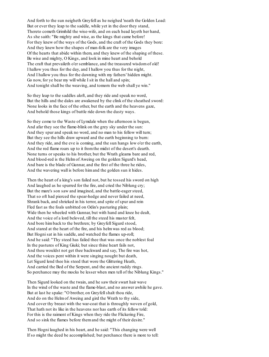And forth to the sun neigheth Greyfell as he neighed 'neath the Golden Load: But or ever they leap to the saddle, while yet in the door they stand, Thereto cometh Grimhild the wise-wife, and on each head layeth her hand, As she saith: "Be mighty and wise, as the kings that came before! For they knew of the ways of the Gods, and the craft of the Gods they bore: And they knew how the shapes of man-folk are the very images Of the hearts that abide within them, and they knew of the shaping of these. Be wise and mighty, O Kings, and look in mine heart and behold The craft that prevaileth o'er semblance, and the treasured wisdomof old! I hallow you thus for the day, and I hallow you thus for the night, And I hallow you thus for the dawning with my fathers' hidden might. Go now, for ye bear my will while I sit in the hall and spin; And tonight shall be the weaving, and tomorn the web shall ye win."

So they leap to the saddles aloft, and they ride and speak no word, But the hills and the dales are awakened by the clink of the sheathed sword: None looks in the face of the other, but the earth and the heavens gaze, And behold those kings of battle ride down the dusty ways.

So they come to the Waste of Lymdale when the afternoon is begun, And afar they see the flame-blink on the grey sky under the sun: And they spur and speak no word, and no man to his fellow will turn; But they see the hills draw upward and the earth beginning to burn: And they ride, and the eve is coming, and the sun hangs low o'er the earth, And the red flame roars up to it fromthe midst of the desert's dearth. None turns or speaks to his brother, but the Wrath gleams bare and red, And blood-red is the Helmof Aweing on the golden Sigurd's head, And bare is the blade of Gunnar, and the first of the three he rides, And the wavering wall is before himand the golden sun it hides.

Then the heart of a king's son failed not, but he tossed his sword on high And laughed as he spurred for the fire, and cried the Niblung cry; But the mare's son saw and imagined, and the battle-eager steed, That so oft had pierced the spear-hedge and never failed at need, Shrank back, and shrieked in his terror, and spite of spur and rein Fled fast as the foals unbitted on Odin's pasturing plain; Wide then he wheeled with Gunnar, but with hand and knee he dealt, And the voice of a lord beloved, till the steed his master felt, And bore himback to the brethren; by Greyfell Sigurd stood, And stared at the heart of the fire, and his helmwas red as blood; But Hognisat in his saddle, and watched the flames up-roll; And he said: "Thy steed has failed thee that was once the noblest foal In the pastures of King Giuki; but since thine heart fails not, And thou wouldst not get thee backward and say, The fire was hot, And the voices pent within it were singing nought but death, Let Sigurd lend thee his steed that wore the Glittering Heath, And carried the Bed of the Serpent, and the ancient ruddy rings. So perchance may the mocks be lesser when men tell of the Niblung Kings."

Then Sigurd looked on the twain, and he saw their swart hair wave In the wind of the waste and the flame-blast, and no answer awhile he gave. But at last he spake: "O brother, on Greyfellshalt thou ride, And do on the Helmof Aweing and gird the Wrath to thy side, And cover thy breast with the war-coat that is throughly woven of gold, That hath not its like in the heavens nor has earth of its fellow told: For this is the raiment of Kings when they ride the Flickering Fire, And so sink the flames before themand the might of their desire."

Then Hogni laughed in his heart, and he said: "This changing were well If so might the deed be accomplished; but perchance there is more to tell: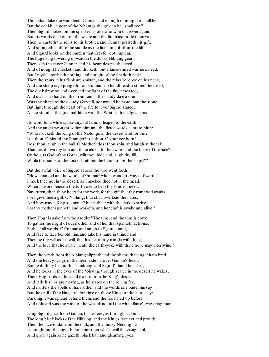Thou shalt take the war-steed, Gunnar, and enough or nought it shall be: But the coal-blue gear of the Niblungs the golden hall shall see." Then Sigurd looked on the speaker, as one who would answer again, But his words died out on the waste and the fire-blast made themvain. Then he casteth the reins to his brother, and Gunnar praiseth his gift, And springeth aloft to the saddle as the fair sun fails fromthe lift; And Sigurd looks on the burden that Greyfell doth uprear, The huge king towering upward in the dusky Niblung gear: There sits the eager Gunnar, and his heart desires the deed, And of nought he recketh and thinketh, but a fame-stirred warrior's need; But Greyfell trembleth nothing and nought of the fire doth reck: Then the spurs in his flank are smitten, and the reins lie loose on his neck, And the sharp cry springeth fromGunnar--no handbreadth stirred the beast; The dusk drew on and over and the light of the fire increased, And still as a shard on the mountain in the sandy dale alone Was the shape of the cloudy Greyfell, nor moved he more than the stone; But right through the heart of the fire for ever Sigurd stared, As he stood in the gold red-litten with the Wrath's thin edges bared.

No word for a while spake any, till Gunnar leaped to the earth, And the anger wrought within him, and the fierce words came to birth: "Who mocketh the King of the Niblungs in the desert land forlorn? Is it thou, O Sigurd the Stranger? is it thou, O younger-born? Dost thou laugh in the hall, O Mother? dost thou spin, and laugh at the tale That has drawn thy son and thine eldest to the sword and the blaze of the bale? Or thou, O God of the Goths, wilt thou hide and laugh thy fill, While the hands of the foster-brethren the blood of brothers spill?"

But the awful voice of Sigurd across the wild went forth: "How changed are the words of Gunnar! where wend his ways of worth? I mock thee not in the desert, as I mocked thee not in the mead, When I swore beneath the turf-yoke to help thy fondest need: Nay, strengthen thine heart for the work, for the gift that thy manhood awaits; For I give thee a gift, O Niblung, that shall overload the Fates, And how may a King sustain it? but forbear with the dark to strive; For thy mother spinneth and worketh, and her craft is awake and alive."

Then Hognispake fromthe saddle: "The time, and the time is come To gather the might of our mother, and of her that spinneth at home. Forbear all words, O Gunnar, and anigh to Sigurd stand, And face to face behold him, and take his hand in thine hand: Then be thy will as his will, that his heart may mingle with thine, And the love that he sware 'neath the earth-yoke with thine hope may intertwine."

Then the wrath fromthe Niblung slippeth and the shame that anger hath bred, And the heavy wings of the dreamtide flit over Gunnar's head: But he doth by his brother's bidding, and Sigurd's hand he takes, And he looks in the eyes of the Volsung, though scarce in the desert he wakes. There Hognisits in the saddle aloof fromthe King's desire, And little his lips are moving, as he stares on the rolling fire, And mutters the spells of his mother, and the words she bade himsay: But the craft of the kings of aforetime on those Kings of the battle lay; Dark night was spread behind them, and the fire flared up before, And unheard was the wind of the wasteland mid the white flame's wavering roar.

Long Sigurd gazeth on Gunnar, till he sees, as through a cloud, The long black locks of the Niblung, and the King's face set and proud: Then the face is alone on the dark, and the dusky Niblung mail Is nought but the night before him: then whiles will the visage fail, And grow again as he gazeth, black hair and gleaming eyes,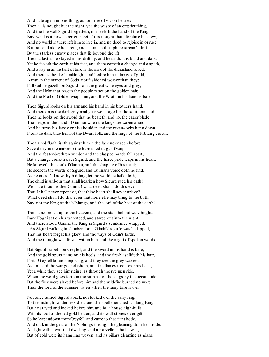And fade again into nothing, as for more of vision he tries: Then all is nought but the night, yea the waste of an emptier thing, And the fire-wall Sigurd forgetteth, nor feeleth the hand of the King: Nay, what is it now he remembereth? it is nought that aforetime he knew, And no world is there left himto live in, and no deed to rejoice in or rue; But frail and alone he fareth, and as one in the sphere-stream's drift, By the starless empty places that lie beyond the lift: Then at last is he stayed in his drifting, and he saith, It is blind and dark; Yet he feeleth the earth at his feet, and there cometh a change and a spark, And away in an instant of time is the mirk of the dreamland rolled, And there is the fire-lit midnight, and before himan image of gold, A man in the raiment of Gods, nor fashioned worser than they: Full sad he gazeth on Sigurd from the great wide eyes and grey; And the Helmthat Aweth the people is set on the golden hair, And the Mail of Gold enwraps him, and the Wrath in his hand is bare.

Then Sigurd looks on his armand his hand in his brother's hand, And thereon is the dark grey mail-gear well forged in the southern land; Then he looks on the sword that he beareth, and, lo, the eager blade That leaps in the hand of Gunnar when the kings are waxen afraid; And he turns his face o'er his shoulder, and the raven-locks hang down Fromthe dark-blue helmof the Dwarf-folk, and the rings of the Niblung crown.

Then a red flush riseth against himin the face ne'er seen before, Save dimly in the mirror or the burnished targe of war, And the foster-brethren sunder, and the clasped hands fall apart; But a change cometh over Sigurd, and the fierce pride leaps in his heart; He knoweth the soul of Gunnar, and the shaping of his mind; He seeketh the words of Sigurd, and Gunnar's voice doth he find, As he cries: "I know thy bidding; let the world be lief or loth, The child is unborn that shall hearken how Sigurd rued his oath! Well fare thou brother Gunnar! what deed shall I do this eve That I shall never repent of, that thine heart shall never grieve? What deed shall I do this even that none else may bring to the birth, Nay, not the King of the Niblungs, and the lord of the best of the earth?"

The flames rolled up to the heavens, and the stars behind were bright, Dark Hognisat on his war-steed, and stared out into the night, And there stood Gunnar the King in Sigurd's semblance wrapped, --As Sigurd walking in slumber, for in Grimhild's guile was he lapped, That his heart forgat his glory, and the ways of Odin's lords, And the thought was frozen within him, and the might of spoken words.

But Sigurd leapeth on Greyfell, and the sword in his hand is bare, And the gold spurs flame on his heels, and the fire-blast lifteth his hair; Forth Greyfell bounds rejoicing, and they see the grey waxred, As unheard the war-gear clasheth, and the flames meet over his head, Yet a while they see himriding, as through the rye men ride, When the word goes forth in the summer of the kings by the ocean-side; But the fires were slaked before himand the wild-fire burned no more Than the ford of the summer waters when the rainy time is o'er.

Not once turned Sigurd aback, nor looked o'er the ashy ring, To the midnight wilderness drear and the spell-drenched Niblung King: But he stayed and looked before him, and lo, a house high-built With its roof of the red gold beaten, and its wall-stones over-gilt: So he leapt adown fromGreyfell, and came to that fair abode, And dark in the gear of the Niblungs through the gleaming door he strode: All light within was that dwelling, and a marvellous hall it was, But of gold were its hangings woven, and its pillars gleaming as glass,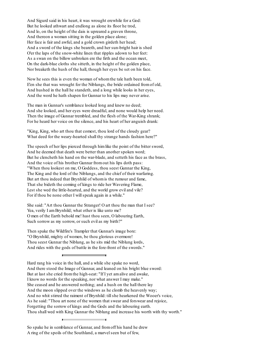And Sigurd said in his heart, it was wrought erewhile for a God: But he looked athwart and endlong as alone its floor he trod, And lo, on the height of the dais is upreared a graven throne, And thereon a woman sitting in the golden place alone; Her face is fair and awful, and a gold crown girdeth her head; And a sword of the kings she beareth, and her sun-bright hair is shed O'er the laps of the snow-white linen that ripples adown to her feet: As a swan on the billow unbroken ere the firth and the ocean meet, On the dark-blue cloths she sitteth, in the height of the golden place, Nor breaketh the hush of the hall, though her eyes be set on his face.

Now he sees this is even the woman of whomthe tale hath been told, E'en she that was wrought for the Niblungs, the bride ordained fromof old, And hushed in the hall he standeth, and a long while looks in her eyes, And the word he hath shapen for Gunnar to his lips may never arise.

The man in Gunnar's semblance looked long and knew no deed; And she looked, and her eyes were dreadful, and none would help her need. Then the image of Gunnar trembled, and the flesh of the War-King shrank; For he heard her voice on the silence, and his heart of her anguish drank:

"King, King, who art thou that comest, thou lord of the cloudy gear? What deed for the weary-hearted shall thy strange hands fashion here?"

The speech of her lips pierced through himlike the point of the bitter sword, And he deemed that death were better than another spoken word; But he clencheth his hand on the war-blade, and setteth his face as the brass, And the voice of his brother Gunnar fromout his lips doth pass: "When thou lookest on me, O Goddess, thou seest Gunnar the King, The King and the lord of the Niblungs, and the chief of their warfaring. But art thou indeed that Brynhild of whomis the rumour and fame, That she bideth the coming of kings to ride her Wavering Flame, Lest she wed the little-hearted, and the world grow evil and vile? For if thou be none other I will speak again in a while."

She said: "Art thou Gunnar the Stranger! O art thou the man that I see? Yea, verily I am Brynhild; what other is like unto me? O men of the Earth behold me! hast thou seen, O labouring Earth, Such sorrow as my sorrow, or such evil as my birth?"

Then spake the Wildfire's Trampler that Gunnar's image bore: "O Brynhild, mighty of women, be thou glorious evermore! Thou seest Gunnar the Niblung, as he sits mid the Niblung lords, And rides with the gods of battle in the fore-front of the swords."

Hard rang his voice in the hall, and a while she spake no word, And there stood the Image of Gunnar, and leaned on his bright blue sword: But at last she cried fromthe high-seat: "If I yet amalive and awake, I know no words for the speaking, nor what answer I may make." She ceased and he answered nothing; and a hush on the hall there lay And the moon slipped over the windows as he clomb the heavenly way; And no whit stirred the raiment of Brynhild: till she hearkened the Wooer's voice, As he said: "Thou art none of the women that swear and forswear and rejoice, Forgetting the sorrow of kings and the Gods and the labouring earth. Thou shall wed with King Gunnar the Niblung and increase his worth with thy worth."

So spake he in semblance of Gunnar, and fromoff his hand he drew A ring of the spoils of the Southland, a marvelseen but of few,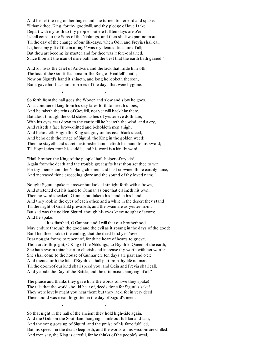And he set the ring on her finger, and she turned to her lord and spake: "I thank thee, King, for thy goodwill, and thy pledge of love I take. Depart with my troth to thy people: but ere full ten days are o'er I shall come to the Sons of the Niblungs, and then shall we part no more Till the day of the change of our life-days, when Odin and Freyia shall call. Lo, here, my gift of the morning! 'twas my dearest treasure of all; But thou art become its master, and for thee was it fore-ordained, Since thou art the man of mine oath and the best that the earth hath gained."

And lo, 'twas the Grief of Andvari, and the lack that made himloth, The last of the God-folk's ransom, the Ring of Hindfell's oath; Now on Sigurd's hand it shineth, and long he looketh thereon, But it gave himback no memories of the days that were bygone.

So forth fromthe hall goes the Wooer, and slow and slow he goes, As a conquered king fromhis city fares forth to meet his foes; And he taketh the reins of Greyfell, nor yet will back himthere, But afoot through the cold slaked ashes of yester-eve doth fare, With his eyes cast down to the earth; till he heareth the wind, and a cry, And raiseth a face brow-knitted and beholdeth men anigh, And beholdeth Hogni the King set grey on his coal-black steed, And beholdeth the image of Sigurd, the King in the golden weed: Then he stayeth and stareth astonished and setteth his hand to his sword; Till Hogni cries fromhis saddle, and his word is a kindly word:

"Hail, brother, the King of the people! hail, helper of my kin! Again fromthe death and the trouble great gifts hast thou set thee to win For thy friends and the Niblung children, and hast crowned thine earthly fame, And increased thine exceeding glory and the sound of thy loved name."

Nought Sigurd spake in answer but looked straight forth with a frown, And stretched out his hand to Gunnar, as one that claimeth his own. Then no word speaketh Gunnar, but taketh his hand in his hand, And they look in the eyes of each other, and a while in the desert they stand Till the might of Grimhild prevaileth, and the twain are as yester-morn; But sad was the golden Sigurd, though his eyes knew nought of scorn; And he spake:

"It is finished, O Gunnar! and I will that our brotherhood May endure through the good and the evil as it sprang in the days of the good: But I bid thee look to the ending, that the deed I did yest'reve Bear nought for me to repent of, for thine heart of hearts to grieve. Thou art troth-plight, O King of the Niblungs, to Brynhild Queen of the earth, She hath sworn thine heart to cherish and increase thy worth with her worth: She shall come to the house of Gunnar ere ten days are past and o'er; And thenceforth the life of Brynhild shall part fromthy life no more, Till the doomof our kind shallspeed you, and Odin and Freyia shall call, And ye bide the Day of the Battle, and the uttermost changing of all."

The praise and thanks they gave him! the words of love they spake! The tale that the world should hear of, deeds done for Sigurd's sake! They were lovely might you hear them: but they lack; for in very deed Their sound was clean forgotten in the day of Sigurd's need.

So that night in the hall of the ancient they hold high-tide again, And the Gods on the Southland hangings smile out full fair and fain, And the song goes up of Sigurd, and the praise of his fame fulfilled, But his speech in the dead sleep lieth, and the words of his wisdomare chilled: And men say, the King is careful, for he thinks of the people's weal,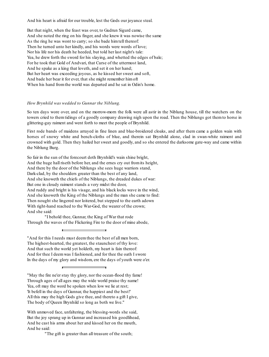And his heart is afraid for our trouble, lest the Gods our joyance steal.

But that night, when the feast was over, to Gudrun Sigurd came, And she noted the ring on his finger, and she knew it was nowise the same As the ring he was wont to carry; so she bade himtell thereof: Then he turned unto her kindly, and his words were words of love; Nor his life nor his death he heeded, but told her last night's tale: Yea, he drew forth the sword for his slaying, and whetted the edges of bale; For he took that Gold of Andvari, that Curse of the uttermost land, And he spake as a king that loveth, and set it on her hand; But her heart was exceeding joyous, as he kissed her sweet and soft, And bade her bear it for ever, that she might remember himoft When his hand fromthe world was departed and he sat in Odin's home.

#### *How Brynhild was wedded to Gunnar the Niblung.*

So ten days wore over, and on the morrow-morn the folk were all astir in the Niblung house, till the watchers on the towers cried to them tidings of a goodly company drawing nigh upon the road. Then the Niblungs got them to horse in glittering-gay raiment and went forth to meet the people of Brynhild.

First rode bands of maidens arrayed in fine linen and blue-broidered cloaks, and after them came a golden wain with horses of snowy white and bench-cloths of blue, and therein sat Brynhild alone, clad in swan-white raiment and crowned with gold. Then they hailed her sweet and goodly, and so she entered the darksome gate-way and came within the Niblung Burg.

So fair in the sun of the forecourt doth Brynhild's wain shine bright, And the huge hall riseth before her, and the ernes cry out fromits height, And there by the door of the Niblungs she sees huge warriors stand, Dark-clad, by the shoulders greater than the best of any land, And she knoweth the chiefs of the Niblungs, the dreaded dukes of war: But one in cloudy raiment stands a very midst the door, And ruddy and bright is his visage, and his black locks wave in the wind, And she knoweth the King of the Niblungs and the man she came to find: Then nought she lingered nor loitered, but stepped to the earth adown With right-hand reached to the War-God, the wearer of the crown; And she said:

"I behold thee, Gunnar, the King of War that rode Through the waves of the Flickering Fire to the door of mine abode,

"And for this I needs must deemthee the best of all men born, The highest-hearted, the greatest, the staunchest of thy love: And that such the world yet holdeth, my heart is fain thereof: And for thee I deemwas I fashioned, and for thee the oath I swore In the days of my glory and wisdom, ere the days of youth were o'er.

"May the fire ne'er stay thy glory, nor the ocean-flood thy fame! Through ages of all ages may the wide world praise thy name! Yea, oft may the word be spoken when low we lie at rest; 'It befell in the days of Gunnar, the happiest and the best!' All this may the high Gods give thee, and thereto a gift I give, The body of Queen Brynhild so long as both we live."

With unmoved face, unfaltering, the blessing-words she said, But the joy sprang up in Gunnar and increased his goodlihead, And he cast his arms about her and kissed her on the mouth, And he said:

"The gift is greater than all treasure of the south;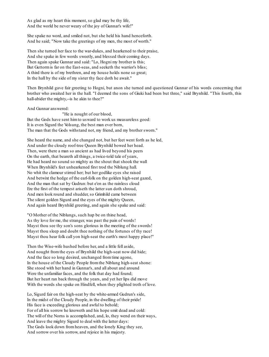As glad as my heart this moment, so glad may be thy life, And the world be never weary of the joy of Gunnar's wife!"

She spake no word, and smiled not, but she held his hand henceforth. And he said; "Now take the greetings of my men, the most of worth."

Then she turned her face to the war-dukes, and hearkened to their praise, And she spake in few words sweetly, and blessed their coming days. Then again spake Gunnar and said: "Lo, Hogni my brother is this; But Guttormis far on the East-seas, and seeketh the warrior's bliss; A third there is of my brethren, and my house holds none so great; In the hall by the side of my sister thy face doth he await."

Then Brynhild gave fair greeting to Hogni, but anon she turned and questioned Gunnar of his words concerning that brother who awaited her in the hall. "I deemed the sons of Giuki had been but three," said Brynhild. "This fourth, this hall-abider the mighty,--is he akin to thee?"

And Gunnar answered:

"He is nought of our blood, But the Gods have sent himto usward to work us measureless good: It is even Sigurd the Volsung, the best man ever born, The man that the Gods withstand not, my friend, and my brother sworn."

She heard the name, and she changed not, but her feet went forth as he led, And under the cloudy roof-tree Queen Brynhild bowed her head. Then, were there a man so ancient as had lived beyond his peers On the earth, that beareth all things, a twice-told tale of years, He had heard no sound so mighty as the shout that shook the wall When Brynhild's feet unhearkened first trod the Niblung hall. No whit the clamour stirred her; but her godlike eyes she raised And betwixt the hedge of the earl-folk on the golden high-seat gazed, And the man that sat by Gudrun: but e'en as the rainless cloud Ere the first of the tempest ariseth the latter sun doth shroud, And men look round and shudder, so Grimhild came between The silent golden Sigurd and the eyes of the mighty Queen, And again heard Brynhild greeting, and again she spake and said:

"O Mother of the Niblungs, such hap be on thine head, As thy love for me, the stranger, was past the pain of words! Mayst thou see thy son's sons glorious in the meeting of the swords! Mayst thou sleep and doubt thee nothing of the fortunes of thy race! Mayst thou hear folk call yon high-seat the earth's most happy place!"

Then the Wise-wife hushed before her, and a little fell aside, And nought fromthe eyes of Brynhild the high-seat now did hide; And the face so long desired, unchanged fromtime agone, In the house of the Cloudy People fromthe Niblung high-seat shone: She stood with her hand in Gunnar's, and all about and around Were the unfamiliar faces, and the folk that day had found; But her heart ran back through the years, and yet her lips did move With the words she spake on Hindfell, when they plighted troth of love.

Lo, Sigurd fair on the high-seat by the white-armed Gudrun's side, In the midst of the Cloudy People, in the dwelling of their pride! His face is exceeding glorious and awful to behold; For of all his sorrow he knoweth and his hope smit dead and cold: The will of the Norns is accomplished, and, lo, they wend on their ways, And leave the mighty Sigurd to deal with the latter days: The Gods look down fromheaven, and the lonely King they see, And sorrow over his sorrow, and rejoice in his majesty.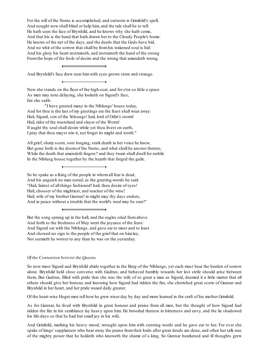For the will of the Norns is accomplished, and outworn is Grimhild's spell, And nought now shall blind or help him, and the tale shall be to tell: He hath seen the face of Brynhild, and he knows why she hath come, And that his is the hand that hath drawn her to the Cloudy People's home: He knows of the net of the days, and the deeds that the Gods have bid, And no whit of the sorrow that shall be fromhis wakened soul is hid: And his glory his heart restraineth, and restraineth the hand of the strong Fromthe hope of the fools of desire and the wrong that amendeth wrong.

And Brynhild's face drew near himwith eyes grown stern and strange.

Now she stands on the floor of the high-seat, and for e'en so little a space As men may note delaying, she looketh on Sigurd's face, Ere she saith:

"I have greeted many in the Niblungs' house today, And for thee is the last of my greetings ere the feast shall wear away: Hail, Sigurd, son of the Volsungs! hail, lord of Odin's storm! Hail, rider of the wasteland and slayer of the Worm! If aught thy soulshall desire while yet thou livest on earth, I pray that thou mayst win it, nor forget its might and worth."

All grief, sharp scorn, sore longing, stark death in her voice he knew, But gone forth is the doomof the Norns, and what shall he answer thereto, While the death that amendeth lingers? and they twain shall dwell for awhile In the Niblung house together by the hearth that forged the guile.

So he spake as a King of the people in whomall fear is dead, And his anguish no man noted, as the greeting-words he said: "Hail, fairest of all things fashioned! hail, thou desire of eyes! Hail, chooser of the mightiest, and teacher of the wise! Hail, wife of my brother Gunnar! in might may thy days endure, And in peace without a trouble that the world's weal may be sure!"

But the song sprang up in the hall, and the eagles cried fromabove And forth to the freshness of May went the joyance of the feast: And Sigurd sat with the Niblungs, and gave ear to most and to least. And showed no sign to the people of the grief that on himlay; Nor seemeth he worser to any than he was on the yesterday.

# *Of the Contention betwixt the Queens.*

So now must Sigurd and Brynhild abide together in the Burg of the Niblungs, yet each must bear the burden of sorrow alone. Brynhild held close converse with Gudrun, and behaved humbly towards her lest strife should arise between them. But Gudrun, filled with pride that she was the wife of so great a man as Sigurd, deemed it a little matter that all others should give her honour, and knowing how Sigurd had ridden the fire, she cherished great scorn of Gunnar and Brynhild in her heart, and her pride waxed daily greater.

Of the heart-wise Hogni men tell how he grew wiser day by day and more learned in the craft of his mother Grimhild.

As for Gunnar, he lived with Brynhild in great honour and praise from all men, but the thought of how Sigurd had ridden the fire in his semblance lay heavy upon him. He brooded thereon in bitterness and envy, and the lie shadowed his life-days so that he had but small joy in his wife.

And Grimhild, marking his heavy mood, wrought upon him with cunning words and he gave ear to her. For ever she spake of kings' supplanters who bear away the praise from their lords after great deeds are done, and often her talk was of the mighty power that he holdeth who knoweth the shame of a king. So Gunnar hearkened and ill thoughts grew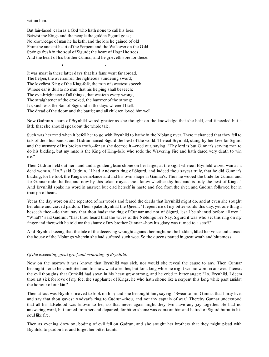within him.

But fair-faced, calmas a God who hath none to call his foes, Betwixt the Kings and the people the golden Sigurd goes; No knowledge of man he lacketh, and the lore he gained of old Fromthe ancient heart of the Serpent and the Wallower on the Gold Springs fresh in the soul of Sigurd; the heart of Hogni he sees, And the heart of his brother Gunnar, and he grieveth sore for these.

It was most in these latter days that his fame went far abroad, The helper, the overcomer, the righteous sundering sword; The loveliest King of the King-folk, the man of sweetest speech, Whose ear is dull to no man that his helping shall beseech; The eye-bright seer of all things, that wasteth every wrong, The straightener of the crooked, the hammer of the strong: Lo, such was the Son of Sigmund in the days whereof I tell, The dread of the doomand the battle; and all children loved himwell.

Now Gudrun's scorn of Brynhild waxed greater as she thought on the knowledge that she held, and it needed but a little that she should speak out the whole tale.

Such was her mind when it befell her to go with Brynhild to bathe in the Niblung river. There it chanced that they fell to talk of their husbands, and Gudrun named Sigurd the best of the world. Thereat Brynhild, stung by her love for Sigurd and the memory of his broken troth,--for so she deemed it,--cried out, saying: "Thy lord is but Gunnar's serving man to do his bidding, but my mate is the King of King-folk, who rode the Wavering Fire and hath dared very death to win me."

Then Gudrun held out her hand and a golden gleam shone on her finger, at the sight whereof Brynhild waxed wan as a dead woman. "Lo," said Gudrun, "I had Andvari's ring of Sigurd, and indeed thou sayest truly, that he did Gunnar's bidding, for he took the King's semblance and hid his own shape in Gunnar's. Thus he wooed the bride for Gunnar and for Gunnar rode the fire, and now by this token mayest thou know whether thy husband is truly the best of Kings." And Brynhild spake no word in answer, but clad herself in haste and fled from the river, and Gudrun followed her in triumph of heart.

Yet as the day wore on she repented of her words and feared the deeds that Brynhild might do, and at even she sought her alone and craved pardon. Then spake Brynhild the Queen: "I repent me of my bitter words this day, yet one thing I beseech thee,--do thou say that thou hadst the ring of Gunnar and not of Sigurd, lest I be shamed before all men." "What?" said Gudrun; "hast thou heard that the wives of the Niblungs lie? Nay, Sigurd it was who set this ring on my finger and therewith he told me the shame of my brother Gunnar,--how his glory was turned to a scoff."

And Brynhild seeing that the tale of the deceiving wrought against her might not be hidden, lifted her voice and cursed the house of the Niblungs wherein she had suffered such woe. So the queens parted in great wrath and bitterness.

### *Of the exceeding great grief and mourning of Brynhild.*

Now on the morrow it was known that Brynhild was sick, nor would she reveal the cause to any. Then Gunnar besought her to be comforted and to show what ailed her, but for a long while he might win no word in answer. Thereat the evil thoughts that Grimhild had sown in his heart grew strong, and he cried in bitter anger: "Lo, Brynhild, I deem thou art sick for love of my foe, the supplanter of Kings, he who hath shone like a serpent this long while past amidst the honour of our kin."

Then at last was Brynhild moved to look on him, and she besought him, saying: "Swear to me, Gunnar, that I may live, and say that thou gavest Andvari's ring to Gudrun--thou, and not thy captain of war." Thereby Gunnar understood that all his falsehood was known to her, so that never again might they two have any joy together. He had no answering word, but turned from her and departed, for bitter shame was come on him and hatred of Sigurd burnt in his soul like fire.

Then as evening drew on, boding of evil fell on Gudrun, and she sought her brothers that they might plead with Brynhild to pardon her and forget her bitter taunts.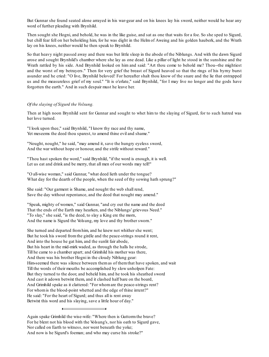But Gunnar she found seated alone arrayed in his war-gear and on his knees lay his sword, neither would he hear any word of further pleading with Brynhild.

Then sought she Hogni, and behold, he was in the like guise, and sat as one that waits for a foe. So she sped to Sigurd, but chill fear fell on her beholding him, for he was dight in the Helm of Aweing and his golden hauberk, and the Wrath lay on his knees, neither would he then speak to Brynhild.

So that heavy night passed away and there was but little sleep in the abode of the Niblungs. And with the dawn Sigurd arose and sought Brynhild's chamber where she lay as one dead. Like a pillar of light he stood in the sunshine and the Wrath rattled by his side. And Brynhild looked on him and said: "Art thou come to behold me? Thou--the mightiest and the worst of my betrayers." Then for very grief the breast of Sigurd heaved so that the rings of his byrny burst asunder and he cried: "O live, Brynhild beloved! For hereafter shalt thou know of the snare and the lie that entrapped us and the measureless grief of my soul." "It is o'erlate," said Brynhild, "for I may live no longer and the gods have forgotten the earth." And in such despair must he leave her.

### *Of the slaying of Sigurd the Volsung.*

Then at high noon Brynhild sent for Gunnar and sought to whet him to the slaying of Sigurd, for to such hatred was her love turned.

"I look upon thee," said Brynhild, "I know thy race and thy name, Yet meseems the deed thou sparest, to amend thine evil and shame."

"Nought, nought," he said, "may amend it, save the hungry eyeless sword, And the war without hope or honour, and the strife without reward."

"Thou hast spoken the word," said Brynhild, "if the word is enough, it is well. Let us eat and drink and be merry, that all men of our words may tell!"

"O all-wise woman," said Gunnar, "what deed lieth under the tongue? What day for the dearth of the people, when the seed of thy sowing hath sprung?"

She said: "Our garment is Shame, and nought the web shall rend, Save the day without repentance, and the deed that nought may amend."

"Speak, mighty of women," said Gunnar, "and cry out the name and the deed That the ends of the Earth may hearken, and the Niblungs' grievous Need." "To slay," she said, "is the deed, to slay a King ere the morn, And the name is Sigurd the Volsung, my love and thy brother sworn."

She turned and departed fromhim, and he knew not whither she went; But he took his sword fromthe girdle and the peace-strings round it rent, And into the house he gat him, and the sunlit fair abode, But his heart in the mid-mirk waded, as through the halls he strode, Till he came to a chamber apart; and Grimhild his mother was there, And there was his brother Hogni in the cloudy Niblung gear: Him-seemed there was silence between themas of themthat have spoken, and wait Till the words of their mouths be accomplished by slow unholpen Fate: But they turned to the door, and beheld him, and he took his sheathed sword And cast it adown betwixt them, and it clashed half bare on the board, And Grimhild spake as it clattered: "For whomare the peace-strings rent? For whomis the blood-point whetted and the edge of thine intent?" He said: "For the heart of Sigurd; and thus all is rent away Betwixt this word and his slaying, save a little hour of day."

Again spake Grimhild the wise-wife: "Where then is Guttormthe brave? For he blent not his blood with the Volsung's, nor his oath to Sigurd gave, Nor called on Earth to witness, nor went beneath the yoke; And now is he Sigurd's foeman; and who may curse his stroke?"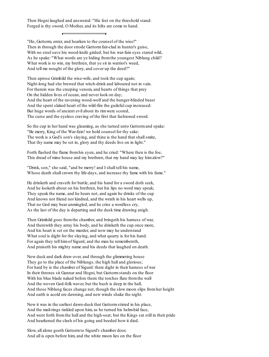Then Hogni laughed and answered: "His feet on the threshold stand: Forged is thy sword, O Mother, and its hilts are come to hand.

"Ho, Guttorm, enter, and hearken to the counsel of the wise!" Then in through the door strode Guttorm fair-clad in hunter's guise, With no steel save his wood-knife girded; but his war-fain eyes stared wild, As he spake: "What words are ye hiding fromthe youngest Niblung child? What work is to win, my brethren, that ye sit in warrior's weed, And tell me nought of the glory, and cover up the deed?"

Then uprose Grimhild the wise-wife, and took the cup again; Night-long had she brewed that witch-drink and laboured not in vain. For therein was the creeping venom, and hearts of things that prey On the hidden lives of ocean, and never look on day; And the heart of the ravening wood-wolf and the hunger-blinded beast And the spent slaked heart of the wild-fire the guileful cup increased: But huge words of ancient evil about its rimwere scored, The curse and the eyeless craving of the first that fashioned sword.

So the cup in her hand was gleaming, as she turned unto Guttormand spake: "Be merry, King of the War-fain! we hold counsel for thy sake: The work is a God's son's slaying, and thine is the hand that shallsmite, That thy name may be set in, glory and thy deeds live on in light."

Forth flashed the flame fromhis eyen, and he cried: "Where then is the foe, This dread of mine house and my brethren, that my hand may lay himalow?"

"Drink, son," she said, "and be merry! and I shall tell his name, Whose death shall crown thy life-days, and increase thy fame with his fame."

He drinketh and craveth for battle, and his hand for a sword doth seek, And he looketh about on his brethren, but his lips no word may speak; They speak the name, and he hears not, and again he drinks of the cup And knows not friend nor kindred, and the wrath in his heart wells up, That no God may bear unmingled, and he cries a wordless cry, As the last of the day is departing and the dusk time drawing anigh.

Then Grimhild goes fromthe chamber, and bringeth his harness of war, And therewith they array his body, and he drinketh the cup once more, And his heart is set on the murder, and now may he understand What soul is dight for the slaying, and what quarry is for his hand. For again they tell himof Sigurd, and the man he remembereth, And praiseth his mighty name and his deeds that laughed on death.

Now dusk and dark draw over, and through the glimmering house They go to the place of the Niblungs, the high hall and glorious; For hard by is the chamber of Sigurd: there dight in their harness of war In their thrones sit Gunnar and Hogni, but Guttormstands on the floor With his blue blade naked before them: the torches flare fromthe wall And the woven God-folk waver, but the hush is deep in the hall, And those Niblung faces change not, though the slow moon slips fromher height And earth is acold ere dawning, and new winds shake the night.

Now it was in the earliest dawn-dusk that Guttormstirred in his place, And the mail-rings tinkled upon him, as he turned his helm-hid face, And went forth fromthe hall and the high-seat; but the Kings sat still in their pride And hearkened the clash of his going and heeded how it died.

Slow, all alone goeth Guttormto Sigurd's chamber door, And all is open before him, and the white moon lies on the floor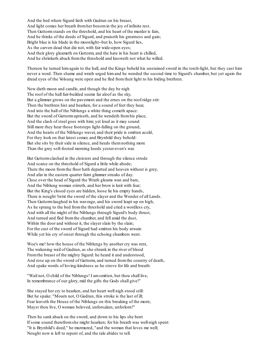And the bed where Sigurd lieth with Gudrun on his breast, And light comes her breath fromher bosomin the joy of infinite rest. Then Guttormstands on the threshold, and his heart of the murder is fain, And he thinks of the deeds of Sigurd, and praiseth his greatness and gain; Bright blue is his blade in the moonlight--but lo, how Sigurd lies, As the carven dead that die not, with fair wide-open eyes; And their glory gleameth on Guttorm, and the hate in his heart is chilled, And he shrinketh aback fromthe threshold and knoweth not what he willed.

Thereon he turned him again to the hall, and the Kings beheld his unstained sword in the torch-light, but they cast him never a word. Then shame and wrath urged him and he wended the second time to Sigurd's chamber, but yet again the dread eyes of the Volsung were open and he fled fromtheir light to his biding brethren.

Now dieth moon and candle, and though the day be nigh The roof of the hall fair-builded seems far aloof as the sky, But a glimmer grows on the pavement and the ernes on the roof-ridge stir: Then the brethren hist and hearken, for a sound of feet they hear, And into the hall of the Niblungs a white thing cometh apace: But the sword of Guttormupriseth, and he wendeth fromhis place, And the clash of steel goes with him; yet loud as it may sound Still more they hear those footsteps light-falling on the ground, And the hearts of the Niblungs waver, and their pride is smitten acold, For they look on that latest comer, and Brynhild they behold: But she sits by their side in silence, and heeds themnothing more Than the grey soft-footed morning heeds yester-even's war.

But Guttormclashed in the cloisters and through the silence strode And scarce on the threshold of Sigurd a little while abode; There the moon fromthe floor hath departed and heaven without is grey, And afar in the eastern quarter faint glimmer streaks of day. Close over the head of Sigurd the Wrath gleams wan and bare, And the Niblung woman stirreth, and her brow is knit with fear; But the King's closed eyes are hidden, loose lie his empty hands, There is nought 'twixt the sword of the slayer and the Wonder of all Lands. Then Guttormlaughed in his war-rage, and his sword leapt up on high, As he sprang to the bed fromthe threshold and cried a wordless cry, And with all the might of the Niblungs through Sigurd's body thrust, And turned and fled fromthe chamber, and fell amid the dust, Within the door and without it, the slayer slain by the slain; For the cast of the sword of Sigurd had smitten his body atwain While yet his cry of onset through the echoing chambers went.

Woe's me! how the house of the Niblungs by another cry was rent, The wakening wail of Gudrun, as she shrank in the river of blood Fromthe breast of the mighty Sigurd: he heard it and understood, And rose up on the sword of Guttorm, and turned fromthe country of death, And spake words of loving-kindness as he strove for life and breath:

"Wail not, O child of the Niblungs! I amsmitten, but thou shall live, In remembrance of our glory, mid the gifts the Gods shall give!"

She stayed her cry to hearken, and her heart well nigh stood still: But he spake: "Mourn not, O Gudrun, this stroke is the last of ill; Fear leaveth the House of the Niblungs on this breaking of the morn; Mayst thou live, O woman beloved, unforsaken, unforlorn!"

Then he sank aback on the sword, and down to his lips she bent If some sound therefromshe might hearken; for his breath was well-nigh spent: "It is Brynhild's deed," he murmured, "and the woman that loves me well; Nought now is left to repent of, and the tale abides to tell.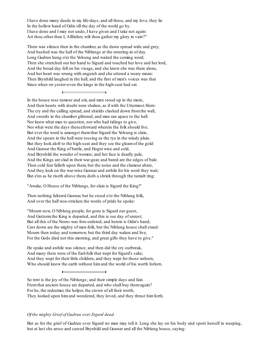I have done many deeds in my life-days, and all these, and my love, they lie In the hollow hand of Odin till the day of the world go by. I have done and I may not undo, I have given and I take not again: Art thou other than I, Allfather, wilt thou gather my glory in vain?"

There was silence then in the chamber, as the dawn spread wide and grey, And hushed was the hall of the Niblungs at the entering-in of day. Long Gudrun hung o'er the Volsung and waited the coming word; Then she stretched out her hand to Sigurd and touched her love and her lord, And the broad day fell on his visage, and she knew she was there alone, And her heart was wrung with anguish and she uttered a weary moan: Then Brynhild laughed in the hall, and the first of men's voices was that Since when on yester-even the kings in the high-seat had sat.

In the house rose rumour and stir, and men stood up in the morn, And their hearts with doubt were shaken, as if with the Uttermost Horn: The cry and the calling spread, and shields clashed down fromthe wall, And swords in the chamber glittered, and men ran apace to the hall. Nor knew what man to question, nor who had tidings to give, Nor what were the days thenceforward wherein the folk should live. But ever the word is amongst them that Sigurd the Volsung is slain, And the spears in the hall were tossing as the rye in the windy plain. But they look aloft to the high-seat and they see the gleamof the gold: And Gunnar the King of battle, and Hogni wise and cold, And Brynhild the wonder of women; and her face is deadly pale, And the Kings are clad in their war-gear, and bared are the edges of bale. Then cold fear falleth upon them, but the noise and the clamour abate, And they look on the war-wise Gunnar and awhile for his word they wait; But e'en as he riseth above them, doth a shriek through the tumult ring;

"Awake, O House of the Niblungs, for slain is Sigurd the King!"

Then nothing faltered Gunnar, but he stood o'er the Niblung folk, And over the hall woe-stricken the words of pride he spoke:

"Mourn now, O Niblung people, for gone is Sigurd our guest, And Guttormthe King is departed, and this is our day of unrest; But all this of the Norns was fore-ordered, and herein is Odin's hand; Cast down are the mighty of men-folk, but the Niblung house shall stand: Mourn then today and tomorrow, but the third day waken and live, For the Gods died not this morning, and great gifts they have to give."

He spake and awhile was silence, and then did the cry outbreak, And many there were of the Earl-folk that wept for Sigurd's sake; And they wept for their little children, and they wept for those unborn, Who should know the earth without himand the world of his worth forlorn.

So rent is the joy of the Niblungs; and their simple days and fain Fromthat ancient house are departed, and who shall buy themagain? For he, the redeemer, the helper, the crown of all their worth, They looked upon himand wondered, they loved, and they thrust himforth.

# *Of the mighty Grief of Gudrun over Sigurd dead.*

But as for the grief of Gudrun over Sigurd no man may tell it. Long she lay on his body and spent herself in weeping, but at last she arose and cursed Brynhild and Gunnar and all the Niblung house, saying: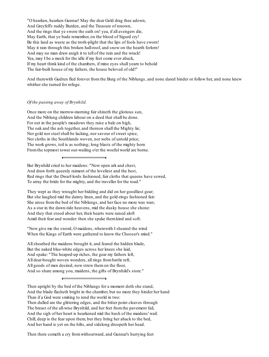"O hearken, hearken Gunnar! May the dear Gold drag thee adown, And Greyfell's ruddy Burden, and the Treasure of renown, And the rings that ye swore the oath on! yea, if all avengers die, May Earth, that ye bade remember, on the blood of Sigurd cry! Be this land as waste as the troth-plight that the lips of fools have sworn! May it rain through this broken hall-roof, and snow on the hearth forlorn! And may no man draw anigh it to tell of the ruin and the wrack! Yea, may I be a mock for the idle if my feet come ever aback, If my heart think kind of the chambers, if mine eyes shall yearn to behold The fair-built house of my fathers, the house beloved of old!"

And therewith Gudrun fled forever from the Burg of the Niblungs, and none dared hinder or follow her, and none knew whither she turned for refuge.

# *Of the passing away of Brynhild.*

Once more on the morrow-morning fair shineth the glorious sun, And the Niblung children labour on a deed that shall be done. For out in the people's meadows they raise a bale on high, The oak and the ash together, and thereon shall the Mighty lie; Nor gold nor steel shall be lacking, nor sayour of sweet spice, Nor cloths in the Southlands woven, nor webs of untold price; The work grows, toil is as nothing; long blasts of the mighty horn Fromthe topmost tower out-wailing o'er the woeful world are borne.

But Brynhild cried to her maidens: "Now open ark and chest, And draw forth queenly raiment of the loveliest and the best, Red rings that the Dwarf-lords fashioned, fair cloths that queens have sewed, To array the bride for the mighty, and the traveller for the road."

They wept as they wrought her bidding and did on her goodliest gear; But she laughed mid the dainty linen, and the gold-rings fashioned fair: She arose fromthe bed of the Niblungs, and her face no more was wan; As a star in the dawn-tide heavens, mid the dusky house she shone: And they that stood about her, their hearts were raised aloft Amid their fear and wonder: then she spake themkind and soft:

"Now give me the sword, O maidens, wherewith I sheared the wind When the Kings of Earth were gathered to know the Chooser's mind."

Allsheathed the maidens brought it, and feared the hidden blade, But the naked blue-white edges across her knees she laid, And spake: "The heaped-up riches, the gear my fathers left, All dear-bought woven wonders, all rings frombattle reft, All goods of men desired, now strew themon the floor, And so share among you, maidens, the gifts of Brynhild's store."

- Then upright by the bed of the Niblungs for a moment doth she stand, And the blade flasheth bright in the chamber, but no more they hinder her hand
- Than if a God were smiting to rend the world in two:
- Then dulled are the glittering edges, and the bitter point cleaves through The breast of the all-wise Brynhild, and her feet fromthe pavement fail, And the sigh of her heart is hearkened mid the hush of the maidens' wail.
- Chill, deep is the fear upon them, but they bring her aback to the bed, And her hand is yet on the hilts, and sidelong droopeth her head.

Then there cometh a cry fromwithoutward, and Gunnar's hurrying feet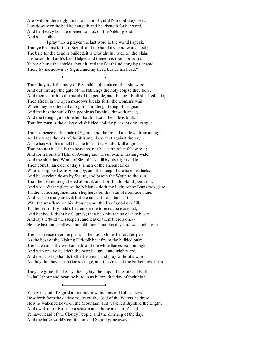Are swift on the kingly threshold, and Brynhild's blood they meet. Low down o'er the bed he hangeth and hearkeneth for her word, And her heavy lids are opened to look on the Niblung lord, And she saith:

"I pray thee a prayer, the last word in the world I speak, That ye bear me forth to Sigurd, and the hand my hand would seek; The bale for the dead is builded, it is wrought full wide on the plain, It is raised for Earth's best Helper, and thereon is roomfor twain: Ye have hung the shields about it, and the Southland hangings spread, There lay me adown by Sigurd and my head beside his head."

 $\overline{a}$ 

Then they took the body of Brynhild in the raiment that she wore, And out through the gate of the Niblungs the holy corpse they bore, And thence forth to the mead of the people, and the high-built shielded bale; Then afresh in the open meadows breaks forth the women's wail When they see the bed of Sigurd and the glittering of his gear; And fresh is the wail of the people as Brynhild draweth anear, And the tidings go before her that for twain the bale is built, That for twain is the oak-wood shielded and the pleasant odours spilt.

There is peace on the bale of Sigurd, and the Gods look down fromon high, And they see the lids of the Volsung close shut against the sky, As he lies with his shield beside himin the Hauberk all of gold, That has not its like in the heavens, nor has earth of its fellow told; And forth fromthe Helmof Aweing are the sunbeams flashing wide, And the sheathed Wrath of Sigurd lies still by his mighty side. Then cometh an elder of days, a man of the ancient times, Who is long past sorrow and joy, and the steep of the bale he climbs; And he kneeleth down by Sigurd, and bareth the Wrath to the sun That the beams are gathered about it, and fromhilt to blood-point run, And wide o'er the plain of the Niblungs doth the Light of the Branstock glare, Till the wondering mountain-shepherds on that star of noontide stare, And fear for many an evil; but the ancient man stands still With the war-flame on his shoulder, nor thinks of good or of ill, Till the feet of Brynhild's bearers on the topmost bale are laid, And her bed is dight by Sigurd's; then he sinks the pale white blade And lays it 'twixt the sleepers, and leaves themthere alone-- He, the last that shall ever behold them,--and his days are well nigh done.

Then is silence over the plain; in the noon shine the torches pale As the best of the Niblung Earl-folk bear fire to the builded bale: Then a wind in the west ariseth, and the white flames leap on high, And with one voice crieth the people a great and mighty cry, And men cast up hands to the Heavens, and pray without a word, As they that have seen God's visage, and the voice of the Father have heard.

They are gone--the lovely, the mighty, the hope of the ancient Earth: It shall labour and bear the burden as before that day of their birth.

Ye have heard of Sigurd aforetime, how the foes of God he slew; How forth fromthe darksome desert the Gold of the Waters he drew; How he wakened Love on the Mountain, and wakened Brynhild the Bright, And dwelt upon Earth for a season and shone in all men's sight. Ye have heard of the Cloudy People, and the dimming of the day, And the latter world's confusion, and Sigurd gone away.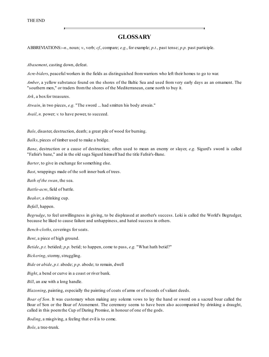# **GLOSSARY**

ABBREVIATIONS:--*n.*, noun; *v.*, verb; *cf.*, compare; *e.g.*, for example; *p.t.*, past tense; *p.p.* past participle.

*Abasement*, casting down, defeat.

*Acre-biders*, peaceful workers in the fields as distinguished fromwarriors who left their homes to go to war.

*Amber*, a yellow substance found on the shores of the Baltic Sea and used from very early days as an ornament. The "southern men," or traders fromthe shores of the Mediterranean, came north to buy it.

Ark, a box for treasures.

*Atwain*, in two pieces, *e.g.* "The sword ... had smitten his body atwain."

*Avail*, *n.* power; *v.* to have power, to succeed.

*Bale*, disaster, destruction, death; a great pile of wood for burning.

*Balks*, pieces of timber used to make a bridge.

*Bane*, destruction or a cause of destruction; often used to mean an enemy or slayer, *e.g.* Sigurd's sword is called "Fafnir's bane," and in the old saga Sigurd himself had the title Fafnir's-Bane.

*Barter*, to give in exchange for something else.

*Bast*, wrappings made of the soft inner bark of trees.

*Bath of the swan*, the sea.

*Battle-acre*, field of battle.

*Beaker*, a drinking cup.

*Befall*, happen.

*Begrudge*, to feel unwillingness in giving, to be displeased at another's success. Loki is called the World's Begrudger, because he liked to cause failure and unhappiness, and hated success in others.

*Bench-cloths*, coverings for seats.

*Bent*, a piece of high ground.

*Betide*, *p.t.* betided; *p.p.* betid; to happen, come to pass, *e.g.* "What hath betid?"

*Bickering*, stormy, struggling.

*Bide* or *abide*, *p.t.* abode; *p.p.* abode; to remain, dwell

*Bight*, a bend or curve in a coast or river bank.

*Bill*, an axe with a long handle.

*Blazoning*, painting, especially the painting of coats of arms or of records of valiant deeds.

*Boar of Son*. It was customary when making any solemn vows to lay the hand or sword on a sacred boar called the Boar of Son or the Boar of Atonement. The ceremony seems to have been also accompanied by drinking a draught, called in this poemthe Cup of Daring Promise, in honour of one of the gods.

*Boding*, a misgiving, a feeling that evil is to come.

*Bole*, a tree-trunk.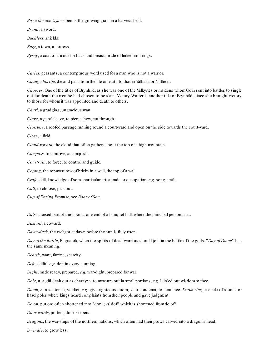*Bows the acre's face*, bends the growing grain in a harvest-field.

*Brand*, a sword.

*Bucklers*, shields.

*Burg*, a town, a fortress.

*Byrny*, a coat of armour for back and breast, made of linked iron rings.

*Carles*, peasants; a contemptuous word used for a man who is not a warrior.

*Change his life*, die and pass fromthe life on earth to that in Valhalla or Niflheim.

*Chooser*. One of the titles of Brynhild, as she was one of the Valkyries or maidens whom Odin sent into battles to single out for death the men he had chosen to be slain. Victory-Wafter is another title of Brynhild, since she brought victory to those for whomit was appointed and death to others.

*Churl*, a grudging, ungracious man.

*Clave*, *p.p.* of cleave, to pierce, hew, cut through.

*Cloisters*, a roofed passage running round a court-yard and open on the side towards the court-yard.

*Close*, a field.

*Cloud-wreath*, the cloud that often gathers about the top of a high mountain.

*Compass*, to contrive, accomplish.

*Constrain*, to force, to control and guide.

*Coping*, the topmost row of bricks in a wall, the top of a wall.

*Craft*, skill, knowledge of some particular art, a trade or occupation, *e.g.* song-craft.

*Cull*, to choose, pick out.

*Cup of Daring Promise*, see *Boar of Son*.

*Dais*, a raised part of the floor at one end of a banquet hall, where the principal persons sat.

*Dastard*, a coward.

*Dawn-dusk*, the twilight at dawn before the sun is fully risen.

*Day of the Battle*, Ragnarok, when the spirits of dead warriors should join in the battle of the gods. "*Day of Doom*" has the same meaning.

*Dearth*, want, famine, scarcity.

*Deft*, skilful, *e.g.* deft in every cunning.

*Dight*, made ready, prepared, *e.g.* war-dight, prepared for war.

*Dole*, *n.* a gift dealt out as charity; *v.* to measure out in small portions, *e.g.* I doled out wisdomto thee.

*Doom*, *n.* a sentence, verdict, *e.g.* give righteous doom; *v.* to condemn, to sentence. *Doom-ring*, a circle of stones or hazel poles where kings heard complaints fromtheir people and gave judgment.

*Do on*, put on; often shortened into "don"; *cf.* doff, which is shortened fromdo off.

*Door-wards*, porters, door-keepers.

*Dragons*, the war-ships of the northern nations, which often had their prows carved into a dragon's head.

*Dwindle*, to grow less.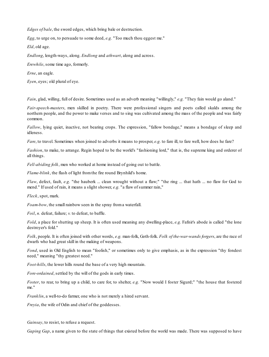*Edges of bale*, the sword edges, which bring bale or destruction.

*Egg*, to urge on, to persuade to some deed, *e.g.* "Too much thou eggest me."

*Eld*, old age.

*Endlong*, length-ways, along. *Endlong* and *athwart*, along and across.

*Erewhile*, some time ago, formerly.

*Erne*, an eagle.

*Eyen*, eyes; old plural of eye.

*Fain*, glad, willing, full of desire. Sometimes used as an adverb meaning "willingly," *e.g.* "They fain would go aland."

*Fair-speech-masters*, men skilled in poetry. There were professional singers and poets called skalds among the northern people, and the power to make verses and to sing was cultivated among the mass of the people and was fairly common.

*Fallow*, lying quiet, inactive, not bearing crops. The expression, "fallow bondage," means a bondage of sleep and idleness.

*Fare*, to travel. Sometimes when joined to adverbs it means to prosper, *e.g.* to fare ill, to fare well, how does he fare?

*Fashion*, to make, to arrange. Regin hoped to be the world's "fashioning lord," that is, the supreme king and orderer of all things.

*Fell-abiding folk*, men who worked at home instead of going out to battle.

*Flame-blink*, the flash of light fromthe fire round Brynhild's home.

*Flaw*, defect, fault, *e.g.* "the hauberk ... clean wrought without a flaw;" "the ring ... that hath ... no flaw for God to mend." If used of rain, it means a slight shower, *e.g.* "a flaw of summer rain,"

*Fleck*, spot, mark.

*Foam-bow*, the small rainbow seen in the spray froma waterfall.

*Foil*, *n.* defeat, failure; *v.* to defeat, to baffle.

*Fold*, a place for shutting up sheep. It is often used meaning any dwelling-place, *e.g.* Fafnir's abode is called "the lone destroyer's fold."

*Folk*, people. It is often joined with other words, *e.g.* man-folk, Goth-folk. *Folk of the-war-wands forgers*, are the race of dwarfs who had great skill in the making of weapons.

*Fond*, used in Old English to mean "foolish," or sometimes only to give emphasis, as in the expression "thy fondest need," meaning "thy greatest need."

*Foot-hills*, the lower hills round the base of a very high mountain.

*Fore-ordained*, settled by the will of the gods in early times.

*Foster*, to rear, to bring up a child, to care for, to shelter, *e.g.* "Now would I foster Sigurd;" "the house that fostered me."

*Franklin*, a well-to-do farmer, one who is not merely a hired servant.

*Freyia*, the wife of Odin and chief of the goddesses.

*Gainsay*, to resist, to refuse a request.

*Gaping Gap*, a name given to the state of things that existed before the world was made. There was supposed to have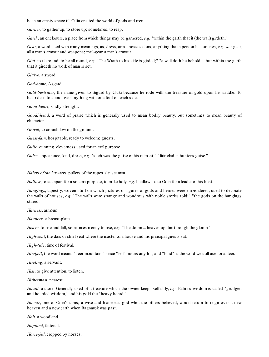been an empty space till Odin created the world of gods and men.

*Garner*, to gather up, to store up; sometimes, to reap.

*Garth*, an enclosure, a place fromwhich things may be garnered, *e.g.* "within the garth that it (the wall) girdeth."

*Gear*, a word used with many meanings, as, dress, arms, possessions, anything that a person has or uses, *e.g.* war-gear, all a man's armour and weapons; mail-gear, a man's armour.

*Gird*, to tie round, to be all round, *e.g.* "The Wrath to his side is girded;" "a wall doth he behold ... but within the garth that it girdeth no work of man is set."

*Glaive*, a sword.

*God-home*, Asgard.

*Gold-bestrider*, the name given to Sigurd by Giuki because he rode with the treasure of gold upon his saddle. To bestride is to stand over anything with one foot on each side.

*Good-heart*, kindly strength.

*Goodlihead*, a word of praise which is generally used to mean bodily beauty, but sometimes to mean beauty of character.

*Grovel*, to crouch low on the ground.

*Guest-fain*, hospitable, ready to welcome guests.

*Guile*, cunning, cleverness used for an evil purpose.

*Guise*, appearance, kind, dress, *e.g.* "such was the guise of his raiment;" "fair-clad in hunter's guise."

*Halers of the hawsers*, pullers of the ropes, *i.e.* seamen.

*Hallow*, to set apart for a solemn purpose, to make holy, *e.g.* I hallow me to Odin for a leader of his host.

*Hangings*, tapestry, woven stuff on which pictures or figures of gods and heroes were embroidered, used to decorate the walls of houses, *e.g.* "The walls were strange and wondrous with noble stories told;" "the gods on the hangings stirred."

*Harness*, armour.

*Hauberk*, a breast-plate.

*Heave*, to rise and fall, sometimes merely to rise, *e.g.* "The doom... heaves up dim through the gloom."

*High-seat*, the dais or chief seat where the master of a house and his principal guests sat.

*High-tide*, time of festival.

*Hindfell*, the word means "deer-mountain," since "fell" means any hill, and "hind" is the word we still use for a deer.

*Hireling*, a servant.

*Hist*, to give attention, to listen.

*Hithermost*, nearest.

*Hoard*, a store. Generally used of a treasure which the owner keeps selfishly, *e.g.* Fafnir's wisdom is called "grudged and hoarded wisdom," and his gold the "heavy hoard."

*Hoenir*, one of Odin's sons; a wise and blameless god who, the others believed, would return to reign over a new heaven and a new earth when Ragnarok was past.

*Holt*, a woodland.

*Hoppled*, fettered.

*Horse-fed*, cropped by horses.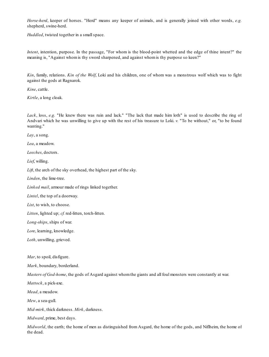*Horse-herd*, keeper of horses. "Herd" means any keeper of animals, and is generally joined with other words, *e.g.* shepherd, swine-herd.

Huddled, twisted together in a small space.

*Intent*, intention, purpose. In the passage, "For whom is the blood-point whetted and the edge of thine intent?" the meaning is, "Against whomis thy sword sharpened, and against whomis thy purpose so keen?"

*Kin*, family, relations. *Kin of the Wolf*, Loki and his children, one of whom was a monstrous wolf which was to fight against the gods at Ragnarok.

*Kine*, cattle.

*Kirtle*, a long cloak.

*Lack*, loss, *e.g.* "He knew there was ruin and lack." "The lack that made him loth" is used to describe the ring of Andvari which he was unwilling to give up with the rest of his treasure to Loki. *v.* "To be without," or, "to be found wanting."

*Lay*, a song.

*Lea*, a meadow.

*Leeches*, doctors.

*Lief*, willing.

*Lift*, the arch of the sky overhead, the highest part of the sky.

*Linden*, the lime-tree.

*Linked mail*, armour made of rings linked together.

*Lintel*, the top of a doorway.

*List*, to wish, to choose.

*Litten*, lighted up; *cf.* red-litten, torch-litten.

*Long-ships*, ships of war.

*Lore*, learning, knowledge.

*Loth*, unwilling, grieved.

*Mar*, to spoil, disfigure.

*Mark*, boundary, borderland.

*Masters of God-home*, the gods of Asgard against whomthe giants and all foul monsters were constantly at war.

*Mattock*, a pick-axe.

*Mead*, a meadow.

*Mew*, a sea-gull.

*Mid-mirk*, thick darkness. *Mirk*, darkness.

*Midward*, prime, best days.

*Midworld*, the earth; the home of men as distinguished from Asgard, the home of the gods, and Niflheim, the home of the dead.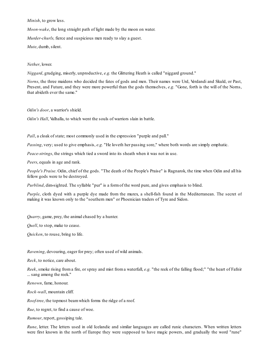*Minish*, to grow less.

*Moon-wake*, the long straight path of light made by the moon on water.

*Murder-churls,* fierce and suspicious men ready to slay a guest.

*Mute*, dumb, silent.

## *Nether*, lower.

*Niggard*, grudging, miserly, unproductive, *e.g.* the Glittering Heath is called "niggard ground."

*Norns*, the three maidens who decided the fates of gods and men. Their names were Urd, Verdandi and Skuld, or Past, Present, and Future, and they were more powerful than the gods themselves, *e.g.* "Gone, forth is the will of the Norns, that abideth ever the same."

*Odin's door*, a warrior's shield.

*Odin's Hall*, Valhalla, to which went the souls of warriors slain in battle.

*Pall*, a cloak of state; most commonly used in the expression "purple and pall."

*Passing*, very; used to give emphasis, *e.g.* "He loveth her passing sore," where both words are simply emphatic.

*Peace-strings*, the strings which tied a sword into its sheath when it was not in use.

*Peers*, equals in age and rank.

*People's Praise*. Odin, chief of the gods. "The death of the People's Praise" is Ragnarok, the time when Odin and all his fellow gods were to be destroyed.

*Purblind*, dim-sighted. The syllable "pur" is a formof the word pure, and gives emphasis to blind.

*Purple*, cloth dyed with a purple dye made from the murex, a shell-fish found in the Mediterranean. The secret of making it was known only to the "southern men" or Phoenician traders of Tyre and Sidon.

*Quarry*, game, prey, the animal chased by a hunter.

*Quell*, to stop, make to cease.

*Quicken*, to rouse, bring to life.

*Ravening*, devouring, eager for prey; often used of wild animals.

*Reck*, to notice, care about.

*Reek*, smoke rising from a fire, or spray and mist from a waterfall, *e.g.* "the reek of the falling flood;" "the heart of Fafnir ... sang among the reek."

*Renown*, fame, honour.

*Rock-wall*, mountain cliff.

*Roof-tree*, the topmost beamwhich forms the ridge of a roof.

*Rue*, to regret, to find a cause of woe.

*Rumour*, report, gossiping tale.

*Rune*, letter. The letters used in old Icelandic and similar languages are called runic characters. When written letters were first known in the north of Europe they were supposed to have magic powers, and gradually the word "rune"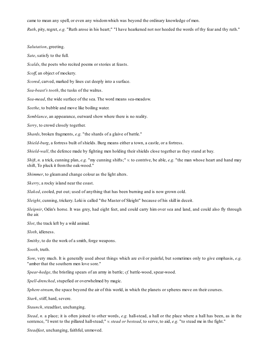came to mean any spell, or even any wisdomwhich was beyond the ordinary knowledge of men.

*Ruth*, pity, regret, *e.g.* "Ruth arose in his heart;" "I have hearkened not nor heeded the words of thy fear and thy ruth."

*Salutation*, greeting. *Sate*, satisfy to the full. *Scalds*, the poets who recited poems or stories at feasts. *Scoff*, an object of mockery. *Scored*, carved, marked by lines cut deeply into a surface. *Sea-beast's tooth*, the tusks of the walrus. *Sea-mead*, the wide surface of the sea. The word means sea-meadow. *Seethe*, to bubble and move like boiling water. *Semblance*, an appearance, outward show where there is no reality. *Serry*, to crowd closely together. *Shards*, broken fragments, *e.g.* "the shards of a glaive of battle." *Shield-burg*, a fortress built of shields. Burg means either a town, a castle, or a fortress. *Shield-wall*, the defence made by fighting men holding their shields close together as they stand at bay.

*Shift*, *n.* a trick, cunning plan, *e.g.* "my cunning shifts;" *v.* to contrive, be able, *e.g.* "the man whose heart and hand may shift, To pluck it fromthe oak-wood."

*Shimmer*, to gleamand change colour as the light alters.

*Skerry*, a rocky island near the coast.

*Slaked*, cooled, put out; used of anything that has been burning and is now grown cold.

*Sleight*, cunning, trickery. Loki is called "the Master of Sleight" because of his skill in deceit.

*Sleipnir*, Odin's horse. It was grey, had eight feet, and could carry him over sea and land, and could also fly through the air.

*Slot*, the track left by a wild animal.

*Sloth*, idleness.

*Smithy*, to do the work of a smith, forge weapons.

*Sooth*, truth.

*Sore*, very much. It is generally used about things which are evil or painful, but sometimes only to give emphasis, *e.g.* "amber that the southern men love sore."

*Spear-hedge*, the bristling spears of an army in battle; *cf.* battle-wood, spear-wood.

*Spell-drenched*, stupefied or overwhelmed by magic.

*Sphere-stream*, the space beyond the air of this world, in which the planets or spheres move on their courses.

*Stark*, stiff, hard, severe.

*Staunch*, steadfast, unchanging.

*Stead*, *n.* a place; it is often joined to other words, *e.g.* hall-stead, a hall or the place where a hall has been, as in the sentence, "I went to the pillared hall-stead;" *v. stead or bestead*, to serve, to aid, *e.g.* "to stead me in the fight."

*Steadfast*, unchanging, faithful, unmoved.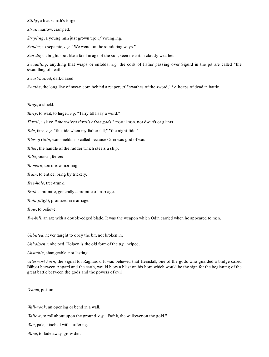*Stithy*, a blacksmith's forge.

*Strait*, narrow, cramped.

*Stripling*, a young man just grown up; *cf.* youngling.

*Sunder*, to separate, *e.g.* "We wend on the sundering ways."

*Sun-dog*, a bright spot like a faint image of the sun, seen near it in cloudy weather.

*Swaddling*, anything that wraps or enfolds, *e.g.* the coils of Fafnir passing over Sigurd in the pit are called "the swaddling of death."

*Swart-haired*, dark-haired.

*Swathe*, the long line of mown corn behind a reaper; *cf.* "swathes of the sword," *i.e.* heaps of dead in battle.

*Targe*, a shield.

*Tarry*, to wait, to linger, *e.g.* "Tarry till I say a word."

*Thrall*, a slave, "*short-lived thralls of the gods*," mortal men, not dwarfs or giants.

*Tide*, time, *e.g.* "the tide when my father fell;" "the night-tide."

*Tiles of Odin*, war shields, so called because Odin was god of war.

*Tiller*, the handle of the rudder which steers a ship.

*Toils*, snares, fetters.

*To-morn*, tomorrow morning.

*Train*, to entice, bring by trickery.

*Tree-hole*, tree-trunk.

*Troth*, a promise, generally a promise of marriage.

*Troth-plight*, promised in marriage.

*Trow*, to believe.

*Twi-bill*, an axe with a double-edged blade. It was the weapon which Odin carried when he appeared to men.

*Unbitted*, never taught to obey the bit, not broken in.

*Unholpen*, unhelped. Holpen is the old formof the *p.p.* helped.

*Unstable*, changeable, not lasting.

*Uttermost horn*, the signal for Ragnarok. It was believed that Heimdall, one of the gods who guarded a bridge called Bifrost between Asgard and the earth, would blow a blast on his horn which would be the sign for the beginning of the great battle between the gods and the powers of evil.

*Venom*, poison.

*Wall-nook*, an opening or bend in a wall.

*Wallow*, to roll about upon the ground, *e.g.* "Fafnir, the wallower on the gold."

*Wan*, pale, pinched with suffering.

*Wane*, to fade away, grow dim.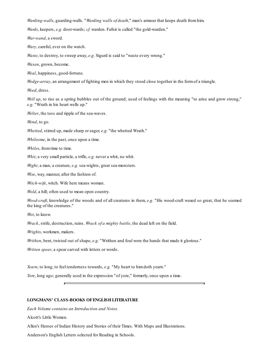*Warding-walls*, guarding-walls. "*Warding walls of death*," man's armour that keeps death fromhim.

*Wards*, keepers, *e.g.* door-wards; *cf.* warden. Fafnir is called "the gold-warden."

*War-wand*, a sword.

*Wary*, careful, ever on the watch.

*Waste*, to destroy, to sweep away, *e.g.* Sigurd is said to "waste every wrong."

*Waxen*, grown, become.

*Weal*, happiness, good-fortune.

*Wedge-array*, an arrangement of fighting men in which they stood close together in the form of a triangle.

*Weed*, dress.

*Well up*, to rise as a spring bubbles out of the ground; used of feelings with the meaning "to arise and grow strong," *e.g.* "Wrath in his heart wells up."

*Welter*, the toss and ripple of the sea-waves.

*Wend*, to go.

*Whetted*, stirred up, made sharp or eager, *e.g.* "the whetted Wrath."

*Whileome*, in the past, once upon a time.

*Whiles*, fromtime to time.

*Whit*, a very small particle, a trifle, *e.g.* never a whit, no whit.

*Wight*, a man, a creature, *e.g.* sea-wights, great sea-monsters.

*Wise*, way, manner, after the fashion of.

*Witch-wife*, witch. Wife here means woman.

*Wold*, a hill; often used to mean open country.

*Wood-craft*, knowledge of the woods and of all creatures in them, *e.g.* "His wood-craft waxed so great, that he seemed the king of the creatures."

*Wot*, to know.

*Wrack*, strife, destruction, ruins. *Wrack of a mighty battle*, the dead left on the field.

*Wrights*, workmen, makers.

*Writhen*, bent, twisted out of shape, *e.g.* "Writhen and foul were the hands that made it glorious."

*Written spear*, a spear carved with letters or words.

*Yearn*, to long, to feel tenderness towards, *e.g.* "My heart to himdoth yearn."

*Yore*, long ago; generally used in the expression "of yore," formerly, once upon a time.

## **LONGMANS' CLASS-BOOKS OFENGLISHLITERATURE**

*Each Volume contains an Introduction and Notes.*

Alcott's Little Women.

Allen's Heroes of Indian History and Stories of their Times. With Maps and Illustrations.

Anderson's English Letters selected for Reading in Schools.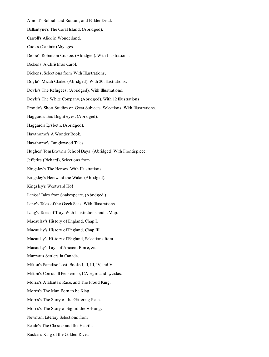Arnold's Sohrab and Rustum, and Balder Dead. Ballantyne's The Coral Island. (Abridged). Carroll's Alice in Wonderland. Cook's (Captain) Voyages. Defoe's Robinson Crusoe. (Abridged). With Illustrations. Dickens' A Christmas Carol. Dickens, Selections from. With Illustrations. Doyle's Micah Clarke. (Abridged). With 20 Illustrations. Doyle's The Refugees. (Abridged). With Illustrations. Doyle's The White Company. (Abridged). With 12 Illustrations. Fronde's Short Studies on Great Subjects. Selections. With Illustrations. Haggard's Eric Bright eyes. (Abridged). Haggard's Lysbeth. (Abridged). Hawthorne's A Wonder Book. Hawthorne's Tanglewood Tales. Hughes' TomBrown's School Days. (Abridged) With Frontispiece. Jefferies (Richard), Selections from. Kingsley's The Heroes. With Illustrations. Kingsley's Hereward the Wake. (Abridged). Kingsley's Westward Ho! Lambs' Tales fromShakespeare. (Abridged.) Lang's Tales of the Greek Seas. With Illustrations. Lang's Tales of Troy. With Illustrations and a Map. Macaulay's History of England. Chap I. Macaulay's History of England. Chap III. Macaulay's History of England, Selections from. Macaulay's Lays of Ancient Rome, &c. Marryat's Settlers in Canada. Milton's Paradise Lost. Books I, II, III, IV, and V. Milton's Comus, Il Penseroso, L'Allegro and Lycidas. Morris's Atalanta's Race, and The Proud King. Morris's The Man Born to be King. Morris's The Story of the Glittering Plain. Morris's The Story of Sigurd the Volsung. Newman, Literary Selections from. Reade's The Cloister and the Hearth. Ruskin's King of the Golden River.